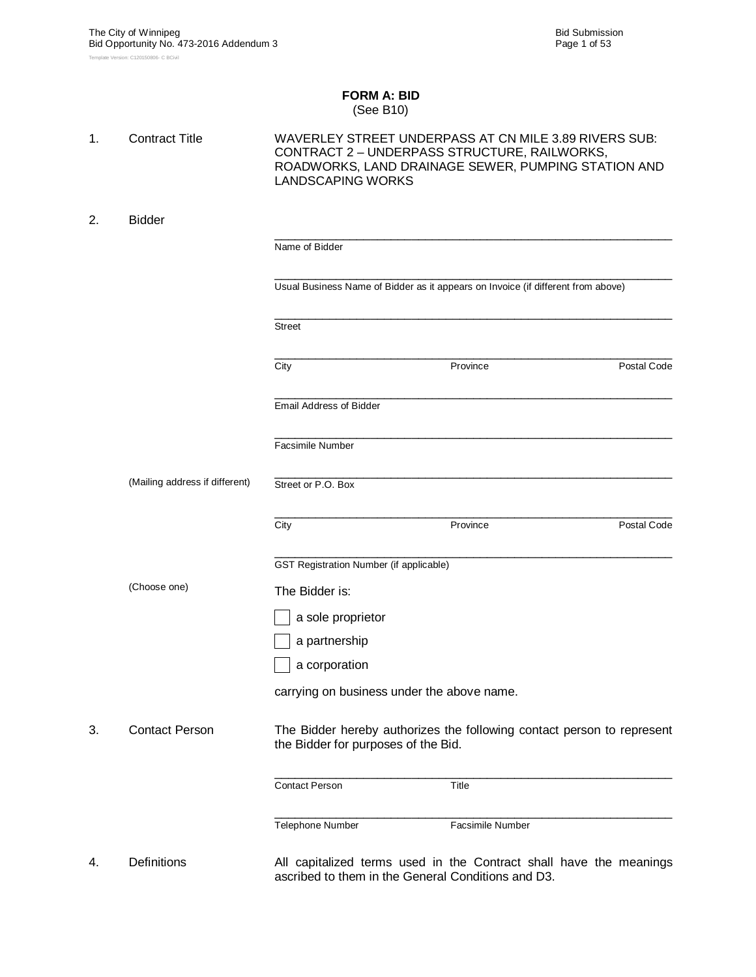#### **FORM A: BID** (See B10)

| 1. | <b>Contract Title</b>          | WAVERLEY STREET UNDERPASS AT CN MILE 3.89 RIVERS SUB:<br>CONTRACT 2 - UNDERPASS STRUCTURE, RAILWORKS,<br>ROADWORKS, LAND DRAINAGE SEWER, PUMPING STATION AND<br><b>LANDSCAPING WORKS</b> |                                                                                                                          |             |  |  |  |  |
|----|--------------------------------|------------------------------------------------------------------------------------------------------------------------------------------------------------------------------------------|--------------------------------------------------------------------------------------------------------------------------|-------------|--|--|--|--|
| 2. | <b>Bidder</b>                  |                                                                                                                                                                                          |                                                                                                                          |             |  |  |  |  |
|    |                                | Name of Bidder                                                                                                                                                                           |                                                                                                                          |             |  |  |  |  |
|    |                                |                                                                                                                                                                                          | Usual Business Name of Bidder as it appears on Invoice (if different from above)                                         |             |  |  |  |  |
|    |                                | <b>Street</b>                                                                                                                                                                            |                                                                                                                          |             |  |  |  |  |
|    |                                | City                                                                                                                                                                                     | Province                                                                                                                 | Postal Code |  |  |  |  |
|    |                                | Email Address of Bidder                                                                                                                                                                  |                                                                                                                          |             |  |  |  |  |
|    |                                | <b>Facsimile Number</b>                                                                                                                                                                  |                                                                                                                          |             |  |  |  |  |
|    | (Mailing address if different) | Street or P.O. Box                                                                                                                                                                       |                                                                                                                          |             |  |  |  |  |
|    |                                | City                                                                                                                                                                                     | Province                                                                                                                 | Postal Code |  |  |  |  |
|    |                                | GST Registration Number (if applicable)                                                                                                                                                  |                                                                                                                          |             |  |  |  |  |
|    | (Choose one)                   | The Bidder is:                                                                                                                                                                           |                                                                                                                          |             |  |  |  |  |
|    |                                | a sole proprietor                                                                                                                                                                        |                                                                                                                          |             |  |  |  |  |
|    |                                | a partnership                                                                                                                                                                            |                                                                                                                          |             |  |  |  |  |
|    |                                | a corporation                                                                                                                                                                            |                                                                                                                          |             |  |  |  |  |
|    |                                | carrying on business under the above name.                                                                                                                                               |                                                                                                                          |             |  |  |  |  |
| 3. | <b>Contact Person</b>          | the Bidder for purposes of the Bid.                                                                                                                                                      | The Bidder hereby authorizes the following contact person to represent                                                   |             |  |  |  |  |
|    |                                | <b>Contact Person</b>                                                                                                                                                                    | Title                                                                                                                    |             |  |  |  |  |
|    |                                | Telephone Number                                                                                                                                                                         | <b>Facsimile Number</b>                                                                                                  |             |  |  |  |  |
| 4. | <b>Definitions</b>             |                                                                                                                                                                                          | All capitalized terms used in the Contract shall have the meanings<br>ascribed to them in the General Conditions and D3. |             |  |  |  |  |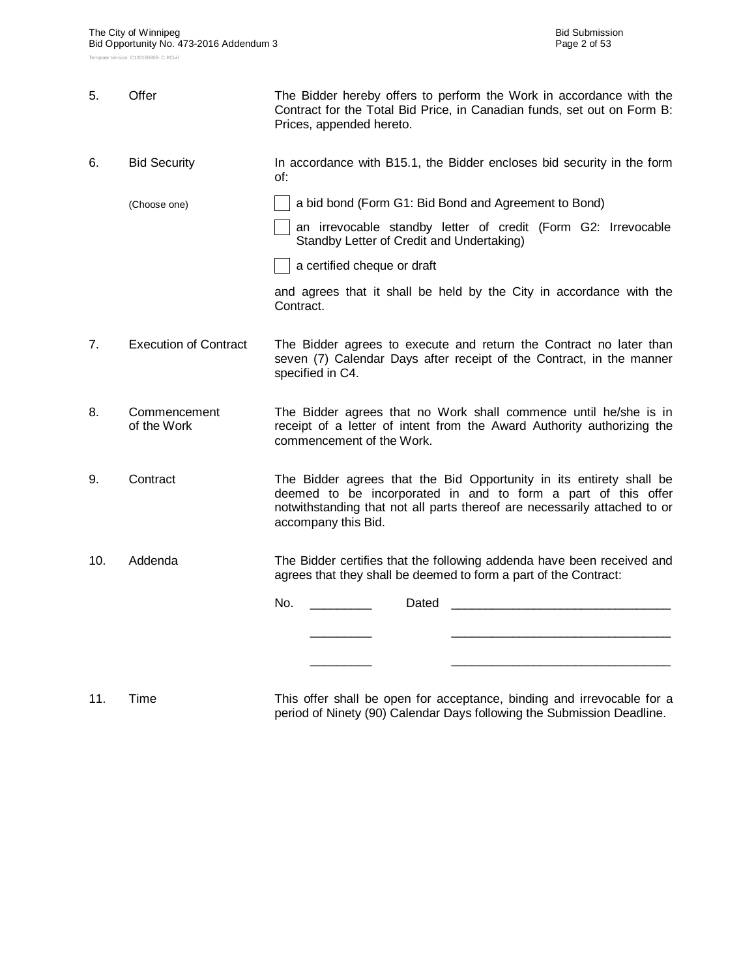| 5.  | Offer                        | The Bidder hereby offers to perform the Work in accordance with the<br>Contract for the Total Bid Price, in Canadian funds, set out on Form B:<br>Prices, appended hereto.                                                               |  |  |  |  |  |  |
|-----|------------------------------|------------------------------------------------------------------------------------------------------------------------------------------------------------------------------------------------------------------------------------------|--|--|--|--|--|--|
| 6.  | <b>Bid Security</b>          | In accordance with B15.1, the Bidder encloses bid security in the form<br>of:                                                                                                                                                            |  |  |  |  |  |  |
|     | (Choose one)                 | a bid bond (Form G1: Bid Bond and Agreement to Bond)                                                                                                                                                                                     |  |  |  |  |  |  |
|     |                              | an irrevocable standby letter of credit (Form G2: Irrevocable<br>Standby Letter of Credit and Undertaking)                                                                                                                               |  |  |  |  |  |  |
|     |                              | a certified cheque or draft                                                                                                                                                                                                              |  |  |  |  |  |  |
|     |                              | and agrees that it shall be held by the City in accordance with the<br>Contract.                                                                                                                                                         |  |  |  |  |  |  |
| 7.  | <b>Execution of Contract</b> | The Bidder agrees to execute and return the Contract no later than<br>seven (7) Calendar Days after receipt of the Contract, in the manner<br>specified in C4.                                                                           |  |  |  |  |  |  |
| 8.  | Commencement<br>of the Work  | The Bidder agrees that no Work shall commence until he/she is in<br>receipt of a letter of intent from the Award Authority authorizing the<br>commencement of the Work.                                                                  |  |  |  |  |  |  |
| 9.  | Contract                     | The Bidder agrees that the Bid Opportunity in its entirety shall be<br>deemed to be incorporated in and to form a part of this offer<br>notwithstanding that not all parts thereof are necessarily attached to or<br>accompany this Bid. |  |  |  |  |  |  |
| 10. | Addenda                      | The Bidder certifies that the following addenda have been received and<br>agrees that they shall be deemed to form a part of the Contract:                                                                                               |  |  |  |  |  |  |
|     |                              | No.<br>Dated                                                                                                                                                                                                                             |  |  |  |  |  |  |
|     |                              |                                                                                                                                                                                                                                          |  |  |  |  |  |  |
|     |                              |                                                                                                                                                                                                                                          |  |  |  |  |  |  |
|     |                              |                                                                                                                                                                                                                                          |  |  |  |  |  |  |

11. Time This offer shall be open for acceptance, binding and irrevocable for a period of Ninety (90) Calendar Days following the Submission Deadline.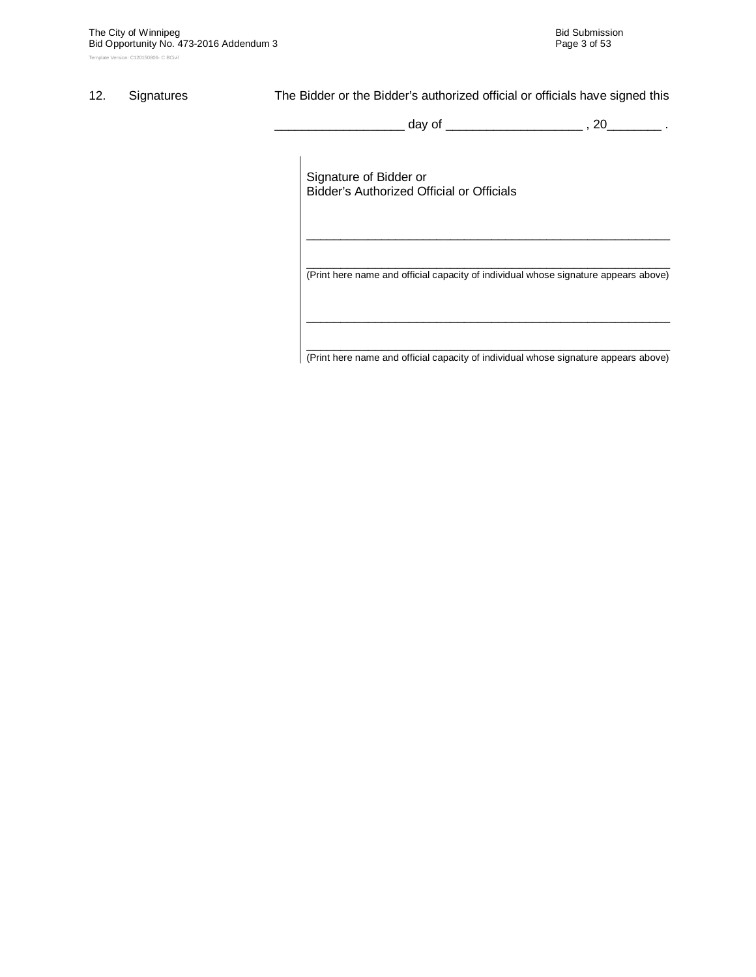#### 12. Signatures The Bidder or the Bidder's authorized official or officials have signed this

\_\_\_\_\_\_\_\_\_\_\_\_\_\_\_\_\_\_\_ day of \_\_\_\_\_\_\_\_\_\_\_\_\_\_\_\_\_\_\_\_ , 20\_\_\_\_\_\_\_\_ .

Signature of Bidder or Bidder's Authorized Official or Officials

\_\_\_\_\_\_\_\_\_\_\_\_\_\_\_\_\_\_\_\_\_\_\_\_\_\_\_\_\_\_\_\_\_\_\_\_\_\_\_\_\_\_\_\_\_\_\_\_\_\_\_\_\_ (Print here name and official capacity of individual whose signature appears above)

\_\_\_\_\_\_\_\_\_\_\_\_\_\_\_\_\_\_\_\_\_\_\_\_\_\_\_\_\_\_\_\_\_\_\_\_\_\_\_\_\_\_\_\_\_\_\_\_\_\_\_\_\_

\_\_\_\_\_\_\_\_\_\_\_\_\_\_\_\_\_\_\_\_\_\_\_\_\_\_\_\_\_\_\_\_\_\_\_\_\_\_\_\_\_\_\_\_\_\_\_\_\_\_\_\_\_ (Print here name and official capacity of individual whose signature appears above)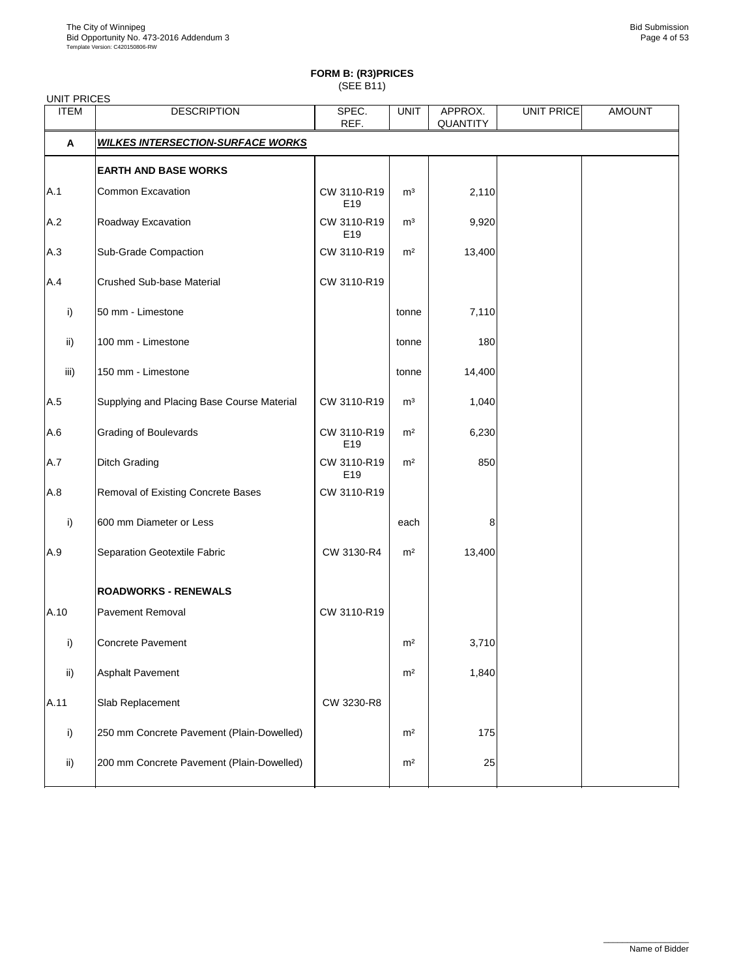# **FORM B: (R3)PRICES**

(SEE B11)

| <b>UNIT PRICES</b> |                                            |                    |                |                     |                   |               |
|--------------------|--------------------------------------------|--------------------|----------------|---------------------|-------------------|---------------|
| <b>ITEM</b>        | <b>DESCRIPTION</b>                         | SPEC.<br>REF.      | <b>UNIT</b>    | APPROX.<br>QUANTITY | <b>UNIT PRICE</b> | <b>AMOUNT</b> |
| Α                  | <b>WILKES INTERSECTION-SURFACE WORKS</b>   |                    |                |                     |                   |               |
|                    | <b>EARTH AND BASE WORKS</b>                |                    |                |                     |                   |               |
| A.1                | Common Excavation                          | CW 3110-R19<br>E19 | m <sup>3</sup> | 2,110               |                   |               |
| A.2                | Roadway Excavation                         | CW 3110-R19<br>E19 | $\mathsf{m}^3$ | 9,920               |                   |               |
| A.3                | Sub-Grade Compaction                       | CW 3110-R19        | m <sup>2</sup> | 13,400              |                   |               |
| A.4                | Crushed Sub-base Material                  | CW 3110-R19        |                |                     |                   |               |
| i)                 | 50 mm - Limestone                          |                    | tonne          | 7,110               |                   |               |
| ii)                | 100 mm - Limestone                         |                    | tonne          | 180                 |                   |               |
| iii)               | 150 mm - Limestone                         |                    | tonne          | 14,400              |                   |               |
| A.5                | Supplying and Placing Base Course Material | CW 3110-R19        | m <sup>3</sup> | 1,040               |                   |               |
| A.6                | <b>Grading of Boulevards</b>               | CW 3110-R19<br>E19 | m <sup>2</sup> | 6,230               |                   |               |
| A.7                | <b>Ditch Grading</b>                       | CW 3110-R19<br>E19 | m <sup>2</sup> | 850                 |                   |               |
| A.8                | Removal of Existing Concrete Bases         | CW 3110-R19        |                |                     |                   |               |
| i)                 | 600 mm Diameter or Less                    |                    | each           | 8                   |                   |               |
| A.9                | Separation Geotextile Fabric               | CW 3130-R4         | m <sup>2</sup> | 13,400              |                   |               |
|                    | <b>ROADWORKS - RENEWALS</b>                |                    |                |                     |                   |               |
| A.10               | Pavement Removal                           | CW 3110-R19        |                |                     |                   |               |
| i)                 | Concrete Pavement                          |                    | m <sup>2</sup> | 3,710               |                   |               |
| ii)                | Asphalt Pavement                           |                    | m <sup>2</sup> | 1,840               |                   |               |
| A.11               | Slab Replacement                           | CW 3230-R8         |                |                     |                   |               |
| i)                 | 250 mm Concrete Pavement (Plain-Dowelled)  |                    | m <sup>2</sup> | 175                 |                   |               |
| ii)                | 200 mm Concrete Pavement (Plain-Dowelled)  |                    | m <sup>2</sup> | 25                  |                   |               |
|                    |                                            |                    |                |                     |                   |               |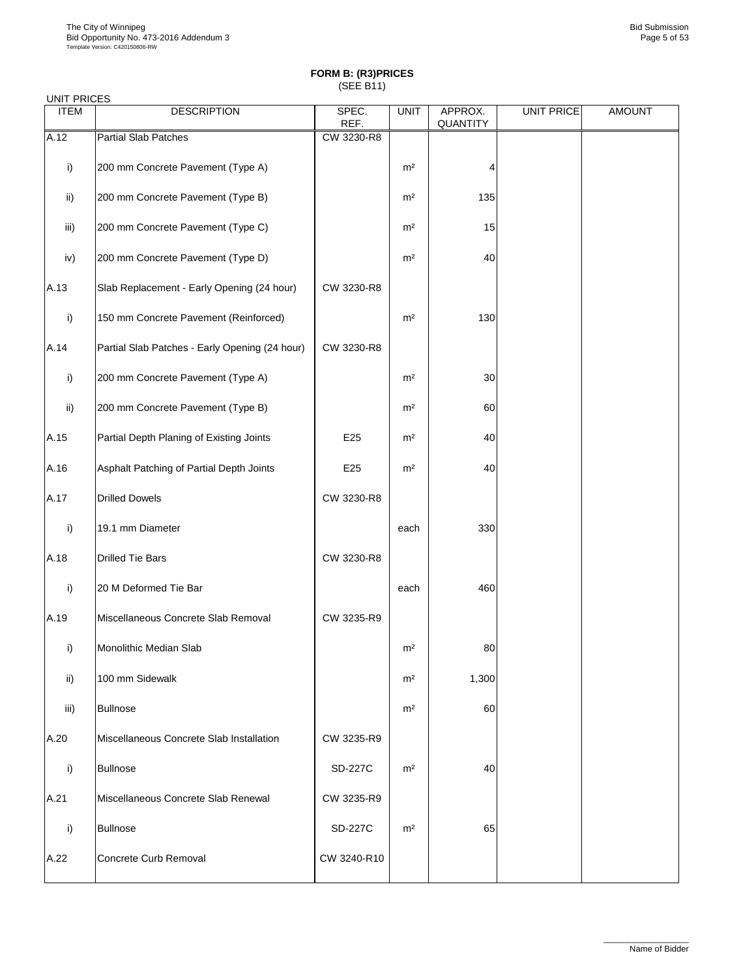| UNIT PRICES |                                                |                 |                |                     |                   |               |
|-------------|------------------------------------------------|-----------------|----------------|---------------------|-------------------|---------------|
| <b>ITEM</b> | <b>DESCRIPTION</b>                             | SPEC.<br>REF.   | <b>UNIT</b>    | APPROX.<br>QUANTITY | <b>UNIT PRICE</b> | <b>AMOUNT</b> |
| A.12        | <b>Partial Slab Patches</b>                    | CW 3230-R8      |                |                     |                   |               |
| i)          | 200 mm Concrete Pavement (Type A)              |                 | m <sup>2</sup> | 4                   |                   |               |
| ii)         | 200 mm Concrete Pavement (Type B)              |                 | m <sup>2</sup> | 135                 |                   |               |
| iii)        | 200 mm Concrete Pavement (Type C)              |                 | m <sup>2</sup> | 15                  |                   |               |
| iv)         | 200 mm Concrete Pavement (Type D)              |                 | m <sup>2</sup> | 40                  |                   |               |
| A.13        | Slab Replacement - Early Opening (24 hour)     | CW 3230-R8      |                |                     |                   |               |
| i)          | 150 mm Concrete Pavement (Reinforced)          |                 | m <sup>2</sup> | 130                 |                   |               |
| A.14        | Partial Slab Patches - Early Opening (24 hour) | CW 3230-R8      |                |                     |                   |               |
| i)          | 200 mm Concrete Pavement (Type A)              |                 | m <sup>2</sup> | 30                  |                   |               |
| ii)         | 200 mm Concrete Pavement (Type B)              |                 | m <sup>2</sup> | 60                  |                   |               |
| A.15        | Partial Depth Planing of Existing Joints       | E <sub>25</sub> | m <sup>2</sup> | 40                  |                   |               |
| A.16        | Asphalt Patching of Partial Depth Joints       | E <sub>25</sub> | m <sup>2</sup> | 40                  |                   |               |
| A.17        | <b>Drilled Dowels</b>                          | CW 3230-R8      |                |                     |                   |               |
| i)          | 19.1 mm Diameter                               |                 | each           | 330                 |                   |               |
| A.18        | <b>Drilled Tie Bars</b>                        | CW 3230-R8      |                |                     |                   |               |
| i)          | 20 M Deformed Tie Bar                          |                 | each           | 460                 |                   |               |
| A.19        | Miscellaneous Concrete Slab Removal            | CW 3235-R9      |                |                     |                   |               |
| i)          | Monolithic Median Slab                         |                 | m <sup>2</sup> | 80                  |                   |               |
| ii)         | 100 mm Sidewalk                                |                 | m <sup>2</sup> | 1,300               |                   |               |
| iii)        | <b>Bullnose</b>                                |                 | m <sup>2</sup> | 60                  |                   |               |
| A.20        | Miscellaneous Concrete Slab Installation       | CW 3235-R9      |                |                     |                   |               |
| i)          | <b>Bullnose</b>                                | SD-227C         | m <sup>2</sup> | 40                  |                   |               |
| A.21        | Miscellaneous Concrete Slab Renewal            | CW 3235-R9      |                |                     |                   |               |
| i)          | <b>Bullnose</b>                                | <b>SD-227C</b>  | m <sup>2</sup> | 65                  |                   |               |
| A.22        | Concrete Curb Removal                          | CW 3240-R10     |                |                     |                   |               |
|             |                                                |                 |                |                     |                   |               |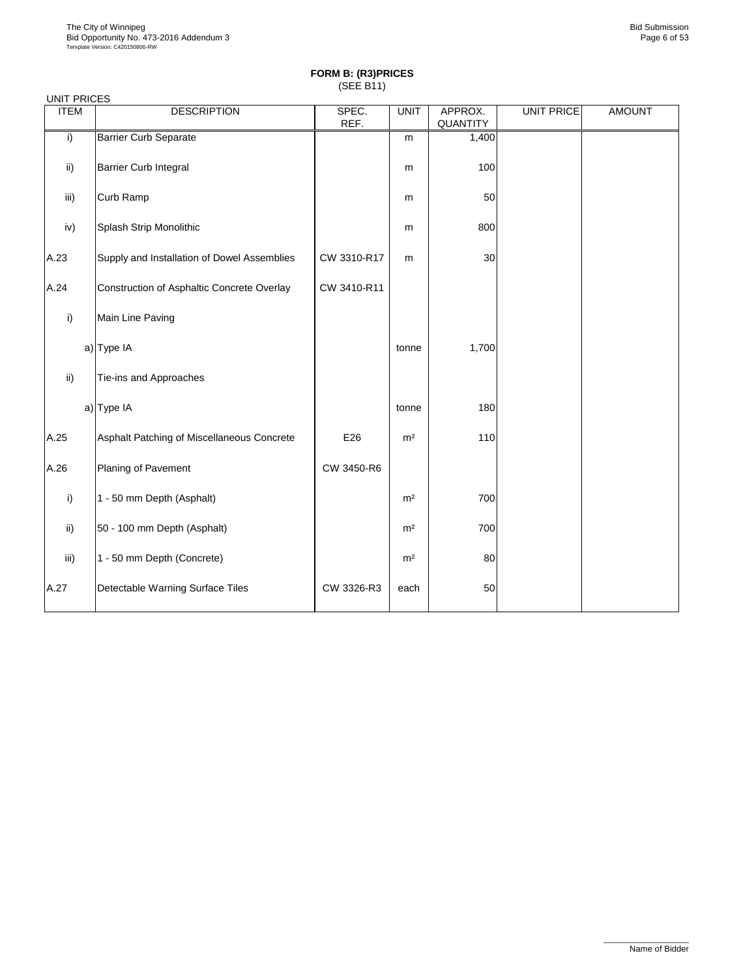| <b>UNIT PRICES</b> |                                             |               |                |                     |                   |               |
|--------------------|---------------------------------------------|---------------|----------------|---------------------|-------------------|---------------|
| <b>ITEM</b>        | <b>DESCRIPTION</b>                          | SPEC.<br>REF. | <b>UNIT</b>    | APPROX.<br>QUANTITY | <b>UNIT PRICE</b> | <b>AMOUNT</b> |
| $\overline{1}$     | <b>Barrier Curb Separate</b>                |               | m              | 1,400               |                   |               |
| ii)                | Barrier Curb Integral                       |               | m              | 100                 |                   |               |
| iii)               | Curb Ramp                                   |               | m              | 50                  |                   |               |
| iv)                | Splash Strip Monolithic                     |               | m              | 800                 |                   |               |
| A.23               | Supply and Installation of Dowel Assemblies | CW 3310-R17   | m              | 30                  |                   |               |
| A.24               | Construction of Asphaltic Concrete Overlay  | CW 3410-R11   |                |                     |                   |               |
| i)                 | Main Line Paving                            |               |                |                     |                   |               |
|                    | a) Type IA                                  |               | tonne          | 1,700               |                   |               |
| ii)                | Tie-ins and Approaches                      |               |                |                     |                   |               |
|                    | a) Type IA                                  |               | tonne          | 180                 |                   |               |
| A.25               | Asphalt Patching of Miscellaneous Concrete  | E26           | m <sup>2</sup> | 110                 |                   |               |
| A.26               | Planing of Pavement                         | CW 3450-R6    |                |                     |                   |               |
| i)                 | 1 - 50 mm Depth (Asphalt)                   |               | m <sup>2</sup> | 700                 |                   |               |
| ii)                | 50 - 100 mm Depth (Asphalt)                 |               | m <sup>2</sup> | 700                 |                   |               |
| iii)               | 1 - 50 mm Depth (Concrete)                  |               | m <sup>2</sup> | 80                  |                   |               |
| A.27               | Detectable Warning Surface Tiles            | CW 3326-R3    | each           | 50                  |                   |               |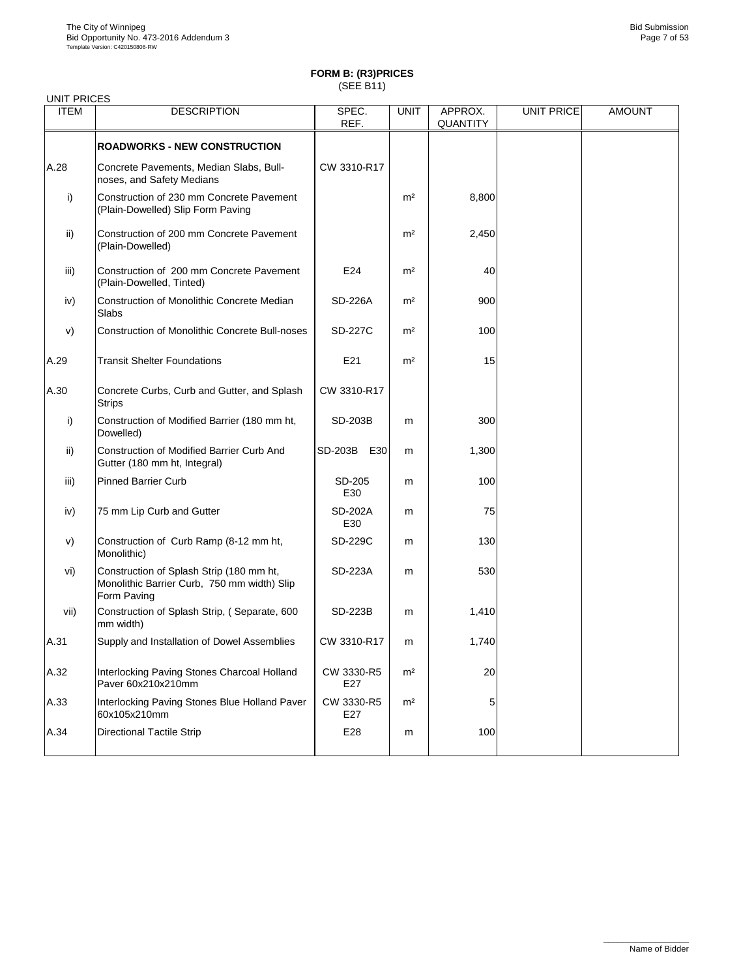| <b>UNIT PRICES</b> |                                                                                                        |                   |                |                            |                   |               |
|--------------------|--------------------------------------------------------------------------------------------------------|-------------------|----------------|----------------------------|-------------------|---------------|
| <b>ITEM</b>        | <b>DESCRIPTION</b>                                                                                     | SPEC.<br>REF.     | <b>UNIT</b>    | APPROX.<br><b>QUANTITY</b> | <b>UNIT PRICE</b> | <b>AMOUNT</b> |
|                    | <b>ROADWORKS - NEW CONSTRUCTION</b>                                                                    |                   |                |                            |                   |               |
| A.28               | Concrete Pavements, Median Slabs, Bull-<br>noses, and Safety Medians                                   | CW 3310-R17       |                |                            |                   |               |
| i)                 | Construction of 230 mm Concrete Pavement<br>(Plain-Dowelled) Slip Form Paving                          |                   | m <sup>2</sup> | 8,800                      |                   |               |
| ii)                | Construction of 200 mm Concrete Pavement<br>(Plain-Dowelled)                                           |                   | m <sup>2</sup> | 2,450                      |                   |               |
| iii)               | Construction of 200 mm Concrete Pavement<br>(Plain-Dowelled, Tinted)                                   | E24               | m <sup>2</sup> | 40                         |                   |               |
| iv)                | Construction of Monolithic Concrete Median<br>Slabs                                                    | SD-226A           | m <sup>2</sup> | 900                        |                   |               |
| V)                 | <b>Construction of Monolithic Concrete Bull-noses</b>                                                  | SD-227C           | m <sup>2</sup> | 100                        |                   |               |
| A.29               | <b>Transit Shelter Foundations</b>                                                                     | E21               | m <sup>2</sup> | 15                         |                   |               |
| A.30               | Concrete Curbs, Curb and Gutter, and Splash<br><b>Strips</b>                                           | CW 3310-R17       |                |                            |                   |               |
| i)                 | Construction of Modified Barrier (180 mm ht,<br>Dowelled)                                              | SD-203B           | m              | 300                        |                   |               |
| ii)                | Construction of Modified Barrier Curb And<br>Gutter (180 mm ht, Integral)                              | SD-203B E30       | m              | 1,300                      |                   |               |
| iii)               | <b>Pinned Barrier Curb</b>                                                                             | SD-205<br>E30     | m              | 100                        |                   |               |
| iv)                | 75 mm Lip Curb and Gutter                                                                              | SD-202A<br>E30    | m              | 75                         |                   |               |
| V)                 | Construction of Curb Ramp (8-12 mm ht,<br>Monolithic)                                                  | SD-229C           | m              | 130                        |                   |               |
| vi)                | Construction of Splash Strip (180 mm ht,<br>Monolithic Barrier Curb, 750 mm width) Slip<br>Form Paving | SD-223A           | m              | 530                        |                   |               |
| vii)               | Construction of Splash Strip, (Separate, 600<br>mm width)                                              | SD-223B           | m              | 1,410                      |                   |               |
| A.31               | Supply and Installation of Dowel Assemblies                                                            | CW 3310-R17       | m              | 1,740                      |                   |               |
| A.32               | Interlocking Paving Stones Charcoal Holland<br>Paver 60x210x210mm                                      | CW 3330-R5<br>E27 | m <sup>2</sup> | 20                         |                   |               |
| A.33               | Interlocking Paving Stones Blue Holland Paver<br>60x105x210mm                                          | CW 3330-R5<br>E27 | m <sup>2</sup> | 5                          |                   |               |
| A.34               | <b>Directional Tactile Strip</b>                                                                       | E28               | m              | 100                        |                   |               |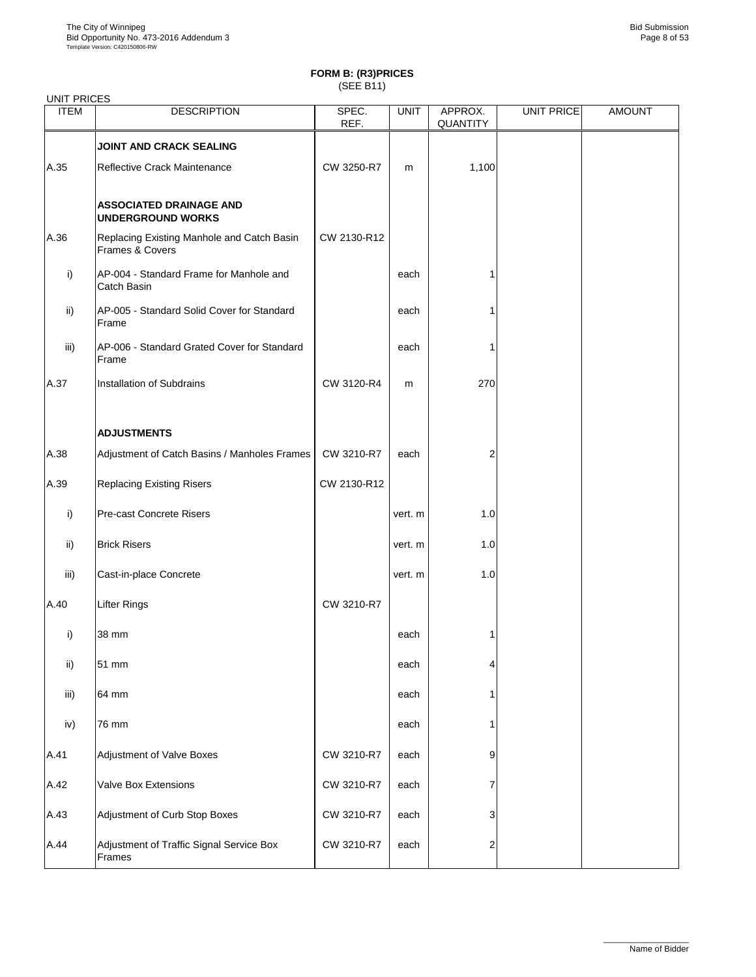| <b>UNIT PRICES</b> |                                                               |               |             |                     |            |               |
|--------------------|---------------------------------------------------------------|---------------|-------------|---------------------|------------|---------------|
| <b>ITEM</b>        | <b>DESCRIPTION</b>                                            | SPEC.<br>REF. | <b>UNIT</b> | APPROX.<br>QUANTITY | UNIT PRICE | <b>AMOUNT</b> |
|                    | <b>JOINT AND CRACK SEALING</b>                                |               |             |                     |            |               |
| A.35               | Reflective Crack Maintenance                                  | CW 3250-R7    | m           | 1,100               |            |               |
|                    | <b>ASSOCIATED DRAINAGE AND</b><br><b>UNDERGROUND WORKS</b>    |               |             |                     |            |               |
| A.36               | Replacing Existing Manhole and Catch Basin<br>Frames & Covers | CW 2130-R12   |             |                     |            |               |
| i)                 | AP-004 - Standard Frame for Manhole and<br>Catch Basin        |               | each        | 1                   |            |               |
| ii)                | AP-005 - Standard Solid Cover for Standard<br>Frame           |               | each        | 1                   |            |               |
| iii)               | AP-006 - Standard Grated Cover for Standard<br>Frame          |               | each        | 1                   |            |               |
| A.37               | Installation of Subdrains                                     | CW 3120-R4    | m           | 270                 |            |               |
|                    | <b>ADJUSTMENTS</b>                                            |               |             |                     |            |               |
| A.38               | Adjustment of Catch Basins / Manholes Frames                  | CW 3210-R7    | each        | $\overline{2}$      |            |               |
| A.39               | <b>Replacing Existing Risers</b>                              | CW 2130-R12   |             |                     |            |               |
| i)                 | Pre-cast Concrete Risers                                      |               | vert. m     | 1.0                 |            |               |
| ii)                | <b>Brick Risers</b>                                           |               | vert. m     | 1.0                 |            |               |
| iii)               | Cast-in-place Concrete                                        |               | vert. m     | 1.0                 |            |               |
| A.40               | <b>Lifter Rings</b>                                           | CW 3210-R7    |             |                     |            |               |
| i)                 | 38 mm                                                         |               | each        | 1                   |            |               |
| ii)                | 51 mm                                                         |               | each        | 4                   |            |               |
| iii)               | 64 mm                                                         |               | each        | 1                   |            |               |
| iv)                | 76 mm                                                         |               | each        | 1                   |            |               |
| A.41               | Adjustment of Valve Boxes                                     | CW 3210-R7    | each        | 9                   |            |               |
| A.42               | Valve Box Extensions                                          | CW 3210-R7    | each        | 7                   |            |               |
| A.43               | Adjustment of Curb Stop Boxes                                 | CW 3210-R7    | each        | 3                   |            |               |
| A.44               | Adjustment of Traffic Signal Service Box<br>Frames            | CW 3210-R7    | each        | 2                   |            |               |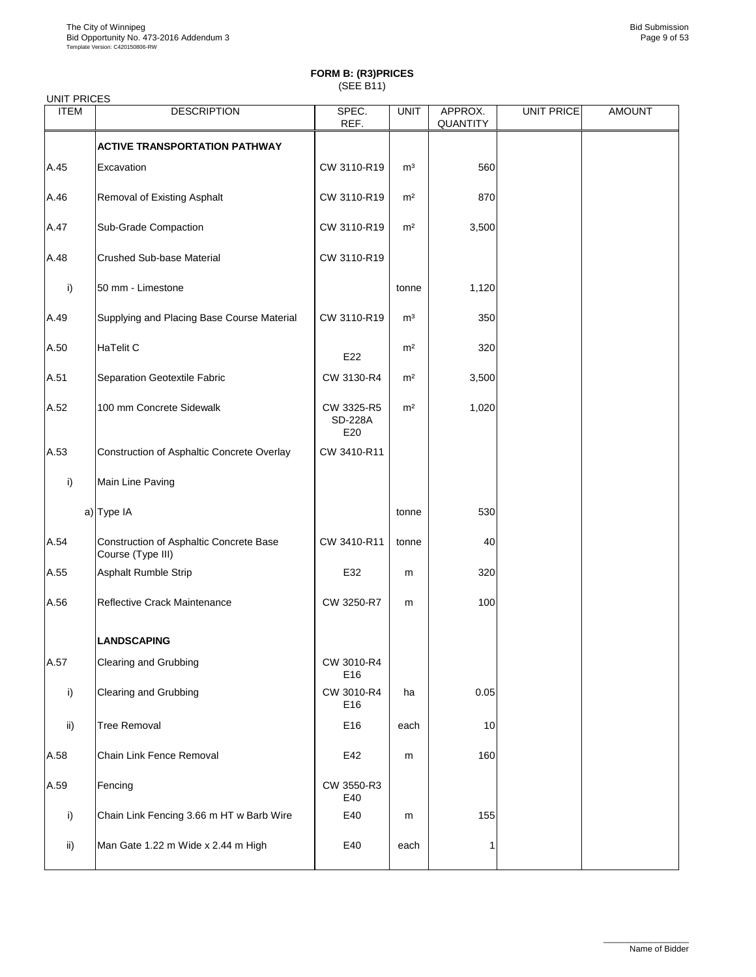| <b>UNIT PRICES</b> |                                                              |                                     |                |                     |                   |               |
|--------------------|--------------------------------------------------------------|-------------------------------------|----------------|---------------------|-------------------|---------------|
| <b>ITEM</b>        | <b>DESCRIPTION</b>                                           | SPEC.<br>REF.                       | <b>UNIT</b>    | APPROX.<br>QUANTITY | <b>UNIT PRICE</b> | <b>AMOUNT</b> |
|                    | <b>ACTIVE TRANSPORTATION PATHWAY</b>                         |                                     |                |                     |                   |               |
| A.45               | Excavation                                                   | CW 3110-R19                         | m <sup>3</sup> | 560                 |                   |               |
| A.46               | Removal of Existing Asphalt                                  | CW 3110-R19                         | m <sup>2</sup> | 870                 |                   |               |
| A.47               | Sub-Grade Compaction                                         | CW 3110-R19                         | m <sup>2</sup> | 3,500               |                   |               |
| A.48               | <b>Crushed Sub-base Material</b>                             | CW 3110-R19                         |                |                     |                   |               |
| i)                 | 50 mm - Limestone                                            |                                     | tonne          | 1,120               |                   |               |
| A.49               | Supplying and Placing Base Course Material                   | CW 3110-R19                         | m <sup>3</sup> | 350                 |                   |               |
| A.50               | <b>HaTelit C</b>                                             | E22                                 | m <sup>2</sup> | 320                 |                   |               |
| A.51               | Separation Geotextile Fabric                                 | CW 3130-R4                          | m <sup>2</sup> | 3,500               |                   |               |
| A.52               | 100 mm Concrete Sidewalk                                     | CW 3325-R5<br><b>SD-228A</b><br>E20 | m <sup>2</sup> | 1,020               |                   |               |
| A.53               | Construction of Asphaltic Concrete Overlay                   | CW 3410-R11                         |                |                     |                   |               |
| i)                 | Main Line Paving                                             |                                     |                |                     |                   |               |
|                    | a) Type IA                                                   |                                     | tonne          | 530                 |                   |               |
| A.54               | Construction of Asphaltic Concrete Base<br>Course (Type III) | CW 3410-R11                         | tonne          | 40                  |                   |               |
| A.55               | Asphalt Rumble Strip                                         | E32                                 | m              | 320                 |                   |               |
| A.56               | Reflective Crack Maintenance                                 | CW 3250-R7                          | m              | 100                 |                   |               |
|                    | LANDSCAPING                                                  |                                     |                |                     |                   |               |
| A.57               | Clearing and Grubbing                                        | CW 3010-R4<br>E16                   |                |                     |                   |               |
| i)                 | Clearing and Grubbing                                        | CW 3010-R4<br>E16                   | ha             | 0.05                |                   |               |
| ii)                | <b>Tree Removal</b>                                          | E16                                 | each           | 10                  |                   |               |
| A.58               | Chain Link Fence Removal                                     | E42                                 | m              | 160                 |                   |               |
| A.59               | Fencing                                                      | CW 3550-R3<br>E40                   |                |                     |                   |               |
| i)                 | Chain Link Fencing 3.66 m HT w Barb Wire                     | E40                                 | m              | 155                 |                   |               |
| ii)                | Man Gate 1.22 m Wide x 2.44 m High                           | E40                                 | each           | $\mathbf{1}$        |                   |               |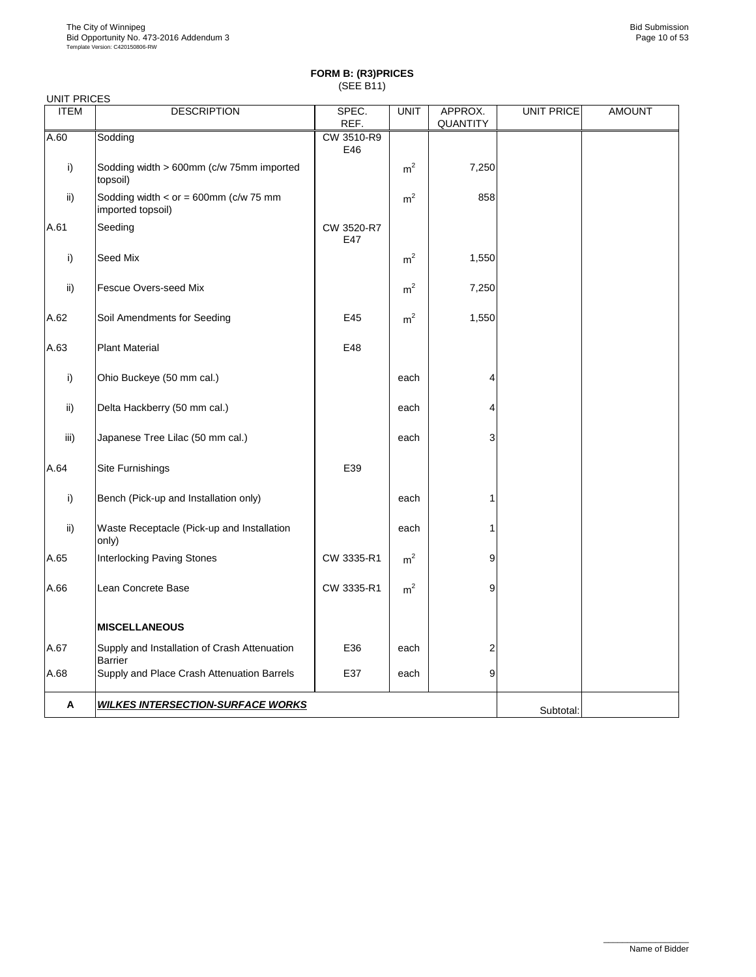| <b>UNIT PRICES</b> |                                                                  |                   |                |                     |                   |               |
|--------------------|------------------------------------------------------------------|-------------------|----------------|---------------------|-------------------|---------------|
| <b>ITEM</b>        | <b>DESCRIPTION</b>                                               | SPEC.<br>REF.     | <b>UNIT</b>    | APPROX.<br>QUANTITY | <b>UNIT PRICE</b> | <b>AMOUNT</b> |
| A.60               | Sodding                                                          | CW 3510-R9<br>E46 |                |                     |                   |               |
| i)                 | Sodding width > 600mm (c/w 75mm imported<br>topsoil)             |                   | m <sup>2</sup> | 7,250               |                   |               |
| ii)                | Sodding width < $or = 600$ mm ( $c/w$ 75 mm<br>imported topsoil) |                   | m <sup>2</sup> | 858                 |                   |               |
| A.61               | Seeding                                                          | CW 3520-R7<br>E47 |                |                     |                   |               |
| i)                 | Seed Mix                                                         |                   | m <sup>2</sup> | 1,550               |                   |               |
| ii)                | Fescue Overs-seed Mix                                            |                   | m <sup>2</sup> | 7,250               |                   |               |
| A.62               | Soil Amendments for Seeding                                      | E45               | m <sup>2</sup> | 1,550               |                   |               |
| A.63               | <b>Plant Material</b>                                            | E48               |                |                     |                   |               |
| i)                 | Ohio Buckeye (50 mm cal.)                                        |                   | each           | 4                   |                   |               |
| ii)                | Delta Hackberry (50 mm cal.)                                     |                   | each           | 4                   |                   |               |
| iii)               | Japanese Tree Lilac (50 mm cal.)                                 |                   | each           | 3                   |                   |               |
| A.64               | Site Furnishings                                                 | E39               |                |                     |                   |               |
| i)                 | Bench (Pick-up and Installation only)                            |                   | each           | 1                   |                   |               |
| ii)                | Waste Receptacle (Pick-up and Installation<br>only)              |                   | each           |                     |                   |               |
| A.65               | <b>Interlocking Paving Stones</b>                                | CW 3335-R1        | m <sup>2</sup> | 9                   |                   |               |
| A.66               | Lean Concrete Base                                               | CW 3335-R1        | m <sup>2</sup> | 9                   |                   |               |
|                    | <b>MISCELLANEOUS</b>                                             |                   |                |                     |                   |               |
| A.67               | Supply and Installation of Crash Attenuation<br>Barrier          | E36               | each           | 2                   |                   |               |
| A.68               | Supply and Place Crash Attenuation Barrels                       | E37               | each           | 9                   |                   |               |
| Α                  | <u>WILKES INTERSECTION-SURFACE WORKS</u>                         |                   |                |                     | Subtotal:         |               |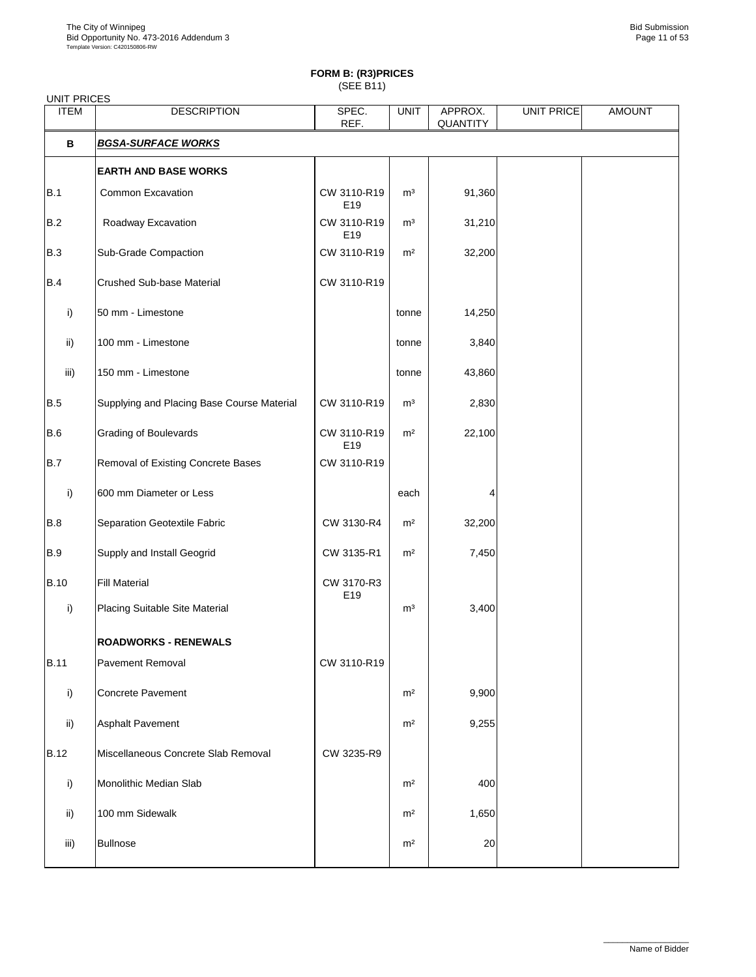| <b>UNIT PRICES</b> |                                            |                    |                |                     |                   |               |
|--------------------|--------------------------------------------|--------------------|----------------|---------------------|-------------------|---------------|
| <b>ITEM</b>        | <b>DESCRIPTION</b>                         | SPEC.<br>REF.      | <b>UNIT</b>    | APPROX.<br>QUANTITY | <b>UNIT PRICE</b> | <b>AMOUNT</b> |
| В                  | <b>BGSA-SURFACE WORKS</b>                  |                    |                |                     |                   |               |
|                    | <b>EARTH AND BASE WORKS</b>                |                    |                |                     |                   |               |
| B.1                | Common Excavation                          | CW 3110-R19<br>E19 | m <sup>3</sup> | 91,360              |                   |               |
| B.2                | Roadway Excavation                         | CW 3110-R19<br>E19 | m <sup>3</sup> | 31,210              |                   |               |
| <b>B.3</b>         | Sub-Grade Compaction                       | CW 3110-R19        | m <sup>2</sup> | 32,200              |                   |               |
| B.4                | Crushed Sub-base Material                  | CW 3110-R19        |                |                     |                   |               |
| i)                 | 50 mm - Limestone                          |                    | tonne          | 14,250              |                   |               |
| ii)                | 100 mm - Limestone                         |                    | tonne          | 3,840               |                   |               |
| iii)               | 150 mm - Limestone                         |                    | tonne          | 43,860              |                   |               |
| <b>B.5</b>         | Supplying and Placing Base Course Material | CW 3110-R19        | m <sup>3</sup> | 2,830               |                   |               |
| <b>B.6</b>         | <b>Grading of Boulevards</b>               | CW 3110-R19<br>E19 | m <sup>2</sup> | 22,100              |                   |               |
| B.7                | Removal of Existing Concrete Bases         | CW 3110-R19        |                |                     |                   |               |
| i)                 | 600 mm Diameter or Less                    |                    | each           |                     |                   |               |
| <b>B.8</b>         | Separation Geotextile Fabric               | CW 3130-R4         | m <sup>2</sup> | 32,200              |                   |               |
| <b>B.9</b>         | Supply and Install Geogrid                 | CW 3135-R1         | m <sup>2</sup> | 7,450               |                   |               |
| <b>B.10</b>        | <b>Fill Material</b>                       | CW 3170-R3<br>E19  |                |                     |                   |               |
| i)                 | Placing Suitable Site Material             |                    | m <sup>3</sup> | 3,400               |                   |               |
|                    | <b>ROADWORKS - RENEWALS</b>                |                    |                |                     |                   |               |
| <b>B.11</b>        | Pavement Removal                           | CW 3110-R19        |                |                     |                   |               |
| i)                 | Concrete Pavement                          |                    | m <sup>2</sup> | 9,900               |                   |               |
| ii)                | Asphalt Pavement                           |                    | m <sup>2</sup> | 9,255               |                   |               |
| <b>B.12</b>        | Miscellaneous Concrete Slab Removal        | CW 3235-R9         |                |                     |                   |               |
| i)                 | Monolithic Median Slab                     |                    | m <sup>2</sup> | 400                 |                   |               |
| ii)                | 100 mm Sidewalk                            |                    | m <sup>2</sup> | 1,650               |                   |               |
| iii)               | <b>Bullnose</b>                            |                    | m <sup>2</sup> | 20                  |                   |               |
|                    |                                            |                    |                |                     |                   |               |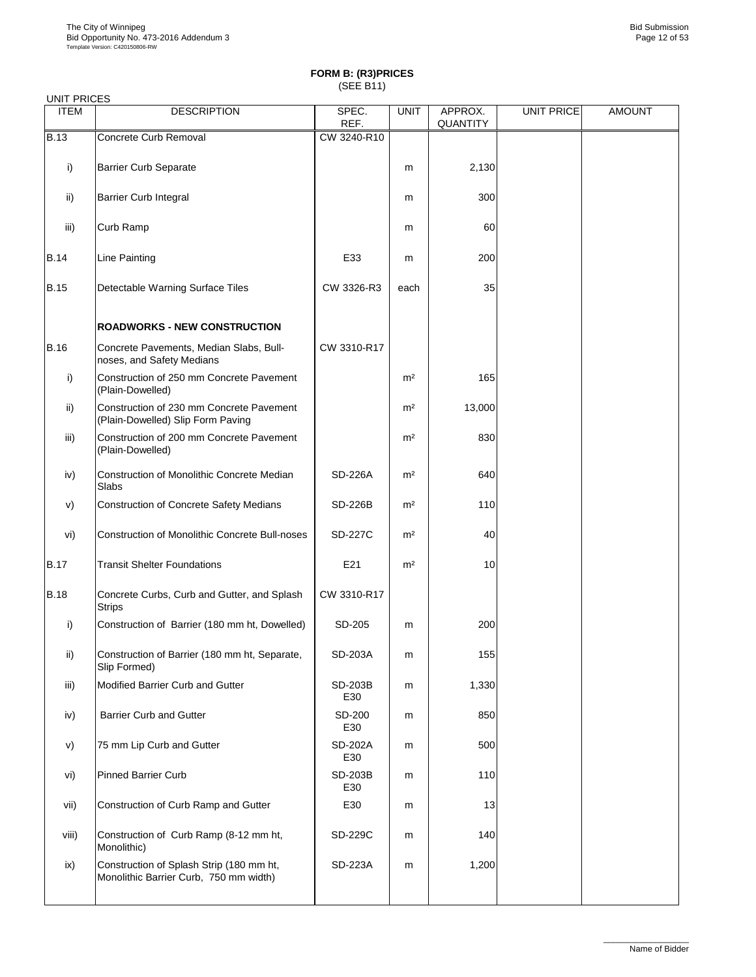| <b>UNIT PRICES</b> |                                                                                    |                |                |                     |                   |               |
|--------------------|------------------------------------------------------------------------------------|----------------|----------------|---------------------|-------------------|---------------|
| <b>ITEM</b>        | <b>DESCRIPTION</b>                                                                 | SPEC.<br>REF.  | <b>UNIT</b>    | APPROX.<br>QUANTITY | <b>UNIT PRICE</b> | <b>AMOUNT</b> |
| <b>B.13</b>        | Concrete Curb Removal                                                              | CW 3240-R10    |                |                     |                   |               |
| i)                 | <b>Barrier Curb Separate</b>                                                       |                | m              | 2,130               |                   |               |
| ii)                | Barrier Curb Integral                                                              |                | m              | 300                 |                   |               |
| iii)               | Curb Ramp                                                                          |                | m              | 60                  |                   |               |
| <b>B.14</b>        | Line Painting                                                                      | E33            | m              | 200                 |                   |               |
| <b>B.15</b>        | Detectable Warning Surface Tiles                                                   | CW 3326-R3     | each           | 35                  |                   |               |
|                    | <b>ROADWORKS - NEW CONSTRUCTION</b>                                                |                |                |                     |                   |               |
| <b>B.16</b>        | Concrete Pavements, Median Slabs, Bull-<br>noses, and Safety Medians               | CW 3310-R17    |                |                     |                   |               |
| i)                 | Construction of 250 mm Concrete Pavement<br>(Plain-Dowelled)                       |                | m <sup>2</sup> | 165                 |                   |               |
| ii)                | Construction of 230 mm Concrete Pavement<br>(Plain-Dowelled) Slip Form Paving      |                | m <sup>2</sup> | 13,000              |                   |               |
| iii)               | Construction of 200 mm Concrete Pavement<br>(Plain-Dowelled)                       |                | m <sup>2</sup> | 830                 |                   |               |
| iv)                | Construction of Monolithic Concrete Median<br>Slabs                                | SD-226A        | m <sup>2</sup> | 640                 |                   |               |
| V)                 | Construction of Concrete Safety Medians                                            | <b>SD-226B</b> | m <sup>2</sup> | 110                 |                   |               |
| vi)                | <b>Construction of Monolithic Concrete Bull-noses</b>                              | <b>SD-227C</b> | m <sup>2</sup> | 40                  |                   |               |
| <b>B.17</b>        | <b>Transit Shelter Foundations</b>                                                 | E21            | m <sup>2</sup> | 10                  |                   |               |
| <b>B.18</b>        | Concrete Curbs, Curb and Gutter, and Splash<br><b>Strips</b>                       | CW 3310-R17    |                |                     |                   |               |
| i)                 | Construction of Barrier (180 mm ht, Dowelled)                                      | SD-205         | m              | 200                 |                   |               |
| ii)                | Construction of Barrier (180 mm ht, Separate,<br>Slip Formed)                      | SD-203A        | m              | 155                 |                   |               |
| iii)               | Modified Barrier Curb and Gutter                                                   | SD-203B<br>E30 | m              | 1,330               |                   |               |
| iv)                | Barrier Curb and Gutter                                                            | SD-200<br>E30  | m              | 850                 |                   |               |
| V)                 | 75 mm Lip Curb and Gutter                                                          | SD-202A<br>E30 | m              | 500                 |                   |               |
| vi)                | <b>Pinned Barrier Curb</b>                                                         | SD-203B<br>E30 | m              | 110                 |                   |               |
| vii)               | Construction of Curb Ramp and Gutter                                               | E30            | m              | 13                  |                   |               |
| viii)              | Construction of Curb Ramp (8-12 mm ht,<br>Monolithic)                              | SD-229C        | m              | 140                 |                   |               |
| ix)                | Construction of Splash Strip (180 mm ht,<br>Monolithic Barrier Curb, 750 mm width) | SD-223A        | m              | 1,200               |                   |               |
|                    |                                                                                    |                |                |                     |                   |               |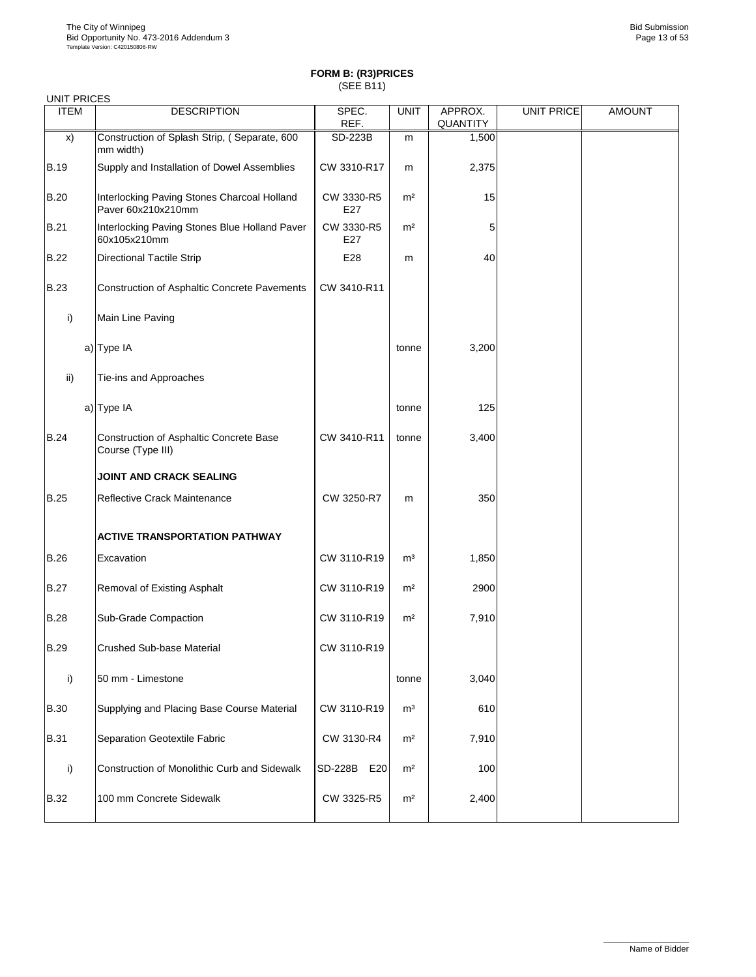| <b>UNIT PRICES</b> |                                                                   |                   |                |                            |                   |               |
|--------------------|-------------------------------------------------------------------|-------------------|----------------|----------------------------|-------------------|---------------|
| <b>ITEM</b>        | <b>DESCRIPTION</b>                                                | SPEC.<br>REF.     | <b>UNIT</b>    | APPROX.<br><b>QUANTITY</b> | <b>UNIT PRICE</b> | <b>AMOUNT</b> |
| X)                 | Construction of Splash Strip, (Separate, 600<br>mm width)         | SD-223B           | m              | 1,500                      |                   |               |
| <b>B.19</b>        | Supply and Installation of Dowel Assemblies                       | CW 3310-R17       | m              | 2,375                      |                   |               |
| <b>B.20</b>        | Interlocking Paving Stones Charcoal Holland<br>Paver 60x210x210mm | CW 3330-R5<br>E27 | m <sup>2</sup> | 15                         |                   |               |
| <b>B.21</b>        | Interlocking Paving Stones Blue Holland Paver<br>60x105x210mm     | CW 3330-R5<br>E27 | m <sup>2</sup> | 5                          |                   |               |
| <b>B.22</b>        | <b>Directional Tactile Strip</b>                                  | E28               | m              | 40                         |                   |               |
| <b>B.23</b>        | Construction of Asphaltic Concrete Pavements                      | CW 3410-R11       |                |                            |                   |               |
| i)                 | Main Line Paving                                                  |                   |                |                            |                   |               |
|                    | a) Type IA                                                        |                   | tonne          | 3,200                      |                   |               |
| $\mathsf{ii}$      | Tie-ins and Approaches                                            |                   |                |                            |                   |               |
|                    | a) Type IA                                                        |                   | tonne          | 125                        |                   |               |
| <b>B.24</b>        | Construction of Asphaltic Concrete Base<br>Course (Type III)      | CW 3410-R11       | tonne          | 3,400                      |                   |               |
|                    | JOINT AND CRACK SEALING                                           |                   |                |                            |                   |               |
| <b>B.25</b>        | Reflective Crack Maintenance                                      | CW 3250-R7        | m              | 350                        |                   |               |
|                    | <b>ACTIVE TRANSPORTATION PATHWAY</b>                              |                   |                |                            |                   |               |
| <b>B.26</b>        | Excavation                                                        | CW 3110-R19       | m <sup>3</sup> | 1,850                      |                   |               |
| <b>B.27</b>        | Removal of Existing Asphalt                                       | CW 3110-R19       | m <sup>2</sup> | 2900                       |                   |               |
| <b>B.28</b>        | Sub-Grade Compaction                                              | CW 3110-R19       | m <sup>2</sup> | 7,910                      |                   |               |
| B.29               | Crushed Sub-base Material                                         | CW 3110-R19       |                |                            |                   |               |
| i)                 | 50 mm - Limestone                                                 |                   | tonne          | 3,040                      |                   |               |
| <b>B.30</b>        | Supplying and Placing Base Course Material                        | CW 3110-R19       | m <sup>3</sup> | 610                        |                   |               |
| <b>B.31</b>        | Separation Geotextile Fabric                                      | CW 3130-R4        | m <sup>2</sup> | 7,910                      |                   |               |
| i)                 | Construction of Monolithic Curb and Sidewalk                      | SD-228B E20       | m <sup>2</sup> | 100                        |                   |               |
| <b>B.32</b>        | 100 mm Concrete Sidewalk                                          | CW 3325-R5        | m <sup>2</sup> | 2,400                      |                   |               |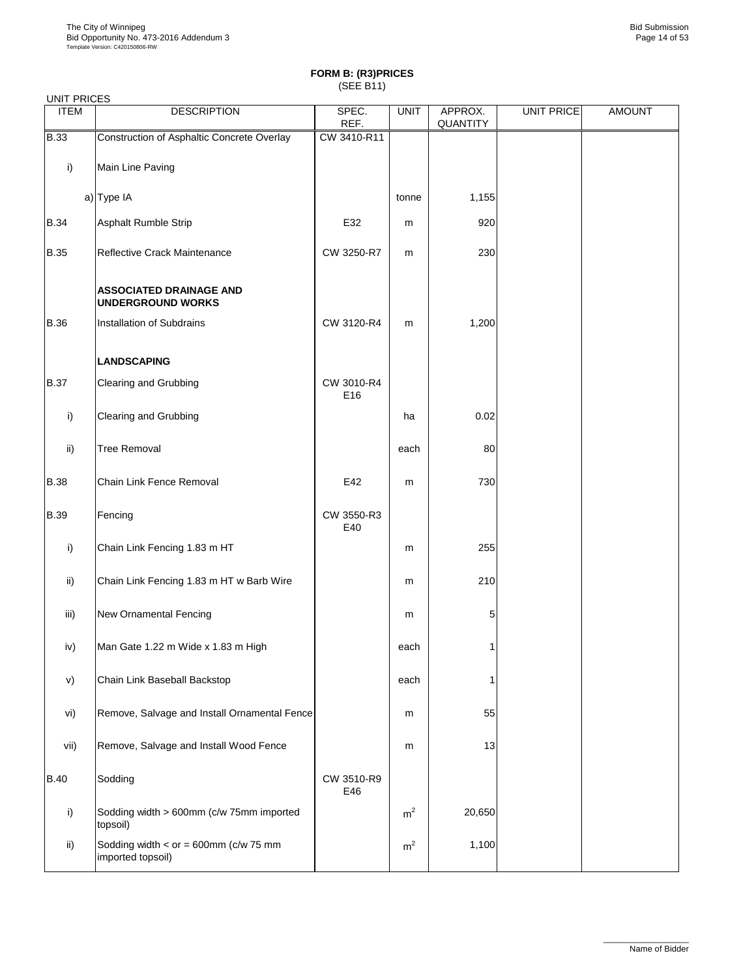| <b>UNIT PRICES</b> |                                                                  |                   |                |                     |                   |               |
|--------------------|------------------------------------------------------------------|-------------------|----------------|---------------------|-------------------|---------------|
| <b>ITEM</b>        | <b>DESCRIPTION</b>                                               | SPEC.<br>REF.     | <b>UNIT</b>    | APPROX.<br>QUANTITY | <b>UNIT PRICE</b> | <b>AMOUNT</b> |
| <b>B.33</b>        | Construction of Asphaltic Concrete Overlay                       | CW 3410-R11       |                |                     |                   |               |
| i)                 | Main Line Paving                                                 |                   |                |                     |                   |               |
|                    | a) Type IA                                                       |                   | tonne          | 1,155               |                   |               |
| <b>B.34</b>        | Asphalt Rumble Strip                                             | E32               | m              | 920                 |                   |               |
| <b>B.35</b>        | Reflective Crack Maintenance                                     | CW 3250-R7        | m              | 230                 |                   |               |
|                    | <b>ASSOCIATED DRAINAGE AND</b><br><b>UNDERGROUND WORKS</b>       |                   |                |                     |                   |               |
| <b>B.36</b>        | Installation of Subdrains                                        | CW 3120-R4        | m              | 1,200               |                   |               |
|                    | <b>LANDSCAPING</b>                                               |                   |                |                     |                   |               |
| <b>B.37</b>        | Clearing and Grubbing                                            | CW 3010-R4<br>E16 |                |                     |                   |               |
| i)                 | Clearing and Grubbing                                            |                   | ha             | 0.02                |                   |               |
| ii)                | <b>Tree Removal</b>                                              |                   | each           | 80                  |                   |               |
| <b>B.38</b>        | Chain Link Fence Removal                                         | E42               | m              | 730                 |                   |               |
| <b>B.39</b>        | Fencing                                                          | CW 3550-R3<br>E40 |                |                     |                   |               |
| i)                 | Chain Link Fencing 1.83 m HT                                     |                   | m              | 255                 |                   |               |
| ii)                | Chain Link Fencing 1.83 m HT w Barb Wire                         |                   | m              | 210                 |                   |               |
| iii)               | <b>New Ornamental Fencing</b>                                    |                   | m              | 5                   |                   |               |
| iv)                | Man Gate 1.22 m Wide x 1.83 m High                               |                   | each           |                     |                   |               |
| V)                 | Chain Link Baseball Backstop                                     |                   | each           | 1                   |                   |               |
| vi)                | Remove, Salvage and Install Ornamental Fence                     |                   | m              | 55                  |                   |               |
| vii)               | Remove, Salvage and Install Wood Fence                           |                   | m              | 13                  |                   |               |
| <b>B.40</b>        | Sodding                                                          | CW 3510-R9<br>E46 |                |                     |                   |               |
| i)                 | Sodding width > 600mm (c/w 75mm imported<br>topsoil)             |                   | m <sup>2</sup> | 20,650              |                   |               |
| ii)                | Sodding width < $or = 600$ mm ( $c/w$ 75 mm<br>imported topsoil) |                   | m <sup>2</sup> | 1,100               |                   |               |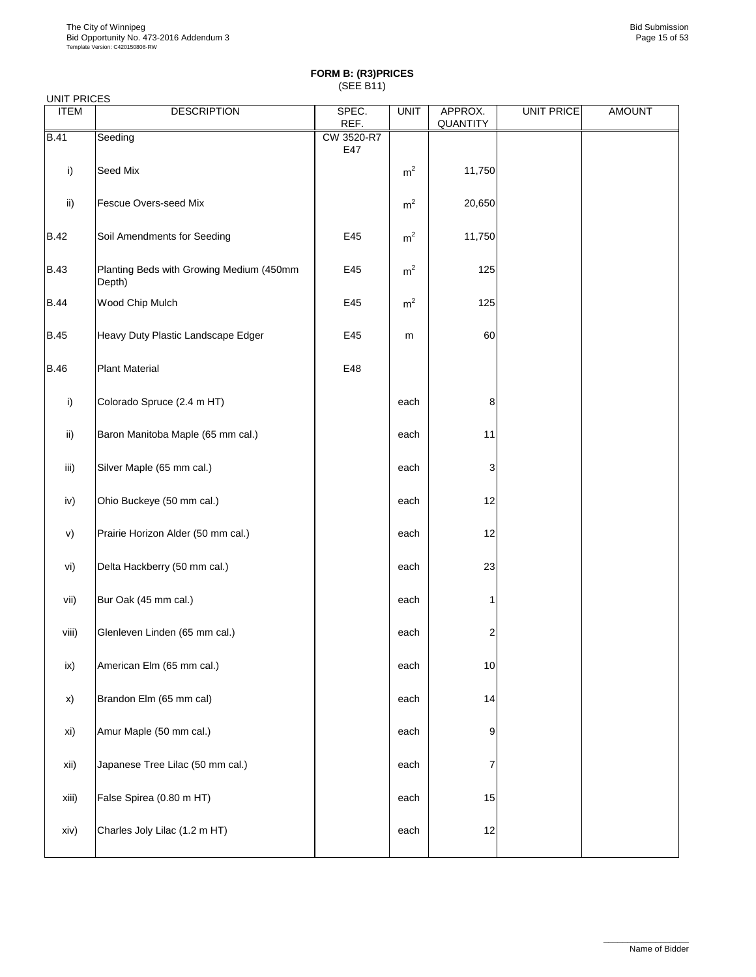| UNIT PRICES |                                                    |                   |                |                     |                   |               |  |  |  |
|-------------|----------------------------------------------------|-------------------|----------------|---------------------|-------------------|---------------|--|--|--|
| <b>ITEM</b> | <b>DESCRIPTION</b>                                 | SPEC.<br>REF.     | <b>UNIT</b>    | APPROX.<br>QUANTITY | <b>UNIT PRICE</b> | <b>AMOUNT</b> |  |  |  |
| <b>B.41</b> | Seeding                                            | CW 3520-R7<br>E47 |                |                     |                   |               |  |  |  |
| i)          | Seed Mix                                           |                   | m <sup>2</sup> | 11,750              |                   |               |  |  |  |
| ii)         | Fescue Overs-seed Mix                              |                   | m <sup>2</sup> | 20,650              |                   |               |  |  |  |
| <b>B.42</b> | Soil Amendments for Seeding                        | E45               | m <sup>2</sup> | 11,750              |                   |               |  |  |  |
| <b>B.43</b> | Planting Beds with Growing Medium (450mm<br>Depth) | E45               | m <sup>2</sup> | 125                 |                   |               |  |  |  |
| <b>B.44</b> | Wood Chip Mulch                                    | E45               | m <sup>2</sup> | 125                 |                   |               |  |  |  |
| <b>B.45</b> | Heavy Duty Plastic Landscape Edger                 | E45               | m              | 60                  |                   |               |  |  |  |
| <b>B.46</b> | <b>Plant Material</b>                              | E48               |                |                     |                   |               |  |  |  |
| i)          | Colorado Spruce (2.4 m HT)                         |                   | each           | 8                   |                   |               |  |  |  |
| ii)         | Baron Manitoba Maple (65 mm cal.)                  |                   | each           | 11                  |                   |               |  |  |  |
| iii)        | Silver Maple (65 mm cal.)                          |                   | each           | 3                   |                   |               |  |  |  |
| iv)         | Ohio Buckeye (50 mm cal.)                          |                   | each           | 12                  |                   |               |  |  |  |
| v)          | Prairie Horizon Alder (50 mm cal.)                 |                   | each           | 12                  |                   |               |  |  |  |
| vi)         | Delta Hackberry (50 mm cal.)                       |                   | each           | 23                  |                   |               |  |  |  |
| vii)        | Bur Oak (45 mm cal.)                               |                   | each           | 1                   |                   |               |  |  |  |
| viii)       | Glenleven Linden (65 mm cal.)                      |                   | each           | 2                   |                   |               |  |  |  |
| ix)         | American Elm (65 mm cal.)                          |                   | each           | 10                  |                   |               |  |  |  |
| x)          | Brandon Elm (65 mm cal)                            |                   | each           | 14                  |                   |               |  |  |  |
| xi)         | Amur Maple (50 mm cal.)                            |                   | each           | 9                   |                   |               |  |  |  |
| xii)        | Japanese Tree Lilac (50 mm cal.)                   |                   | each           | 7                   |                   |               |  |  |  |
| xiii)       | False Spirea (0.80 m HT)                           |                   | each           | 15                  |                   |               |  |  |  |
| xiv)        | Charles Joly Lilac (1.2 m HT)                      |                   | each           | 12                  |                   |               |  |  |  |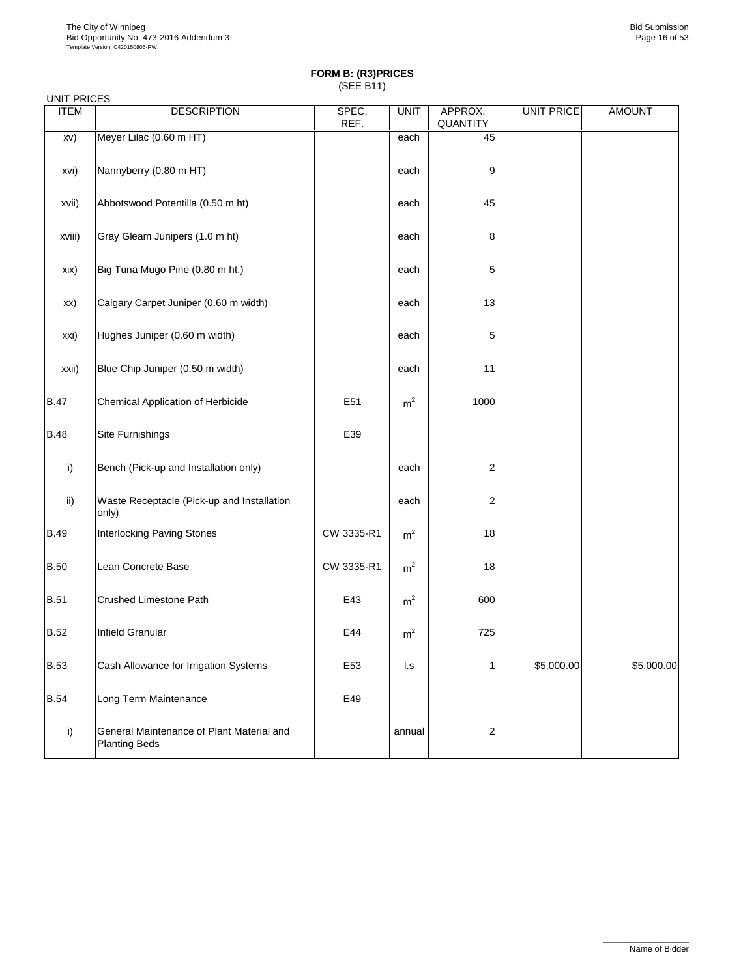| <b>UNIT PRICES</b> |                                                                   |               |                |                         |                   |               |
|--------------------|-------------------------------------------------------------------|---------------|----------------|-------------------------|-------------------|---------------|
| <b>ITEM</b>        | <b>DESCRIPTION</b>                                                | SPEC.<br>REF. | <b>UNIT</b>    | APPROX.<br>QUANTITY     | <b>UNIT PRICE</b> | <b>AMOUNT</b> |
| xv)                | Meyer Lilac (0.60 m HT)                                           |               | each           | 45                      |                   |               |
| xvi)               | Nannyberry (0.80 m HT)                                            |               | each           | 9                       |                   |               |
| xvii)              | Abbotswood Potentilla (0.50 m ht)                                 |               | each           | 45                      |                   |               |
| xviii)             | Gray Gleam Junipers (1.0 m ht)                                    |               | each           | 8                       |                   |               |
| xix)               | Big Tuna Mugo Pine (0.80 m ht.)                                   |               | each           | 5                       |                   |               |
| xx)                | Calgary Carpet Juniper (0.60 m width)                             |               | each           | 13                      |                   |               |
| xxi)               | Hughes Juniper (0.60 m width)                                     |               | each           | 5                       |                   |               |
| xxii)              | Blue Chip Juniper (0.50 m width)                                  |               | each           | 11                      |                   |               |
| <b>B.47</b>        | Chemical Application of Herbicide                                 | E51           | m <sup>2</sup> | 1000                    |                   |               |
| <b>B.48</b>        | Site Furnishings                                                  | E39           |                |                         |                   |               |
| i)                 | Bench (Pick-up and Installation only)                             |               | each           | $\overline{\mathbf{c}}$ |                   |               |
| ii)                | Waste Receptacle (Pick-up and Installation<br>only)               |               | each           | 2                       |                   |               |
| <b>B.49</b>        | Interlocking Paving Stones                                        | CW 3335-R1    | m <sup>2</sup> | 18                      |                   |               |
| <b>B.50</b>        | Lean Concrete Base                                                | CW 3335-R1    | m <sup>2</sup> | 18                      |                   |               |
| <b>B.51</b>        | Crushed Limestone Path                                            | E43           | m <sup>2</sup> | 600                     |                   |               |
| <b>B.52</b>        | Infield Granular                                                  | E44           | m <sup>2</sup> | 725                     |                   |               |
| <b>B.53</b>        | Cash Allowance for Irrigation Systems                             | E53           | l.s            | 1                       | \$5,000.00        | \$5,000.00    |
| <b>B.54</b>        | Long Term Maintenance                                             | E49           |                |                         |                   |               |
| i)                 | General Maintenance of Plant Material and<br><b>Planting Beds</b> |               | annual         | 2                       |                   |               |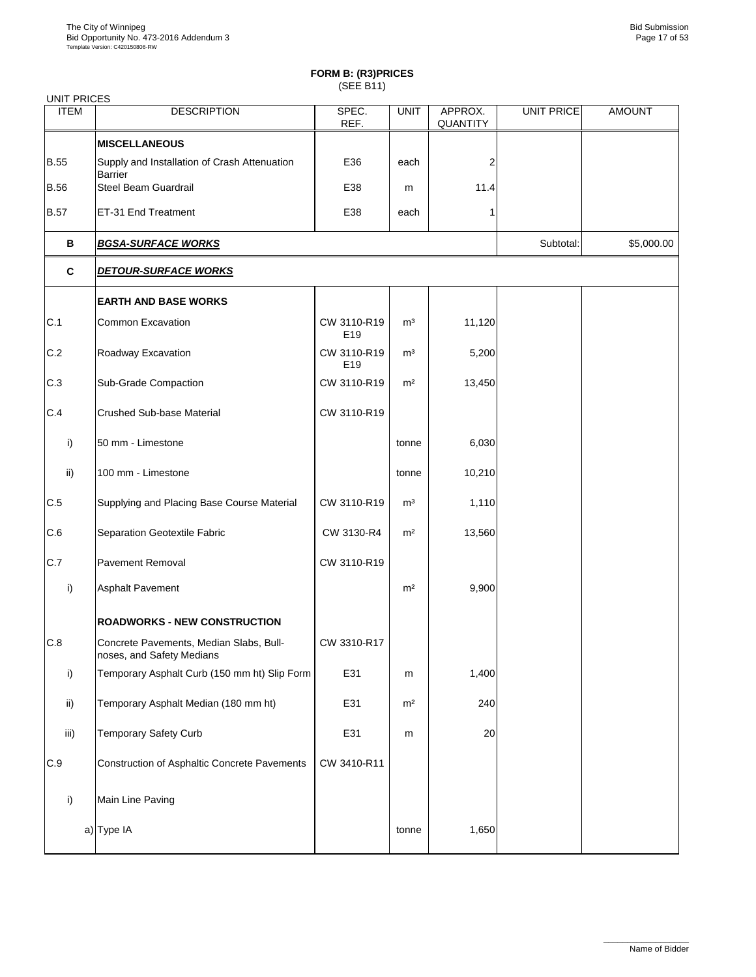| <b>UNIT PRICES</b> |                                                                      |                    |                |                     |                   |               |
|--------------------|----------------------------------------------------------------------|--------------------|----------------|---------------------|-------------------|---------------|
| <b>ITEM</b>        | <b>DESCRIPTION</b>                                                   | SPEC.<br>REF.      | <b>UNIT</b>    | APPROX.<br>QUANTITY | <b>UNIT PRICE</b> | <b>AMOUNT</b> |
|                    | <b>MISCELLANEOUS</b>                                                 |                    |                |                     |                   |               |
| <b>B.55</b>        | Supply and Installation of Crash Attenuation<br><b>Barrier</b>       | E36                | each           | 2                   |                   |               |
| <b>B.56</b>        | Steel Beam Guardrail                                                 | E38                | m              | 11.4                |                   |               |
| <b>B.57</b>        | ET-31 End Treatment                                                  | E38                | each           |                     |                   |               |
| В                  | <b>BGSA-SURFACE WORKS</b>                                            |                    |                |                     | Subtotal:         | \$5,000.00    |
| C                  | <b>DETOUR-SURFACE WORKS</b>                                          |                    |                |                     |                   |               |
|                    | <b>EARTH AND BASE WORKS</b>                                          |                    |                |                     |                   |               |
| C.1                | <b>Common Excavation</b>                                             | CW 3110-R19<br>E19 | m <sup>3</sup> | 11,120              |                   |               |
| C.2                | Roadway Excavation                                                   | CW 3110-R19<br>E19 | m <sup>3</sup> | 5,200               |                   |               |
| C.3                | Sub-Grade Compaction                                                 | CW 3110-R19        | m <sup>2</sup> | 13,450              |                   |               |
| C.4                | <b>Crushed Sub-base Material</b>                                     | CW 3110-R19        |                |                     |                   |               |
| i)                 | 50 mm - Limestone                                                    |                    | tonne          | 6,030               |                   |               |
| ii)                | 100 mm - Limestone                                                   |                    | tonne          | 10,210              |                   |               |
| C.5                | Supplying and Placing Base Course Material                           | CW 3110-R19        | m <sup>3</sup> | 1,110               |                   |               |
| C.6                | Separation Geotextile Fabric                                         | CW 3130-R4         | m <sup>2</sup> | 13,560              |                   |               |
| C.7                | <b>Pavement Removal</b>                                              | CW 3110-R19        |                |                     |                   |               |
| i)                 | <b>Asphalt Pavement</b>                                              |                    | m <sup>2</sup> | 9,900               |                   |               |
|                    | <b>ROADWORKS - NEW CONSTRUCTION</b>                                  |                    |                |                     |                   |               |
| C.8                | Concrete Pavements, Median Slabs, Bull-<br>noses, and Safety Medians | CW 3310-R17        |                |                     |                   |               |
| i)                 | Temporary Asphalt Curb (150 mm ht) Slip Form                         | E31                | m              | 1,400               |                   |               |
| ii)                | Temporary Asphalt Median (180 mm ht)                                 | E31                | m <sup>2</sup> | 240                 |                   |               |
| iii)               | <b>Temporary Safety Curb</b>                                         | E31                | m              | 20                  |                   |               |
| $\mbox{C.9}$       | <b>Construction of Asphaltic Concrete Pavements</b>                  | CW 3410-R11        |                |                     |                   |               |
| i)                 | Main Line Paving                                                     |                    |                |                     |                   |               |
|                    | a) Type IA                                                           |                    | tonne          | 1,650               |                   |               |
|                    |                                                                      |                    |                |                     |                   |               |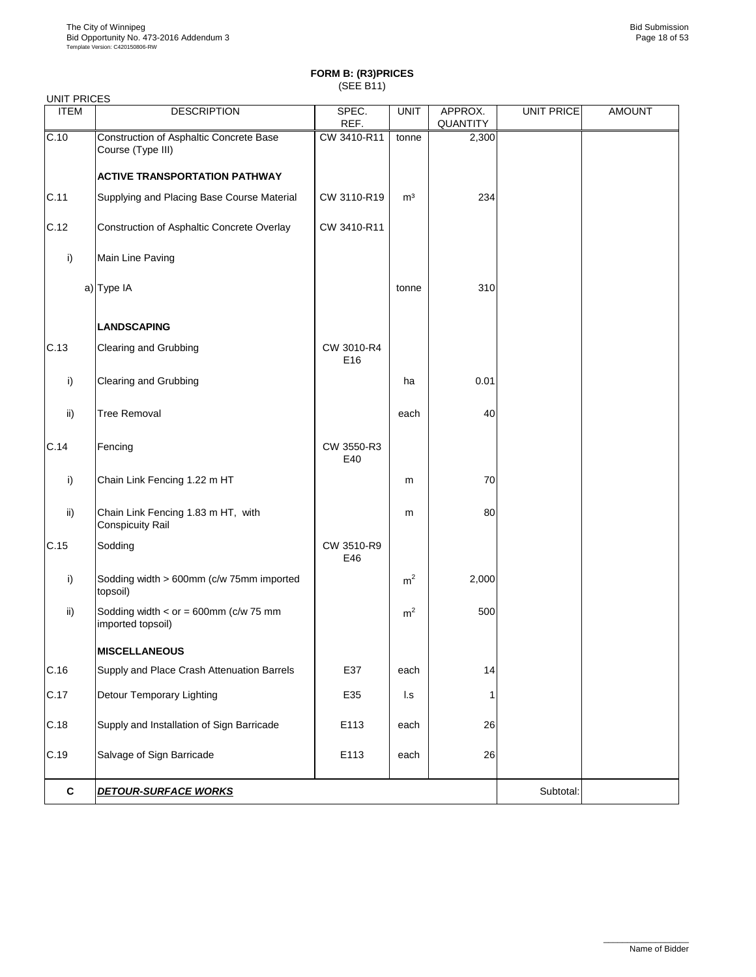| <b>UNIT PRICES</b> |                                                                  |                   |                |                     |                   |               |
|--------------------|------------------------------------------------------------------|-------------------|----------------|---------------------|-------------------|---------------|
| <b>ITEM</b>        | <b>DESCRIPTION</b>                                               | SPEC.<br>REF.     | <b>UNIT</b>    | APPROX.<br>QUANTITY | <b>UNIT PRICE</b> | <b>AMOUNT</b> |
| C.10               | Construction of Asphaltic Concrete Base<br>Course (Type III)     | CW 3410-R11       | tonne          | 2,300               |                   |               |
|                    | <b>ACTIVE TRANSPORTATION PATHWAY</b>                             |                   |                |                     |                   |               |
| C.11               | Supplying and Placing Base Course Material                       | CW 3110-R19       | m <sup>3</sup> | 234                 |                   |               |
| C.12               | Construction of Asphaltic Concrete Overlay                       | CW 3410-R11       |                |                     |                   |               |
| i)                 | Main Line Paving                                                 |                   |                |                     |                   |               |
|                    | a) Type IA                                                       |                   | tonne          | 310                 |                   |               |
|                    | <b>LANDSCAPING</b>                                               |                   |                |                     |                   |               |
| C.13               | Clearing and Grubbing                                            | CW 3010-R4<br>E16 |                |                     |                   |               |
| i)                 | Clearing and Grubbing                                            |                   | ha             | 0.01                |                   |               |
| ii)                | <b>Tree Removal</b>                                              |                   | each           | 40                  |                   |               |
| C.14               | Fencing                                                          | CW 3550-R3<br>E40 |                |                     |                   |               |
| i)                 | Chain Link Fencing 1.22 m HT                                     |                   | m              | 70                  |                   |               |
| ii)                | Chain Link Fencing 1.83 m HT, with<br><b>Conspicuity Rail</b>    |                   | m              | 80                  |                   |               |
| C.15               | Sodding                                                          | CW 3510-R9<br>E46 |                |                     |                   |               |
| i)                 | Sodding width > 600mm (c/w 75mm imported<br>topsoil)             |                   | m <sup>2</sup> | 2,000               |                   |               |
| ii)                | Sodding width < $or = 600$ mm ( $c/w$ 75 mm<br>imported topsoil) |                   | m <sup>2</sup> | 500                 |                   |               |
|                    | <b>MISCELLANEOUS</b>                                             |                   |                |                     |                   |               |
| C.16               | Supply and Place Crash Attenuation Barrels                       | E37               | each           | 14                  |                   |               |
| C.17               | Detour Temporary Lighting                                        | E35               | I.s            |                     |                   |               |
| C.18               | Supply and Installation of Sign Barricade                        | E113              | each           | 26                  |                   |               |
| C.19               | Salvage of Sign Barricade                                        | E113              | each           | 26                  |                   |               |
| $\mathbf{c}$       | <b>DETOUR-SURFACE WORKS</b>                                      |                   |                |                     | Subtotal:         |               |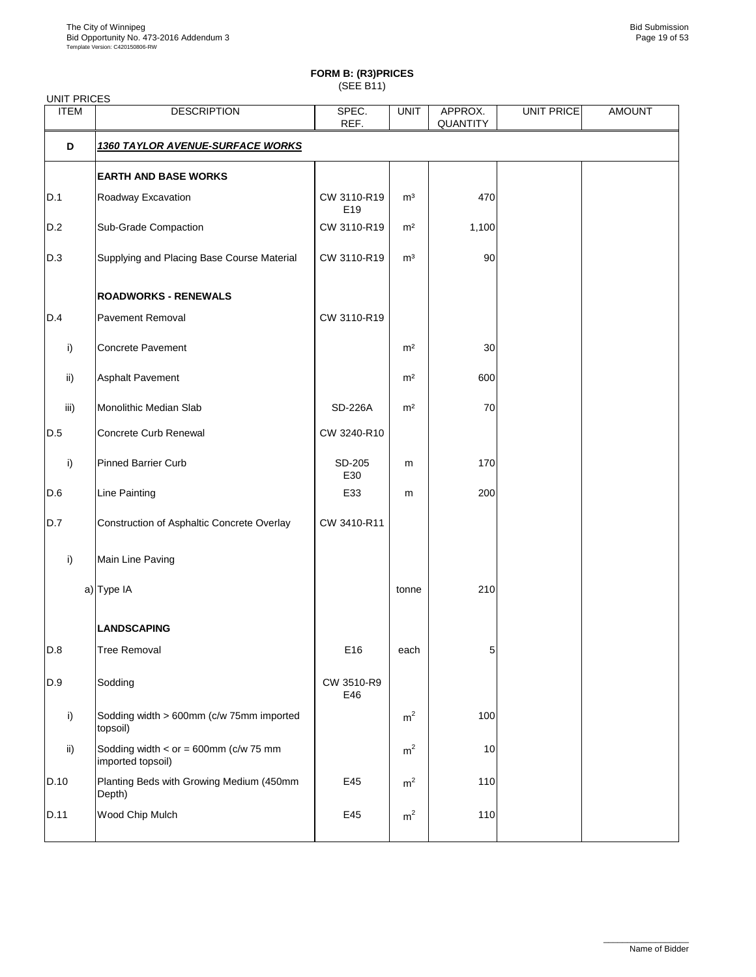## **FORM B: (R3)PRICES**

(SEE B11)

| <b>UNIT PRICES</b> |                                                              |                    |                |                     |            |               |
|--------------------|--------------------------------------------------------------|--------------------|----------------|---------------------|------------|---------------|
| <b>ITEM</b>        | <b>DESCRIPTION</b>                                           | SPEC.<br>REF.      | <b>UNIT</b>    | APPROX.<br>QUANTITY | UNIT PRICE | <b>AMOUNT</b> |
| D                  | <u>1360 TAYLOR AVENUE-SURFACE WORKS</u>                      |                    |                |                     |            |               |
|                    | <b>EARTH AND BASE WORKS</b>                                  |                    |                |                     |            |               |
| D.1                | Roadway Excavation                                           | CW 3110-R19<br>E19 | m <sup>3</sup> | 470                 |            |               |
| D.2                | Sub-Grade Compaction                                         | CW 3110-R19        | m <sup>2</sup> | 1,100               |            |               |
| D.3                | Supplying and Placing Base Course Material                   | CW 3110-R19        | m <sup>3</sup> | 90                  |            |               |
|                    | <b>ROADWORKS - RENEWALS</b>                                  |                    |                |                     |            |               |
| D.4                | Pavement Removal                                             | CW 3110-R19        |                |                     |            |               |
| i)                 | Concrete Pavement                                            |                    | m <sup>2</sup> | 30                  |            |               |
| ii)                | Asphalt Pavement                                             |                    | m <sup>2</sup> | 600                 |            |               |
| iii)               | Monolithic Median Slab                                       | SD-226A            | m <sup>2</sup> | 70                  |            |               |
| D.5                | Concrete Curb Renewal                                        | CW 3240-R10        |                |                     |            |               |
| i)                 | <b>Pinned Barrier Curb</b>                                   | SD-205<br>E30      | m              | 170                 |            |               |
| D.6                | <b>Line Painting</b>                                         | E33                | m              | 200                 |            |               |
| D.7                | Construction of Asphaltic Concrete Overlay                   | CW 3410-R11        |                |                     |            |               |
| i)                 | Main Line Paving                                             |                    |                |                     |            |               |
|                    | a) Type IA                                                   |                    | tonne          | 210                 |            |               |
|                    | <b>LANDSCAPING</b>                                           |                    |                |                     |            |               |
| D.8                | <b>Tree Removal</b>                                          | E16                | each           | 5                   |            |               |
| D.9                | Sodding                                                      | CW 3510-R9<br>E46  |                |                     |            |               |
| i)                 | Sodding width > 600mm (c/w 75mm imported<br>topsoil)         |                    | m <sup>2</sup> | 100                 |            |               |
| $\mathsf{ii}$      | Sodding width $<$ or = 600mm (c/w 75 mm<br>imported topsoil) |                    | m <sup>2</sup> | 10                  |            |               |
| D.10               | Planting Beds with Growing Medium (450mm<br>Depth)           | E45                | m <sup>2</sup> | 110                 |            |               |
| D.11               | Wood Chip Mulch                                              | E45                | m <sup>2</sup> | 110                 |            |               |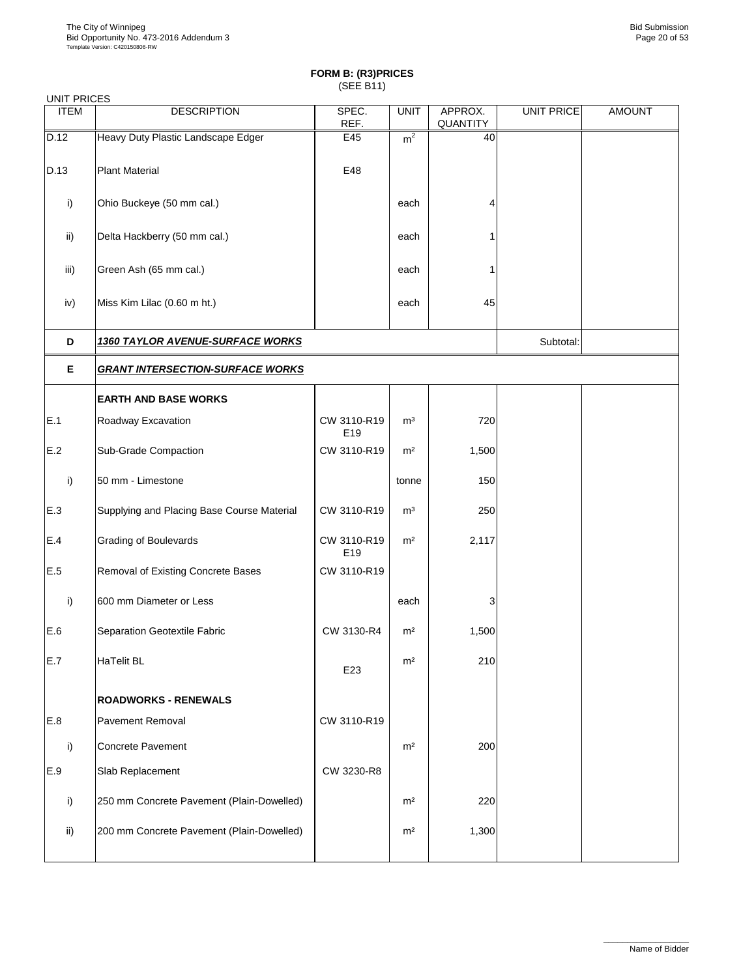| <b>UNIT PRICES</b> |                                            |                    |                |                     |                   |               |  |  |  |
|--------------------|--------------------------------------------|--------------------|----------------|---------------------|-------------------|---------------|--|--|--|
| <b>ITEM</b>        | <b>DESCRIPTION</b>                         | SPEC.<br>REF.      | <b>UNIT</b>    | APPROX.<br>QUANTITY | <b>UNIT PRICE</b> | <b>AMOUNT</b> |  |  |  |
| D.12               | Heavy Duty Plastic Landscape Edger         | E45                | m <sup>2</sup> | 40                  |                   |               |  |  |  |
| D.13               | <b>Plant Material</b>                      | E48                |                |                     |                   |               |  |  |  |
| i)                 | Ohio Buckeye (50 mm cal.)                  |                    | each           | 4                   |                   |               |  |  |  |
| ii)                | Delta Hackberry (50 mm cal.)               |                    | each           | 1                   |                   |               |  |  |  |
| iii)               | Green Ash (65 mm cal.)                     |                    | each           | 1                   |                   |               |  |  |  |
| iv)                | Miss Kim Lilac (0.60 m ht.)                |                    | each           | 45                  |                   |               |  |  |  |
| D                  | <b>1360 TAYLOR AVENUE-SURFACE WORKS</b>    |                    |                |                     | Subtotal:         |               |  |  |  |
| Е                  | <b>GRANT INTERSECTION-SURFACE WORKS</b>    |                    |                |                     |                   |               |  |  |  |
|                    | <b>EARTH AND BASE WORKS</b>                |                    |                |                     |                   |               |  |  |  |
| E.1                | Roadway Excavation                         | CW 3110-R19<br>E19 | m <sup>3</sup> | 720                 |                   |               |  |  |  |
| E.2                | Sub-Grade Compaction                       | CW 3110-R19        | m <sup>2</sup> | 1,500               |                   |               |  |  |  |
| i)                 | 50 mm - Limestone                          |                    | tonne          | 150                 |                   |               |  |  |  |
| E.3                | Supplying and Placing Base Course Material | CW 3110-R19        | m <sup>3</sup> | 250                 |                   |               |  |  |  |
| $E.4$              | Grading of Boulevards                      | CW 3110-R19<br>E19 | m <sup>2</sup> | 2,117               |                   |               |  |  |  |
| E.5                | Removal of Existing Concrete Bases         | CW 3110-R19        |                |                     |                   |               |  |  |  |
| i)                 | 600 mm Diameter or Less                    |                    | each           | 3                   |                   |               |  |  |  |
| E.6                | Separation Geotextile Fabric               | CW 3130-R4         | m <sup>2</sup> | 1,500               |                   |               |  |  |  |
| E.7                | <b>HaTelit BL</b>                          | E23                | m <sup>2</sup> | 210                 |                   |               |  |  |  |
|                    | <b>ROADWORKS - RENEWALS</b>                |                    |                |                     |                   |               |  |  |  |
| E.8                | Pavement Removal                           | CW 3110-R19        |                |                     |                   |               |  |  |  |
| i)                 | Concrete Pavement                          |                    | m <sup>2</sup> | 200                 |                   |               |  |  |  |
| E.9                | Slab Replacement                           | CW 3230-R8         |                |                     |                   |               |  |  |  |
| i)                 | 250 mm Concrete Pavement (Plain-Dowelled)  |                    | m <sup>2</sup> | 220                 |                   |               |  |  |  |
| ii)                | 200 mm Concrete Pavement (Plain-Dowelled)  |                    | m <sup>2</sup> | 1,300               |                   |               |  |  |  |
|                    |                                            |                    |                |                     |                   |               |  |  |  |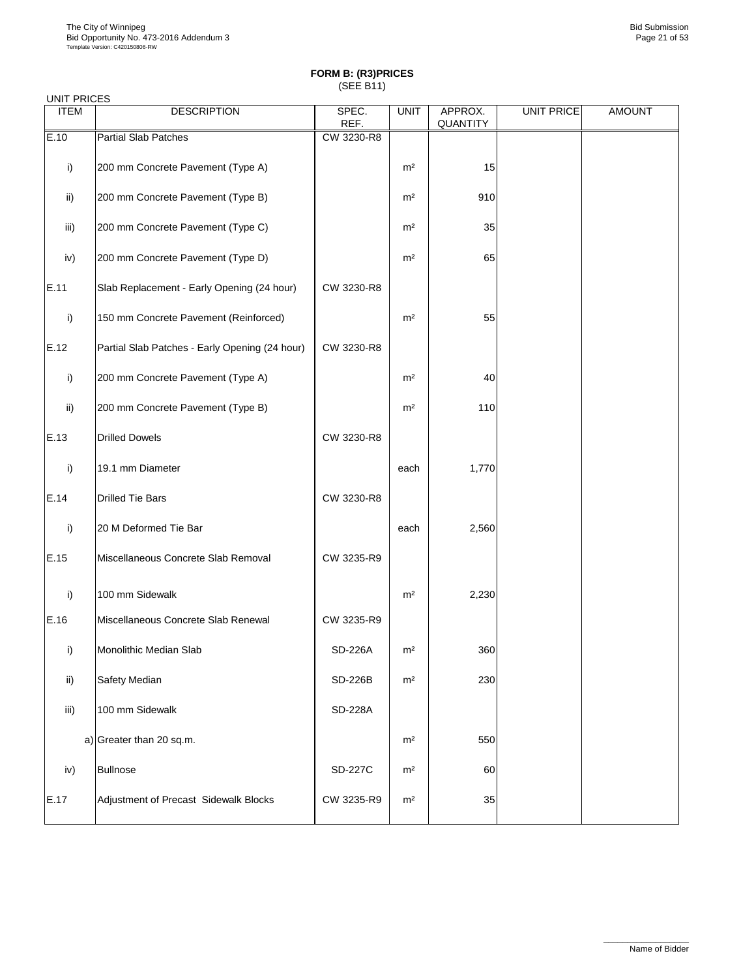| <b>UNIT PRICES</b> |                                                |                |                |                     |                   |               |
|--------------------|------------------------------------------------|----------------|----------------|---------------------|-------------------|---------------|
| <b>ITEM</b>        | <b>DESCRIPTION</b>                             | SPEC.<br>REF.  | <b>UNIT</b>    | APPROX.<br>QUANTITY | <b>UNIT PRICE</b> | <b>AMOUNT</b> |
| E.10               | <b>Partial Slab Patches</b>                    | CW 3230-R8     |                |                     |                   |               |
| i)                 | 200 mm Concrete Pavement (Type A)              |                | m <sup>2</sup> | 15                  |                   |               |
| ii)                | 200 mm Concrete Pavement (Type B)              |                | m <sup>2</sup> | 910                 |                   |               |
| iii)               | 200 mm Concrete Pavement (Type C)              |                | m <sup>2</sup> | 35                  |                   |               |
| iv)                | 200 mm Concrete Pavement (Type D)              |                | m <sup>2</sup> | 65                  |                   |               |
| E.11               | Slab Replacement - Early Opening (24 hour)     | CW 3230-R8     |                |                     |                   |               |
| i)                 | 150 mm Concrete Pavement (Reinforced)          |                | m <sup>2</sup> | 55                  |                   |               |
| E.12               | Partial Slab Patches - Early Opening (24 hour) | CW 3230-R8     |                |                     |                   |               |
| i)                 | 200 mm Concrete Pavement (Type A)              |                | m <sup>2</sup> | 40                  |                   |               |
| $\mathsf{ii}$      | 200 mm Concrete Pavement (Type B)              |                | m <sup>2</sup> | 110                 |                   |               |
| E.13               | <b>Drilled Dowels</b>                          | CW 3230-R8     |                |                     |                   |               |
| i)                 | 19.1 mm Diameter                               |                | each           | 1,770               |                   |               |
| E.14               | <b>Drilled Tie Bars</b>                        | CW 3230-R8     |                |                     |                   |               |
| i)                 | 20 M Deformed Tie Bar                          |                | each           | 2,560               |                   |               |
| E.15               | Miscellaneous Concrete Slab Removal            | CW 3235-R9     |                |                     |                   |               |
| i)                 | 100 mm Sidewalk                                |                | m <sup>2</sup> | 2,230               |                   |               |
| E.16               | Miscellaneous Concrete Slab Renewal            | CW 3235-R9     |                |                     |                   |               |
| i)                 | Monolithic Median Slab                         | SD-226A        | m <sup>2</sup> | 360                 |                   |               |
| ii)                | Safety Median                                  | <b>SD-226B</b> | m <sup>2</sup> | 230                 |                   |               |
| iii)               | 100 mm Sidewalk                                | SD-228A        |                |                     |                   |               |
|                    | a) Greater than 20 sq.m.                       |                | m <sup>2</sup> | 550                 |                   |               |
| iv)                | <b>Bullnose</b>                                | <b>SD-227C</b> | m <sup>2</sup> | 60                  |                   |               |
| E.17               | Adjustment of Precast Sidewalk Blocks          | CW 3235-R9     | m <sup>2</sup> | 35                  |                   |               |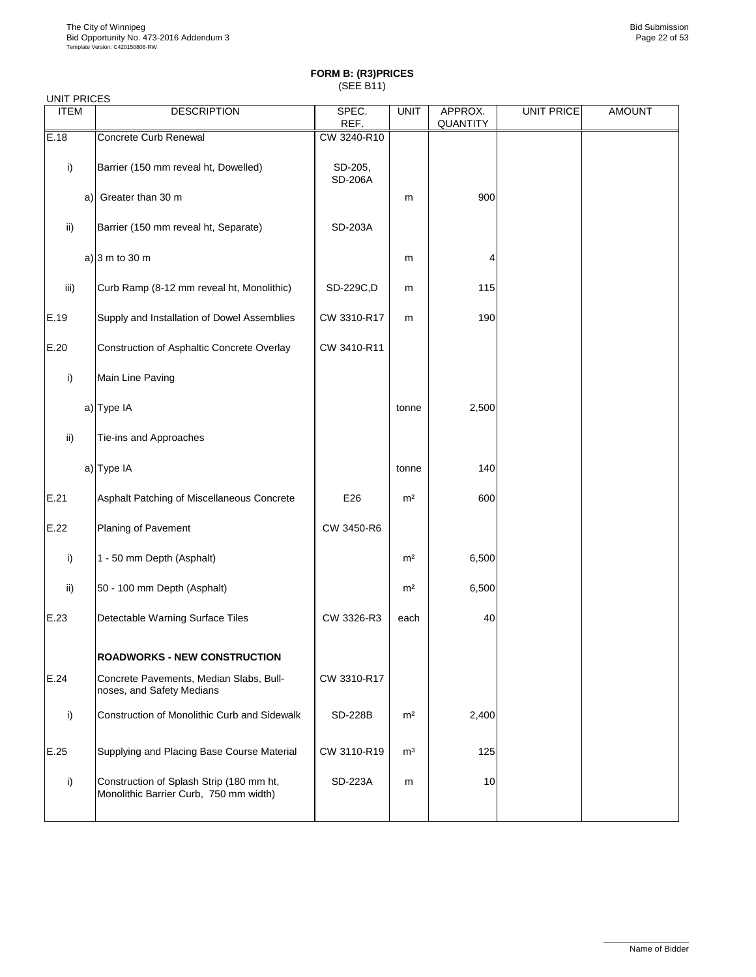| <b>UNIT PRICES</b> |    |                                                                                    |                    |                |                     |                   |               |
|--------------------|----|------------------------------------------------------------------------------------|--------------------|----------------|---------------------|-------------------|---------------|
| <b>ITEM</b>        |    | <b>DESCRIPTION</b>                                                                 | SPEC.<br>REF.      | <b>UNIT</b>    | APPROX.<br>QUANTITY | <b>UNIT PRICE</b> | <b>AMOUNT</b> |
| E.18               |    | Concrete Curb Renewal                                                              | CW 3240-R10        |                |                     |                   |               |
| i)                 |    | Barrier (150 mm reveal ht, Dowelled)                                               | SD-205,<br>SD-206A |                |                     |                   |               |
|                    | a) | Greater than 30 m                                                                  |                    | m              | 900                 |                   |               |
| ii)                |    | Barrier (150 mm reveal ht, Separate)                                               | SD-203A            |                |                     |                   |               |
|                    |    | a) $3 m to 30 m$                                                                   |                    | m              | 4                   |                   |               |
| iii)               |    | Curb Ramp (8-12 mm reveal ht, Monolithic)                                          | SD-229C,D          | m              | 115                 |                   |               |
| E.19               |    | Supply and Installation of Dowel Assemblies                                        | CW 3310-R17        | m              | 190                 |                   |               |
| E.20               |    | Construction of Asphaltic Concrete Overlay                                         | CW 3410-R11        |                |                     |                   |               |
| i)                 |    | Main Line Paving                                                                   |                    |                |                     |                   |               |
|                    |    | a) Type IA                                                                         |                    | tonne          | 2,500               |                   |               |
| ii)                |    | Tie-ins and Approaches                                                             |                    |                |                     |                   |               |
|                    |    | a) Type IA                                                                         |                    | tonne          | 140                 |                   |               |
| E.21               |    | Asphalt Patching of Miscellaneous Concrete                                         | E26                | m <sup>2</sup> | 600                 |                   |               |
| E.22               |    | Planing of Pavement                                                                | CW 3450-R6         |                |                     |                   |               |
| i)                 |    | 1 - 50 mm Depth (Asphalt)                                                          |                    | m <sup>2</sup> | 6,500               |                   |               |
| ii)                |    | 50 - 100 mm Depth (Asphalt)                                                        |                    | m <sup>2</sup> | 6,500               |                   |               |
| E.23               |    | Detectable Warning Surface Tiles                                                   | CW 3326-R3         | each           | 40                  |                   |               |
|                    |    | <b>ROADWORKS - NEW CONSTRUCTION</b>                                                |                    |                |                     |                   |               |
| E.24               |    | Concrete Pavements, Median Slabs, Bull-<br>noses, and Safety Medians               | CW 3310-R17        |                |                     |                   |               |
| i)                 |    | Construction of Monolithic Curb and Sidewalk                                       | <b>SD-228B</b>     | m <sup>2</sup> | 2,400               |                   |               |
| E.25               |    | Supplying and Placing Base Course Material                                         | CW 3110-R19        | m <sup>3</sup> | 125                 |                   |               |
| i)                 |    | Construction of Splash Strip (180 mm ht,<br>Monolithic Barrier Curb, 750 mm width) | SD-223A            | m              | 10                  |                   |               |
|                    |    |                                                                                    |                    |                |                     |                   |               |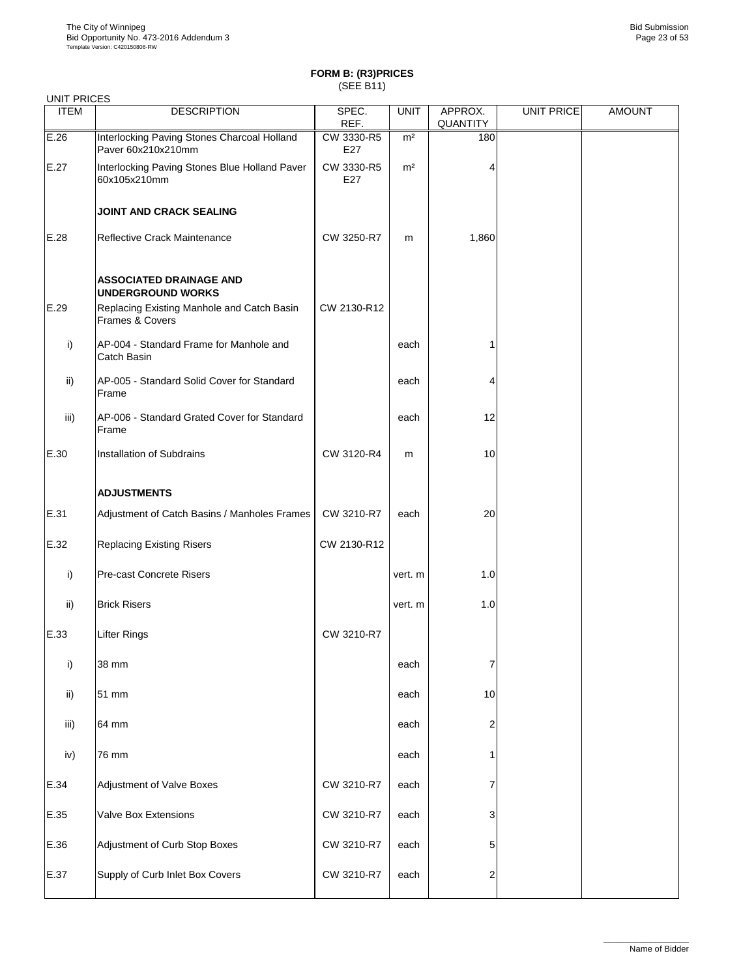| UNIT PRICES |                                                                   | $10 - 111$        |                |                     |            |               |
|-------------|-------------------------------------------------------------------|-------------------|----------------|---------------------|------------|---------------|
| <b>ITEM</b> | <b>DESCRIPTION</b>                                                | SPEC.<br>REF.     | <b>UNIT</b>    | APPROX.<br>QUANTITY | UNIT PRICE | <b>AMOUNT</b> |
| E.26        | Interlocking Paving Stones Charcoal Holland<br>Paver 60x210x210mm | CW 3330-R5<br>E27 | m <sup>2</sup> | 180                 |            |               |
| E.27        | Interlocking Paving Stones Blue Holland Paver<br>60x105x210mm     | CW 3330-R5<br>E27 | m <sup>2</sup> | 4                   |            |               |
|             | <b>JOINT AND CRACK SEALING</b>                                    |                   |                |                     |            |               |
| E.28        | Reflective Crack Maintenance                                      | CW 3250-R7        | m              | 1,860               |            |               |
|             | <b>ASSOCIATED DRAINAGE AND</b><br><b>UNDERGROUND WORKS</b>        |                   |                |                     |            |               |
| E.29        | Replacing Existing Manhole and Catch Basin<br>Frames & Covers     | CW 2130-R12       |                |                     |            |               |
| i)          | AP-004 - Standard Frame for Manhole and<br>Catch Basin            |                   | each           |                     |            |               |
| ii)         | AP-005 - Standard Solid Cover for Standard<br>Frame               |                   | each           | 4                   |            |               |
| iii)        | AP-006 - Standard Grated Cover for Standard<br>Frame              |                   | each           | 12                  |            |               |
| E.30        | Installation of Subdrains                                         | CW 3120-R4        | m              | 10                  |            |               |
|             | <b>ADJUSTMENTS</b>                                                |                   |                |                     |            |               |
| E.31        | Adjustment of Catch Basins / Manholes Frames                      | CW 3210-R7        | each           | 20                  |            |               |
| E.32        | <b>Replacing Existing Risers</b>                                  | CW 2130-R12       |                |                     |            |               |
| i)          | Pre-cast Concrete Risers                                          |                   | vert. m        | 1.0                 |            |               |
| ii)         | <b>Brick Risers</b>                                               |                   | vert. m        | 1.0                 |            |               |
| E.33        | Lifter Rings                                                      | CW 3210-R7        |                |                     |            |               |
| i)          | 38 mm                                                             |                   | each           | 7                   |            |               |
| ii)         | 51 mm                                                             |                   | each           | 10                  |            |               |
| iii)        | 64 mm                                                             |                   | each           | 2                   |            |               |
| iv)         | 76 mm                                                             |                   | each           | 1                   |            |               |
| E.34        | Adjustment of Valve Boxes                                         | CW 3210-R7        | each           | 7                   |            |               |
| E.35        | Valve Box Extensions                                              | CW 3210-R7        | each           | 3                   |            |               |
| E.36        | Adjustment of Curb Stop Boxes                                     | CW 3210-R7        | each           | 5                   |            |               |
| E.37        | Supply of Curb Inlet Box Covers                                   | CW 3210-R7        | each           | 2                   |            |               |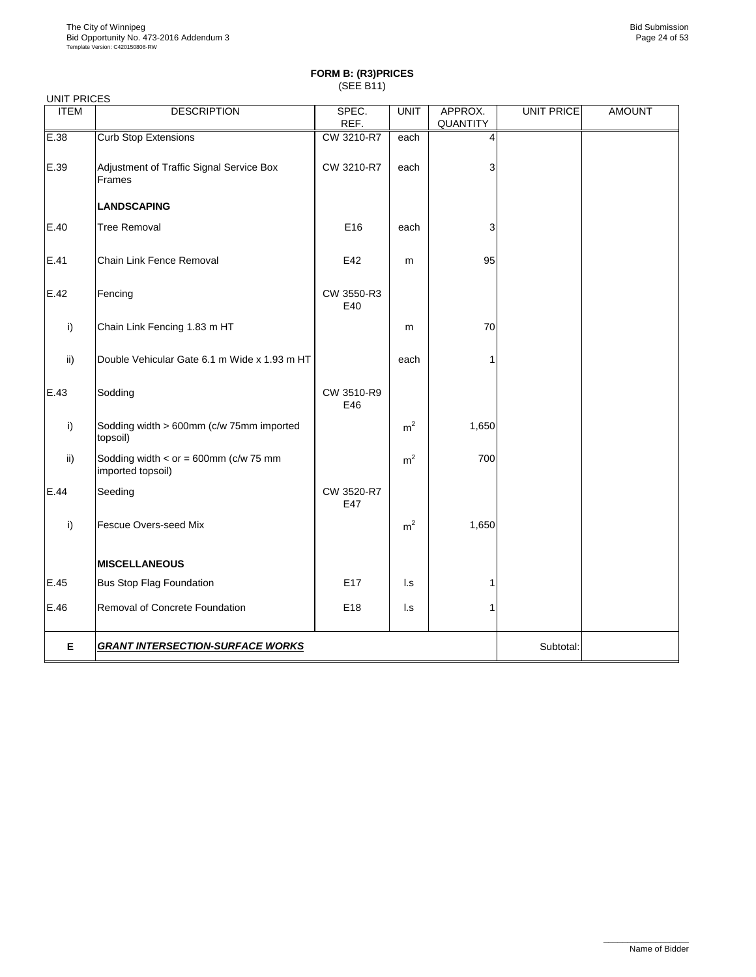| <b>UNIT PRICES</b> |                                                                  |                   |                        |                |                   |               |
|--------------------|------------------------------------------------------------------|-------------------|------------------------|----------------|-------------------|---------------|
| <b>ITEM</b>        | <b>DESCRIPTION</b>                                               | SPEC.             | <b>UNIT</b>            | APPROX.        | <b>UNIT PRICE</b> | <b>AMOUNT</b> |
|                    |                                                                  | REF.              |                        | QUANTITY       |                   |               |
| E.38               | <b>Curb Stop Extensions</b>                                      | CW 3210-R7        | each                   | $\overline{4}$ |                   |               |
| E.39               | Adjustment of Traffic Signal Service Box<br>Frames               | CW 3210-R7        | each                   | 3              |                   |               |
|                    | <b>LANDSCAPING</b>                                               |                   |                        |                |                   |               |
| E.40               | <b>Tree Removal</b>                                              | E16               | each                   | 3              |                   |               |
| E.41               | Chain Link Fence Removal                                         | E42               | m                      | 95             |                   |               |
| E.42               | Fencing                                                          | CW 3550-R3<br>E40 |                        |                |                   |               |
| i)                 | Chain Link Fencing 1.83 m HT                                     |                   | m                      | 70             |                   |               |
| ii)                | Double Vehicular Gate 6.1 m Wide x 1.93 m HT                     |                   | each                   | 1              |                   |               |
| E.43               | Sodding                                                          | CW 3510-R9<br>E46 |                        |                |                   |               |
| i)                 | Sodding width > 600mm (c/w 75mm imported<br>topsoil)             |                   | m <sup>2</sup>         | 1,650          |                   |               |
| ii)                | Sodding width < $or = 600$ mm ( $c/w$ 75 mm<br>imported topsoil) |                   | m <sup>2</sup>         | 700            |                   |               |
| E.44               | Seeding                                                          | CW 3520-R7<br>E47 |                        |                |                   |               |
| i)                 | Fescue Overs-seed Mix                                            |                   | m <sup>2</sup>         | 1,650          |                   |               |
|                    | <b>MISCELLANEOUS</b>                                             |                   |                        |                |                   |               |
| E.45               | <b>Bus Stop Flag Foundation</b>                                  | E17               | $\mathsf{Ls}$          | 1              |                   |               |
| E.46               | Removal of Concrete Foundation                                   | E18               | $\mathsf{L}\mathsf{s}$ | 1              |                   |               |
| Е                  | <b>GRANT INTERSECTION-SURFACE WORKS</b>                          |                   | Subtotal:              |                |                   |               |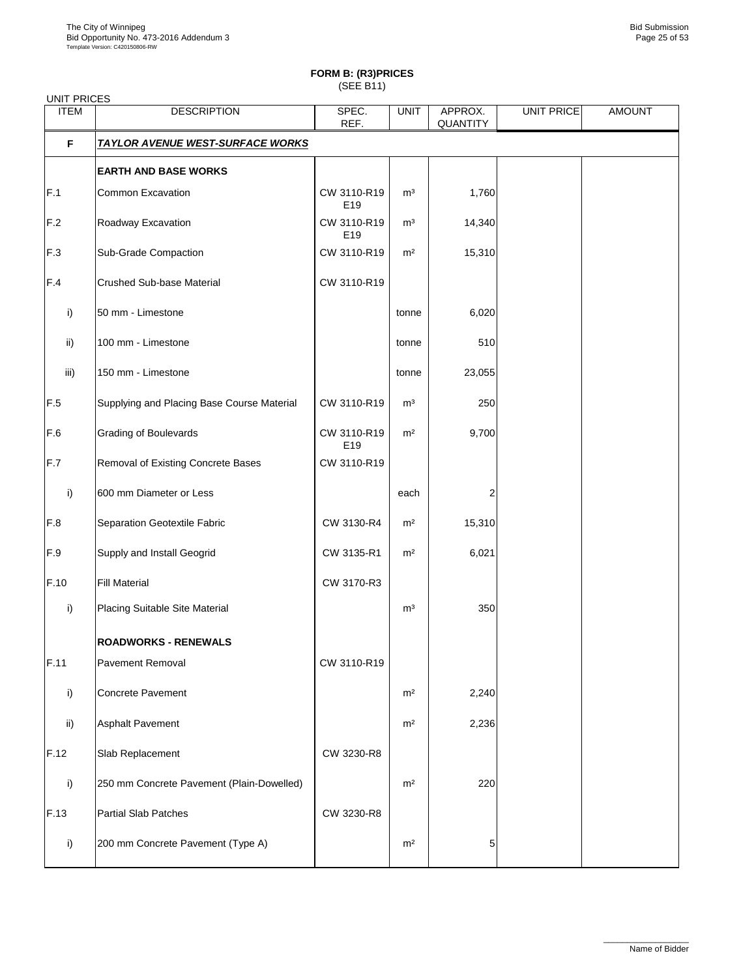# **FORM B: (R3)PRICES**

|  |  |  | ¬ | ı |  |  |
|--|--|--|---|---|--|--|

| <b>UNIT PRICES</b> |                                            |                    |                |                     |                   |               |
|--------------------|--------------------------------------------|--------------------|----------------|---------------------|-------------------|---------------|
| <b>ITEM</b>        | <b>DESCRIPTION</b>                         | SPEC.<br>REF.      | <b>UNIT</b>    | APPROX.<br>QUANTITY | <b>UNIT PRICE</b> | <b>AMOUNT</b> |
| F                  | <b>TAYLOR AVENUE WEST-SURFACE WORKS</b>    |                    |                |                     |                   |               |
|                    | <b>EARTH AND BASE WORKS</b>                |                    |                |                     |                   |               |
| F.1                | Common Excavation                          | CW 3110-R19<br>E19 | m <sup>3</sup> | 1,760               |                   |               |
| F.2                | Roadway Excavation                         | CW 3110-R19<br>E19 | m <sup>3</sup> | 14,340              |                   |               |
| F.3                | Sub-Grade Compaction                       | CW 3110-R19        | m <sup>2</sup> | 15,310              |                   |               |
| F.4                | Crushed Sub-base Material                  | CW 3110-R19        |                |                     |                   |               |
| i)                 | 50 mm - Limestone                          |                    | tonne          | 6,020               |                   |               |
| ii)                | 100 mm - Limestone                         |                    | tonne          | 510                 |                   |               |
| iii)               | 150 mm - Limestone                         |                    | tonne          | 23,055              |                   |               |
| F.5                | Supplying and Placing Base Course Material | CW 3110-R19        | m <sup>3</sup> | 250                 |                   |               |
| F.6                | <b>Grading of Boulevards</b>               | CW 3110-R19<br>E19 | m <sup>2</sup> | 9,700               |                   |               |
| F.7                | Removal of Existing Concrete Bases         | CW 3110-R19        |                |                     |                   |               |
| i)                 | 600 mm Diameter or Less                    |                    | each           | 2                   |                   |               |
| $\mathsf{F.8}$     | Separation Geotextile Fabric               | CW 3130-R4         | m <sup>2</sup> | 15,310              |                   |               |
| F.9                | Supply and Install Geogrid                 | CW 3135-R1         | m <sup>2</sup> | 6,021               |                   |               |
| F.10               | <b>Fill Material</b>                       | CW 3170-R3         |                |                     |                   |               |
| i)                 | Placing Suitable Site Material             |                    | m <sup>3</sup> | 350                 |                   |               |
|                    | <b>ROADWORKS - RENEWALS</b>                |                    |                |                     |                   |               |
| F.11               | Pavement Removal                           | CW 3110-R19        |                |                     |                   |               |
| i)                 | Concrete Pavement                          |                    | m <sup>2</sup> | 2,240               |                   |               |
| ii)                | <b>Asphalt Pavement</b>                    |                    | m <sup>2</sup> | 2,236               |                   |               |
| F.12               | Slab Replacement                           | CW 3230-R8         |                |                     |                   |               |
| i)                 | 250 mm Concrete Pavement (Plain-Dowelled)  |                    | m <sup>2</sup> | 220                 |                   |               |
| F.13               | <b>Partial Slab Patches</b>                | CW 3230-R8         |                |                     |                   |               |
| i)                 | 200 mm Concrete Pavement (Type A)          |                    | m <sup>2</sup> | 5                   |                   |               |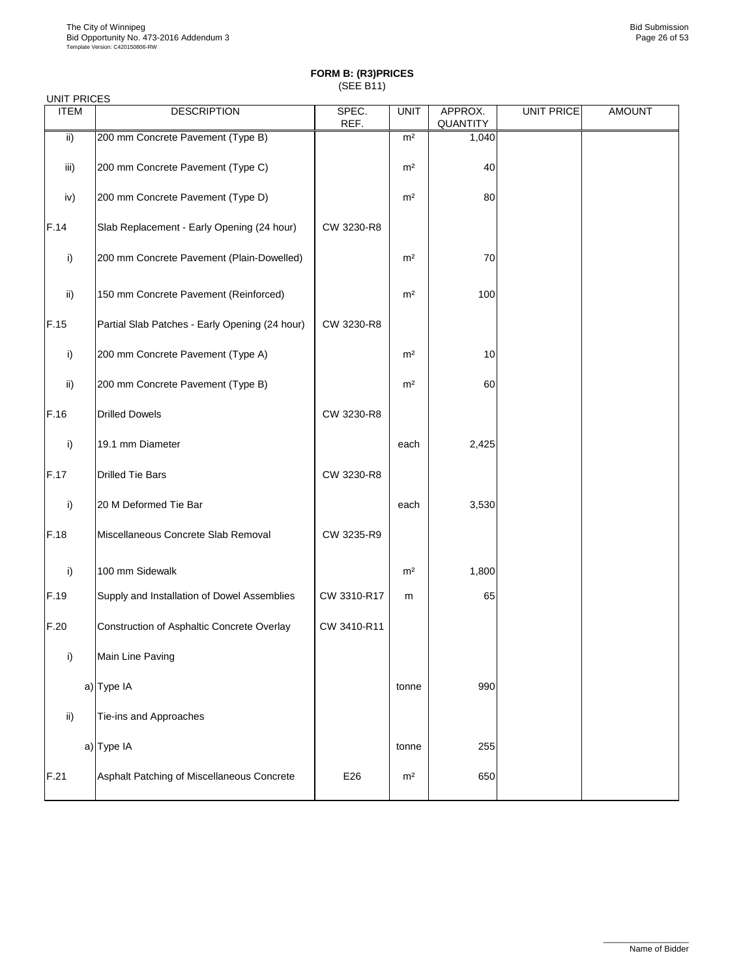| <b>UNIT PRICES</b> |                                                |               |                |                     |                   |               |
|--------------------|------------------------------------------------|---------------|----------------|---------------------|-------------------|---------------|
| <b>ITEM</b>        | <b>DESCRIPTION</b>                             | SPEC.<br>REF. | <b>UNIT</b>    | APPROX.<br>QUANTITY | <b>UNIT PRICE</b> | <b>AMOUNT</b> |
| $\overline{ii}$    | 200 mm Concrete Pavement (Type B)              |               | m <sup>2</sup> | 1,040               |                   |               |
| iii)               | 200 mm Concrete Pavement (Type C)              |               | m <sup>2</sup> | 40                  |                   |               |
| iv)                | 200 mm Concrete Pavement (Type D)              |               | m <sup>2</sup> | 80                  |                   |               |
| F.14               | Slab Replacement - Early Opening (24 hour)     | CW 3230-R8    |                |                     |                   |               |
| i)                 | 200 mm Concrete Pavement (Plain-Dowelled)      |               | m <sup>2</sup> | 70                  |                   |               |
| ii)                | 150 mm Concrete Pavement (Reinforced)          |               | m <sup>2</sup> | 100                 |                   |               |
| F.15               | Partial Slab Patches - Early Opening (24 hour) | CW 3230-R8    |                |                     |                   |               |
| i)                 | 200 mm Concrete Pavement (Type A)              |               | m <sup>2</sup> | 10                  |                   |               |
| ii)                | 200 mm Concrete Pavement (Type B)              |               | m <sup>2</sup> | 60                  |                   |               |
| F.16               | <b>Drilled Dowels</b>                          | CW 3230-R8    |                |                     |                   |               |
| i)                 | 19.1 mm Diameter                               |               | each           | 2,425               |                   |               |
| F.17               | <b>Drilled Tie Bars</b>                        | CW 3230-R8    |                |                     |                   |               |
| i)                 | 20 M Deformed Tie Bar                          |               | each           | 3,530               |                   |               |
| F.18               | Miscellaneous Concrete Slab Removal            | CW 3235-R9    |                |                     |                   |               |
| i)                 | 100 mm Sidewalk                                |               | m <sup>2</sup> | 1,800               |                   |               |
| F.19               | Supply and Installation of Dowel Assemblies    | CW 3310-R17   | m              | 65                  |                   |               |
| F.20               | Construction of Asphaltic Concrete Overlay     | CW 3410-R11   |                |                     |                   |               |
| i)                 | Main Line Paving                               |               |                |                     |                   |               |
|                    | a) Type IA                                     |               | tonne          | 990                 |                   |               |
| ii)                | Tie-ins and Approaches                         |               |                |                     |                   |               |
|                    | a) Type IA                                     |               | tonne          | 255                 |                   |               |
| F.21               | Asphalt Patching of Miscellaneous Concrete     | E26           | m <sup>2</sup> | 650                 |                   |               |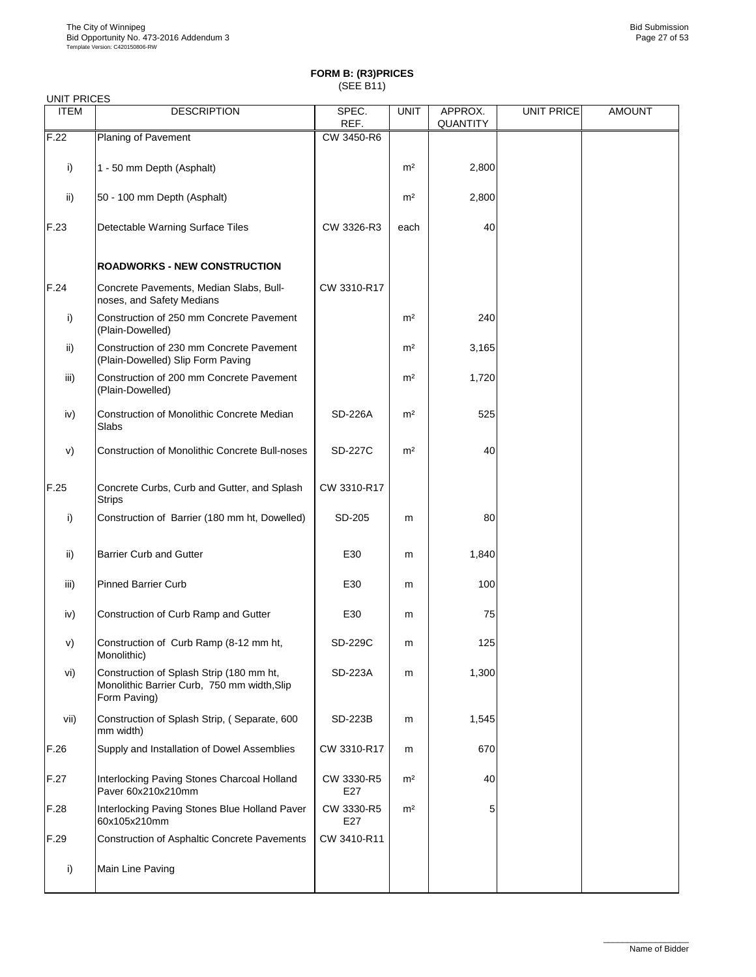| <b>UNIT PRICES</b> |                                                                                                         |                   |                |                     |                   |               |
|--------------------|---------------------------------------------------------------------------------------------------------|-------------------|----------------|---------------------|-------------------|---------------|
| <b>ITEM</b>        | <b>DESCRIPTION</b>                                                                                      | SPEC.<br>REF.     | <b>UNIT</b>    | APPROX.<br>QUANTITY | <b>UNIT PRICE</b> | <b>AMOUNT</b> |
| F.22               | Planing of Pavement                                                                                     | CW 3450-R6        |                |                     |                   |               |
| i)                 | 1 - 50 mm Depth (Asphalt)                                                                               |                   | m <sup>2</sup> | 2,800               |                   |               |
| ii)                | 50 - 100 mm Depth (Asphalt)                                                                             |                   | m <sup>2</sup> | 2,800               |                   |               |
| F.23               | Detectable Warning Surface Tiles                                                                        | CW 3326-R3        | each           | 40                  |                   |               |
|                    | <b>ROADWORKS - NEW CONSTRUCTION</b>                                                                     |                   |                |                     |                   |               |
| F.24               | Concrete Pavements, Median Slabs, Bull-<br>noses, and Safety Medians                                    | CW 3310-R17       |                |                     |                   |               |
| i)                 | Construction of 250 mm Concrete Pavement<br>(Plain-Dowelled)                                            |                   | m <sup>2</sup> | 240                 |                   |               |
| ii)                | Construction of 230 mm Concrete Pavement<br>(Plain-Dowelled) Slip Form Paving                           |                   | m <sup>2</sup> | 3,165               |                   |               |
| iii)               | Construction of 200 mm Concrete Pavement<br>(Plain-Dowelled)                                            |                   | m <sup>2</sup> | 1,720               |                   |               |
| iv)                | Construction of Monolithic Concrete Median<br>Slabs                                                     | SD-226A           | m <sup>2</sup> | 525                 |                   |               |
| V)                 | <b>Construction of Monolithic Concrete Bull-noses</b>                                                   | <b>SD-227C</b>    | m <sup>2</sup> | 40                  |                   |               |
| F.25               | Concrete Curbs, Curb and Gutter, and Splash<br><b>Strips</b>                                            | CW 3310-R17       |                |                     |                   |               |
| i)                 | Construction of Barrier (180 mm ht, Dowelled)                                                           | SD-205            | m              | 80                  |                   |               |
| ii)                | <b>Barrier Curb and Gutter</b>                                                                          | E30               | m              | 1,840               |                   |               |
| iii)               | <b>Pinned Barrier Curb</b>                                                                              | E30               | m              | 100                 |                   |               |
| iv)                | Construction of Curb Ramp and Gutter                                                                    | E30               | m              | 75                  |                   |               |
| V)                 | Construction of Curb Ramp (8-12 mm ht,<br>Monolithic)                                                   | SD-229C           | m              | 125                 |                   |               |
| vi)                | Construction of Splash Strip (180 mm ht,<br>Monolithic Barrier Curb, 750 mm width, Slip<br>Form Paving) | SD-223A           | m              | 1,300               |                   |               |
| vii)               | Construction of Splash Strip, (Separate, 600<br>mm width)                                               | SD-223B           | m              | 1,545               |                   |               |
| F.26               | Supply and Installation of Dowel Assemblies                                                             | CW 3310-R17       | m              | 670                 |                   |               |
| F.27               | Interlocking Paving Stones Charcoal Holland<br>Paver 60x210x210mm                                       | CW 3330-R5<br>E27 | m <sup>2</sup> | 40                  |                   |               |
| F.28               | Interlocking Paving Stones Blue Holland Paver<br>60x105x210mm                                           | CW 3330-R5<br>E27 | m <sup>2</sup> | 5                   |                   |               |
| F.29               | Construction of Asphaltic Concrete Pavements                                                            | CW 3410-R11       |                |                     |                   |               |
| i)                 | Main Line Paving                                                                                        |                   |                |                     |                   |               |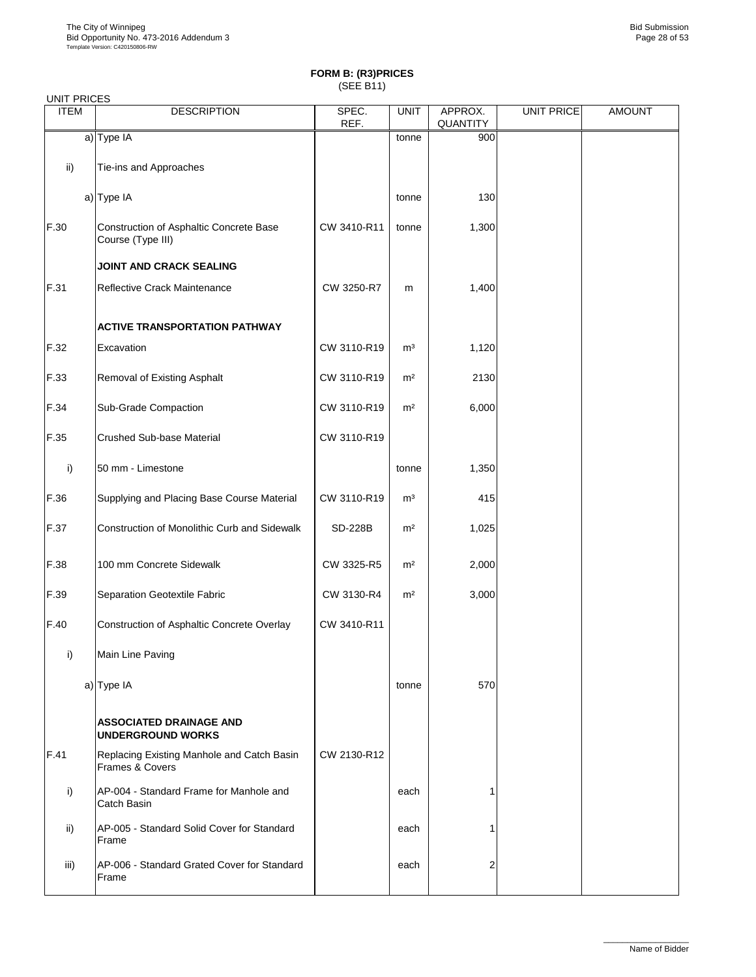| <b>UNIT PRICES</b> |                                                               |               |                |                     |                   |               |  |  |  |  |
|--------------------|---------------------------------------------------------------|---------------|----------------|---------------------|-------------------|---------------|--|--|--|--|
| <b>ITEM</b>        | <b>DESCRIPTION</b>                                            | SPEC.<br>REF. | <b>UNIT</b>    | APPROX.<br>QUANTITY | <b>UNIT PRICE</b> | <b>AMOUNT</b> |  |  |  |  |
|                    | a) Type IA                                                    |               | tonne          | 900                 |                   |               |  |  |  |  |
| ii)                | Tie-ins and Approaches                                        |               |                |                     |                   |               |  |  |  |  |
|                    | a) Type IA                                                    |               | tonne          | 130                 |                   |               |  |  |  |  |
| F.30               | Construction of Asphaltic Concrete Base<br>Course (Type III)  | CW 3410-R11   | tonne          | 1,300               |                   |               |  |  |  |  |
|                    | JOINT AND CRACK SEALING                                       |               |                |                     |                   |               |  |  |  |  |
| F.31               | Reflective Crack Maintenance                                  | CW 3250-R7    | m              | 1,400               |                   |               |  |  |  |  |
|                    | <b>ACTIVE TRANSPORTATION PATHWAY</b>                          |               |                |                     |                   |               |  |  |  |  |
| F.32               | Excavation                                                    | CW 3110-R19   | m <sup>3</sup> | 1,120               |                   |               |  |  |  |  |
| F.33               | Removal of Existing Asphalt                                   | CW 3110-R19   | m <sup>2</sup> | 2130                |                   |               |  |  |  |  |
| F.34               | Sub-Grade Compaction                                          | CW 3110-R19   | m <sup>2</sup> | 6,000               |                   |               |  |  |  |  |
| F.35               | Crushed Sub-base Material                                     | CW 3110-R19   |                |                     |                   |               |  |  |  |  |
| i)                 | 50 mm - Limestone                                             |               | tonne          | 1,350               |                   |               |  |  |  |  |
| F.36               | Supplying and Placing Base Course Material                    | CW 3110-R19   | m <sup>3</sup> | 415                 |                   |               |  |  |  |  |
| F.37               | Construction of Monolithic Curb and Sidewalk                  | SD-228B       | m <sup>2</sup> | 1,025               |                   |               |  |  |  |  |
| F.38               | 100 mm Concrete Sidewalk                                      | CW 3325-R5    | m <sup>2</sup> | 2,000               |                   |               |  |  |  |  |
| F.39               | Separation Geotextile Fabric                                  | CW 3130-R4    | m <sup>2</sup> | 3,000               |                   |               |  |  |  |  |
| F.40               | Construction of Asphaltic Concrete Overlay                    | CW 3410-R11   |                |                     |                   |               |  |  |  |  |
| i)                 | Main Line Paving                                              |               |                |                     |                   |               |  |  |  |  |
|                    | a) Type IA                                                    |               | tonne          | 570                 |                   |               |  |  |  |  |
|                    | <b>ASSOCIATED DRAINAGE AND</b><br><b>UNDERGROUND WORKS</b>    |               |                |                     |                   |               |  |  |  |  |
| F.41               | Replacing Existing Manhole and Catch Basin<br>Frames & Covers | CW 2130-R12   |                |                     |                   |               |  |  |  |  |
| i)                 | AP-004 - Standard Frame for Manhole and<br>Catch Basin        |               | each           | 1                   |                   |               |  |  |  |  |
| ii)                | AP-005 - Standard Solid Cover for Standard<br>Frame           |               | each           |                     |                   |               |  |  |  |  |
| iii)               | AP-006 - Standard Grated Cover for Standard<br>Frame          |               | each           | 2                   |                   |               |  |  |  |  |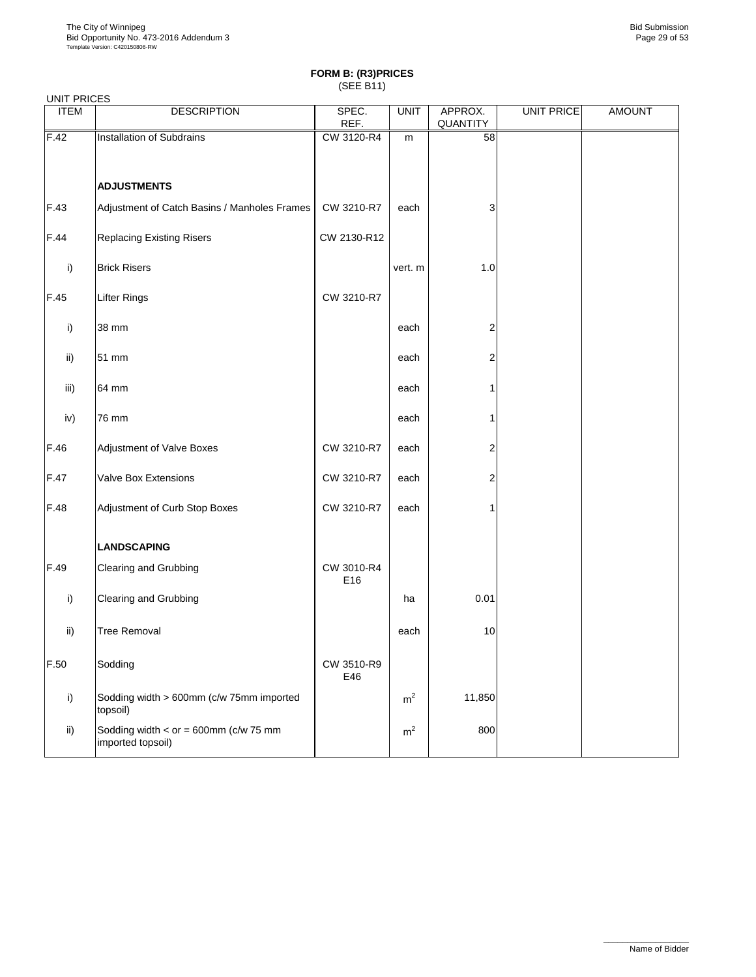| <b>UNIT PRICES</b> |                                                                  |                   |                |                     |            |               |
|--------------------|------------------------------------------------------------------|-------------------|----------------|---------------------|------------|---------------|
| <b>ITEM</b>        | <b>DESCRIPTION</b>                                               | SPEC.<br>REF.     | <b>UNIT</b>    | APPROX.<br>QUANTITY | UNIT PRICE | <b>AMOUNT</b> |
| F.42               | Installation of Subdrains                                        | CW 3120-R4        | m              | 58                  |            |               |
|                    |                                                                  |                   |                |                     |            |               |
|                    | <b>ADJUSTMENTS</b>                                               |                   |                |                     |            |               |
| F.43               | Adjustment of Catch Basins / Manholes Frames                     | CW 3210-R7        | each           | 3                   |            |               |
| F.44               | <b>Replacing Existing Risers</b>                                 | CW 2130-R12       |                |                     |            |               |
| i)                 | <b>Brick Risers</b>                                              |                   | vert. m        | $1.0$               |            |               |
| F.45               | <b>Lifter Rings</b>                                              | CW 3210-R7        |                |                     |            |               |
| i)                 | 38 mm                                                            |                   | each           | 2                   |            |               |
| ii)                | 51 mm                                                            |                   | each           | 2                   |            |               |
| iii)               | 64 mm                                                            |                   | each           | 1                   |            |               |
| iv)                | 76 mm                                                            |                   | each           | 1                   |            |               |
| F.46               | Adjustment of Valve Boxes                                        | CW 3210-R7        | each           | 2                   |            |               |
| F.47               | Valve Box Extensions                                             | CW 3210-R7        | each           | 2                   |            |               |
| F.48               | Adjustment of Curb Stop Boxes                                    | CW 3210-R7        | each           | 1                   |            |               |
|                    | <b>LANDSCAPING</b>                                               |                   |                |                     |            |               |
| F.49               | Clearing and Grubbing                                            | CW 3010-R4<br>E16 |                |                     |            |               |
| i)                 | Clearing and Grubbing                                            |                   | ha             | 0.01                |            |               |
| ii)                | <b>Tree Removal</b>                                              |                   | each           | $10$                |            |               |
| F.50               | Sodding                                                          | CW 3510-R9<br>E46 |                |                     |            |               |
| i)                 | Sodding width > 600mm (c/w 75mm imported<br>topsoil)             |                   | m <sup>2</sup> | 11,850              |            |               |
| ii)                | Sodding width < $or = 600$ mm ( $c/w$ 75 mm<br>imported topsoil) |                   | m <sup>2</sup> | 800                 |            |               |
|                    |                                                                  |                   |                |                     |            |               |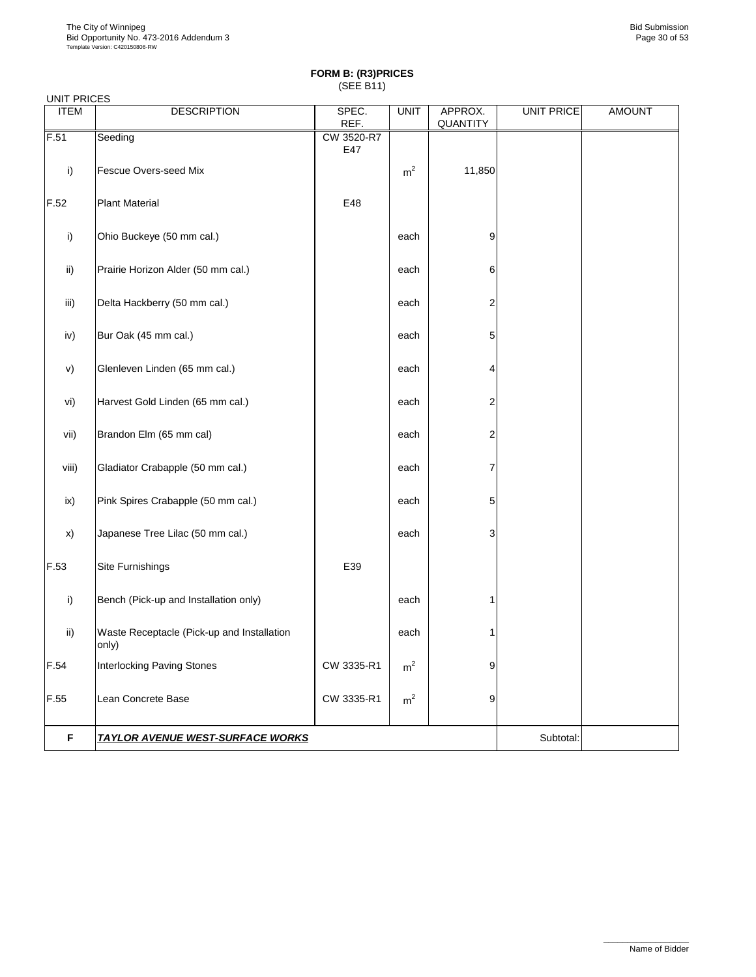| <b>UNIT PRICES</b> |                                                     |                   |                |                     |                   |               |
|--------------------|-----------------------------------------------------|-------------------|----------------|---------------------|-------------------|---------------|
| <b>ITEM</b>        | <b>DESCRIPTION</b>                                  | SPEC.<br>REF.     | <b>UNIT</b>    | APPROX.<br>QUANTITY | <b>UNIT PRICE</b> | <b>AMOUNT</b> |
| F.51               | Seeding                                             | CW 3520-R7<br>E47 |                |                     |                   |               |
| i)                 | Fescue Overs-seed Mix                               |                   | m <sup>2</sup> | 11,850              |                   |               |
| F.52               | <b>Plant Material</b>                               | E48               |                |                     |                   |               |
| i)                 | Ohio Buckeye (50 mm cal.)                           |                   | each           | 9                   |                   |               |
| ii)                | Prairie Horizon Alder (50 mm cal.)                  |                   | each           | 6                   |                   |               |
| iii)               | Delta Hackberry (50 mm cal.)                        |                   | each           | $\overline{c}$      |                   |               |
| iv)                | Bur Oak (45 mm cal.)                                |                   | each           | 5                   |                   |               |
| V)                 | Glenleven Linden (65 mm cal.)                       |                   | each           | $\overline{4}$      |                   |               |
| vi)                | Harvest Gold Linden (65 mm cal.)                    |                   | each           | $\overline{2}$      |                   |               |
| vii)               | Brandon Elm (65 mm cal)                             |                   | each           | 2                   |                   |               |
| viii)              | Gladiator Crabapple (50 mm cal.)                    |                   | each           | 7                   |                   |               |
| ix)                | Pink Spires Crabapple (50 mm cal.)                  |                   | each           | 5                   |                   |               |
| x)                 | Japanese Tree Lilac (50 mm cal.)                    |                   | each           | 3                   |                   |               |
| F.53               | Site Furnishings                                    | E39               |                |                     |                   |               |
| i)                 | Bench (Pick-up and Installation only)               |                   | each           | 1                   |                   |               |
| ii)                | Waste Receptacle (Pick-up and Installation<br>only) |                   | each           | 1                   |                   |               |
| F.54               | Interlocking Paving Stones                          | CW 3335-R1        | m <sup>2</sup> | 9                   |                   |               |
| F.55               | Lean Concrete Base                                  | CW 3335-R1        | m <sup>2</sup> | 9                   |                   |               |
| F                  | <b>TAYLOR AVENUE WEST-SURFACE WORKS</b>             |                   |                |                     | Subtotal:         |               |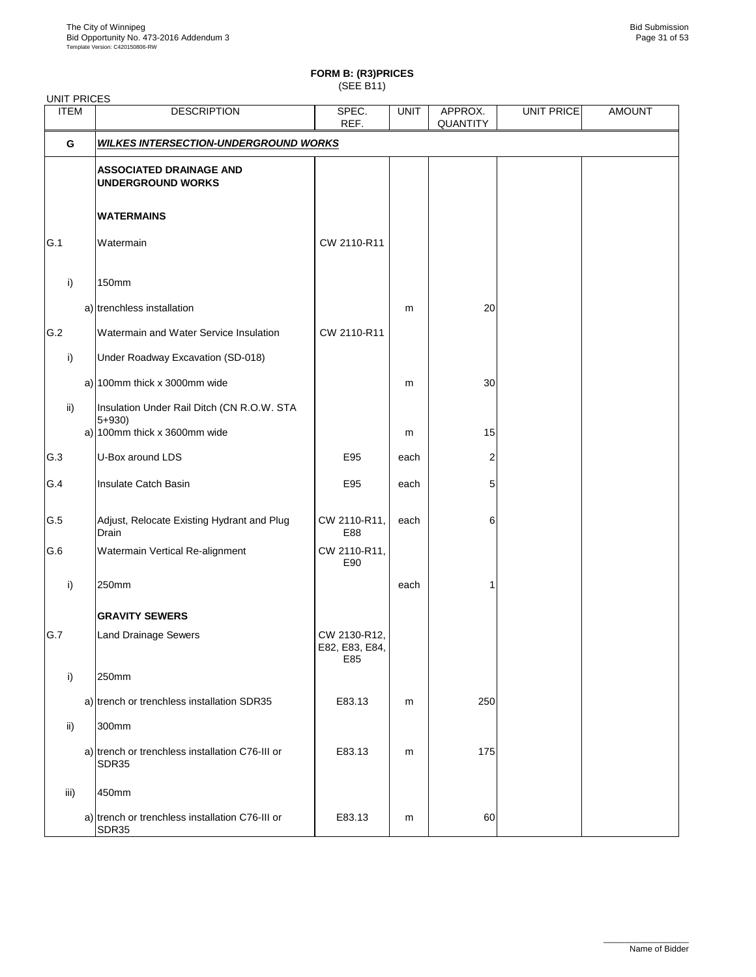UNIT PRICES

### **FORM B: (R3)PRICES**

(SEE B11)

| <b>ITEM</b> | <b>DESCRIPTION</b>                                         | SPEC.<br>REF.                         | <b>UNIT</b> | APPROX.<br>QUANTITY | UNIT PRICE | <b>AMOUNT</b> |
|-------------|------------------------------------------------------------|---------------------------------------|-------------|---------------------|------------|---------------|
| G           | <b>WILKES INTERSECTION-UNDERGROUND WORKS</b>               |                                       |             |                     |            |               |
|             | <b>ASSOCIATED DRAINAGE AND</b><br><b>UNDERGROUND WORKS</b> |                                       |             |                     |            |               |
|             | <b>WATERMAINS</b>                                          |                                       |             |                     |            |               |
| G.1         | Watermain                                                  | CW 2110-R11                           |             |                     |            |               |
| i)          | 150mm                                                      |                                       |             |                     |            |               |
|             | a) trenchless installation                                 |                                       | m           | 20                  |            |               |
| G.2         | Watermain and Water Service Insulation                     | CW 2110-R11                           |             |                     |            |               |
| i)          | Under Roadway Excavation (SD-018)                          |                                       |             |                     |            |               |
|             | a) $100$ mm thick x 3000mm wide                            |                                       | m           | $30\,$              |            |               |
| ii)         | Insulation Under Rail Ditch (CN R.O.W. STA<br>$5 + 930$    |                                       |             |                     |            |               |
|             | a) $100$ mm thick x 3600mm wide                            |                                       | m           | 15                  |            |               |
| G.3         | U-Box around LDS                                           | E95                                   | each        | 2                   |            |               |
| G.4         | Insulate Catch Basin                                       | E95                                   | each        | 5                   |            |               |
| G.5         | Adjust, Relocate Existing Hydrant and Plug<br>Drain        | CW 2110-R11,<br>E88                   | each        | 6                   |            |               |
| G.6         | Watermain Vertical Re-alignment                            | CW 2110-R11,<br>E90                   |             |                     |            |               |
| i)          | 250mm                                                      |                                       | each        |                     |            |               |
|             | <b>GRAVITY SEWERS</b>                                      |                                       |             |                     |            |               |
| G.7         | <b>Land Drainage Sewers</b>                                | CW 2130-R12,<br>E82, E83, E84,<br>E85 |             |                     |            |               |
| i)          | 250mm                                                      |                                       |             |                     |            |               |
|             | a) trench or trenchless installation SDR35                 | E83.13                                | m           | 250                 |            |               |
| ii)         | 300mm                                                      |                                       |             |                     |            |               |
|             | a) trench or trenchless installation C76-III or<br>SDR35   | E83.13                                | m           | 175                 |            |               |
| iii)        | 450mm                                                      |                                       |             |                     |            |               |
|             | a) trench or trenchless installation C76-III or<br>SDR35   | E83.13                                | m           | 60                  |            |               |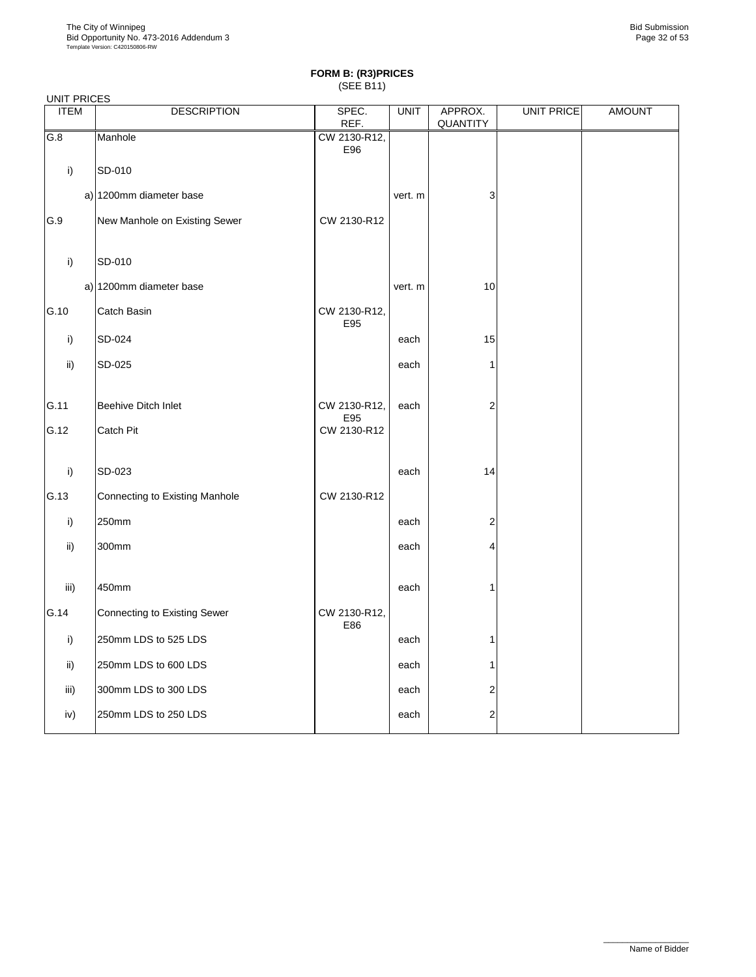|             | <b>UNIT PRICES</b>                  |                     |             |                         |                   |               |  |  |  |  |
|-------------|-------------------------------------|---------------------|-------------|-------------------------|-------------------|---------------|--|--|--|--|
| <b>ITEM</b> | <b>DESCRIPTION</b>                  | SPEC.<br>REF.       | <b>UNIT</b> | APPROX.<br>QUANTITY     | <b>UNIT PRICE</b> | <b>AMOUNT</b> |  |  |  |  |
| G.8         | Manhole                             | CW 2130-R12,<br>E96 |             |                         |                   |               |  |  |  |  |
| i)          | SD-010                              |                     |             |                         |                   |               |  |  |  |  |
|             | a) 1200mm diameter base             |                     | vert. m     | 3                       |                   |               |  |  |  |  |
| G.9         | New Manhole on Existing Sewer       | CW 2130-R12         |             |                         |                   |               |  |  |  |  |
| i)          | SD-010                              |                     |             |                         |                   |               |  |  |  |  |
|             | a) 1200mm diameter base             |                     | vert. m     | 10                      |                   |               |  |  |  |  |
| G.10        | Catch Basin                         | CW 2130-R12,<br>E95 |             |                         |                   |               |  |  |  |  |
| i)          | SD-024                              |                     | each        | 15                      |                   |               |  |  |  |  |
| ii)         | SD-025                              |                     | each        | 1                       |                   |               |  |  |  |  |
| G.11        | Beehive Ditch Inlet                 | CW 2130-R12,<br>E95 | each        | $\overline{2}$          |                   |               |  |  |  |  |
| G.12        | Catch Pit                           | CW 2130-R12         |             |                         |                   |               |  |  |  |  |
| i)          | SD-023                              |                     | each        | 14                      |                   |               |  |  |  |  |
| G.13        | Connecting to Existing Manhole      | CW 2130-R12         |             |                         |                   |               |  |  |  |  |
| i)          | 250mm                               |                     | each        | $\overline{2}$          |                   |               |  |  |  |  |
| ii)         | 300mm                               |                     | each        | 4                       |                   |               |  |  |  |  |
| iii)        | 450mm                               |                     | each        | 1                       |                   |               |  |  |  |  |
| G.14        | <b>Connecting to Existing Sewer</b> | CW 2130-R12,        |             |                         |                   |               |  |  |  |  |
| i)          | 250mm LDS to 525 LDS                | E86                 | each        | 1                       |                   |               |  |  |  |  |
| ii)         | 250mm LDS to 600 LDS                |                     | each        | 1                       |                   |               |  |  |  |  |
| iii)        | 300mm LDS to 300 LDS                |                     | each        | 2                       |                   |               |  |  |  |  |
| iv)         | 250mm LDS to 250 LDS                |                     | each        | $\overline{\mathbf{c}}$ |                   |               |  |  |  |  |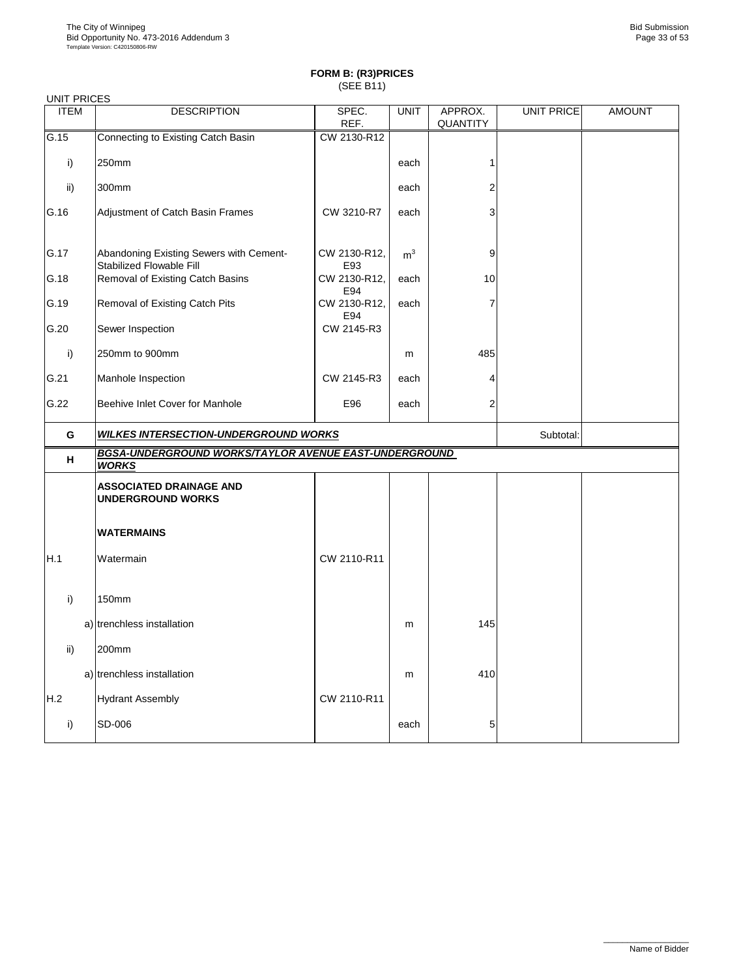| <b>UNIT PRICES</b> |                                                                       |                     |                |          |                   |               |
|--------------------|-----------------------------------------------------------------------|---------------------|----------------|----------|-------------------|---------------|
| <b>ITEM</b>        | <b>DESCRIPTION</b>                                                    | SPEC.               | <b>UNIT</b>    | APPROX.  | <b>UNIT PRICE</b> | <b>AMOUNT</b> |
|                    |                                                                       | REF.                |                | QUANTITY |                   |               |
| G.15               | Connecting to Existing Catch Basin                                    | CW 2130-R12         |                |          |                   |               |
| i)                 | 250mm                                                                 |                     | each           | 1        |                   |               |
| ii)                | 300mm                                                                 |                     | each           | 2        |                   |               |
| G.16               | Adjustment of Catch Basin Frames                                      | CW 3210-R7          | each           | 3        |                   |               |
| G.17               | Abandoning Existing Sewers with Cement-<br>Stabilized Flowable Fill   | CW 2130-R12,<br>E93 | m <sup>3</sup> | 9        |                   |               |
| G.18               | Removal of Existing Catch Basins                                      | CW 2130-R12,<br>E94 | each           | 10       |                   |               |
| G.19               | Removal of Existing Catch Pits                                        | CW 2130-R12,<br>E94 | each           | 7        |                   |               |
| G.20               | Sewer Inspection                                                      | CW 2145-R3          |                |          |                   |               |
| i)                 | 250mm to 900mm                                                        |                     | m              | 485      |                   |               |
| G.21               | Manhole Inspection                                                    | CW 2145-R3          | each           | 4        |                   |               |
| G.22               | Beehive Inlet Cover for Manhole                                       | E96                 | each           | 2        |                   |               |
|                    |                                                                       |                     |                |          |                   |               |
| G                  | <b>WILKES INTERSECTION-UNDERGROUND WORKS</b>                          |                     |                |          | Subtotal:         |               |
| н                  | BGSA-UNDERGROUND WORKS/TAYLOR AVENUE EAST-UNDERGROUND<br><b>WORKS</b> |                     |                |          |                   |               |
|                    | <b>ASSOCIATED DRAINAGE AND</b><br><b>UNDERGROUND WORKS</b>            |                     |                |          |                   |               |
|                    | <b>WATERMAINS</b>                                                     |                     |                |          |                   |               |
| H.1                | Watermain                                                             | CW 2110-R11         |                |          |                   |               |
| i)                 | 150mm                                                                 |                     |                |          |                   |               |
|                    | a) trenchless installation                                            |                     | m              | 145      |                   |               |
| ii)                | 200mm                                                                 |                     |                |          |                   |               |
|                    | a) trenchless installation                                            |                     | m              | 410      |                   |               |
| H.2                | <b>Hydrant Assembly</b>                                               | CW 2110-R11         |                |          |                   |               |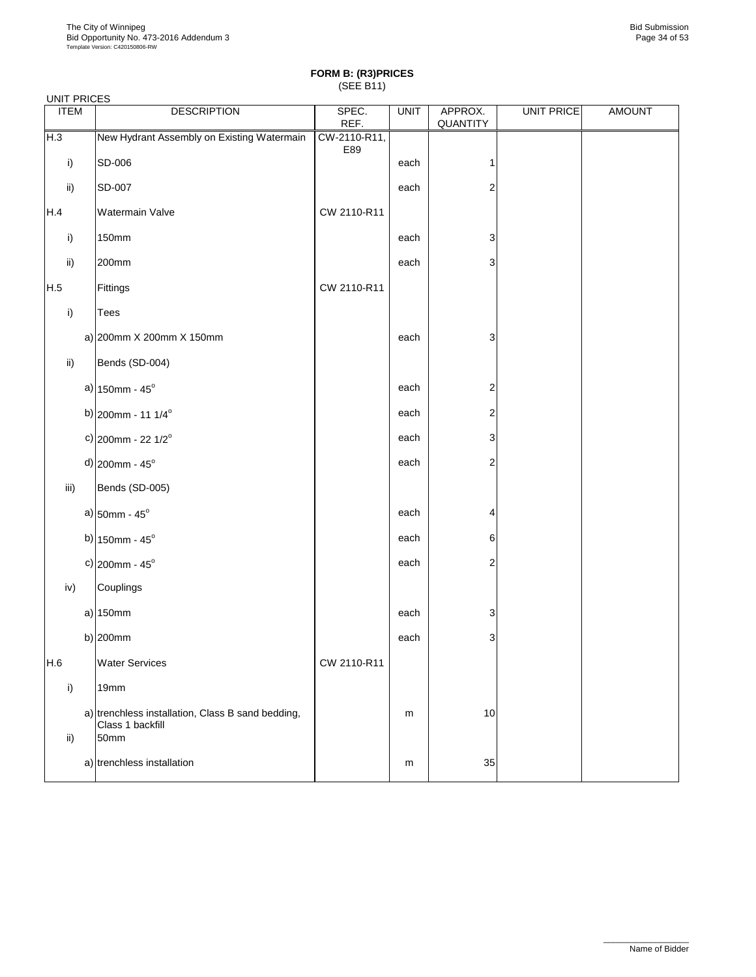|             | <b>UNIT PRICES</b> |                                                                               |                     |             |                         |                   |               |  |  |  |  |
|-------------|--------------------|-------------------------------------------------------------------------------|---------------------|-------------|-------------------------|-------------------|---------------|--|--|--|--|
| <b>ITEM</b> |                    | <b>DESCRIPTION</b>                                                            | SPEC.<br>REF.       | <b>UNIT</b> | APPROX.<br>QUANTITY     | <b>UNIT PRICE</b> | <b>AMOUNT</b> |  |  |  |  |
| H.3         |                    | New Hydrant Assembly on Existing Watermain                                    | CW-2110-R11,<br>E89 |             |                         |                   |               |  |  |  |  |
| i)          |                    | SD-006                                                                        |                     | each        | $\mathbf 1$             |                   |               |  |  |  |  |
| ii)         |                    | SD-007                                                                        |                     | each        | $\overline{\mathbf{c}}$ |                   |               |  |  |  |  |
| H.4         |                    | Watermain Valve                                                               | CW 2110-R11         |             |                         |                   |               |  |  |  |  |
| i)          |                    | 150mm                                                                         |                     | each        | 3                       |                   |               |  |  |  |  |
| ii)         |                    | 200mm                                                                         |                     | each        | 3                       |                   |               |  |  |  |  |
| H.5         |                    | Fittings                                                                      | CW 2110-R11         |             |                         |                   |               |  |  |  |  |
| i)          |                    | Tees                                                                          |                     |             |                         |                   |               |  |  |  |  |
|             |                    | a) 200mm X 200mm X 150mm                                                      |                     | each        | 3                       |                   |               |  |  |  |  |
| ii)         |                    | Bends (SD-004)                                                                |                     |             |                         |                   |               |  |  |  |  |
|             |                    | a) $150$ mm - $45^{\circ}$                                                    |                     | each        | 2                       |                   |               |  |  |  |  |
|             |                    | b) $200$ mm - 11 1/4 <sup>°</sup>                                             |                     | each        | 2                       |                   |               |  |  |  |  |
|             |                    | c) $200$ mm - 22 1/2 <sup>°</sup>                                             |                     | each        | 3                       |                   |               |  |  |  |  |
|             |                    | d) $200$ mm - $45^{\circ}$                                                    |                     | each        | $\overline{\mathbf{c}}$ |                   |               |  |  |  |  |
| iii)        |                    | Bends (SD-005)                                                                |                     |             |                         |                   |               |  |  |  |  |
|             |                    | a) $50mm - 45^{\circ}$                                                        |                     | each        | 4                       |                   |               |  |  |  |  |
|             |                    | b) $150$ mm - $45^{\circ}$                                                    |                     | each        | 6                       |                   |               |  |  |  |  |
|             |                    | c) $200$ mm - $45^{\circ}$                                                    |                     | each        | $\overline{\mathbf{c}}$ |                   |               |  |  |  |  |
| iv)         |                    | Couplings                                                                     |                     |             |                         |                   |               |  |  |  |  |
|             |                    | a) 150mm                                                                      |                     | each        | 3                       |                   |               |  |  |  |  |
|             |                    | b) $200mm$                                                                    |                     | each        | 3                       |                   |               |  |  |  |  |
| H.6         |                    | <b>Water Services</b>                                                         | CW 2110-R11         |             |                         |                   |               |  |  |  |  |
| i)          |                    | 19mm                                                                          |                     |             |                         |                   |               |  |  |  |  |
| ii)         |                    | a) trenchless installation, Class B sand bedding,<br>Class 1 backfill<br>50mm |                     | m           | 10                      |                   |               |  |  |  |  |
|             |                    | a) trenchless installation                                                    |                     | m           | 35                      |                   |               |  |  |  |  |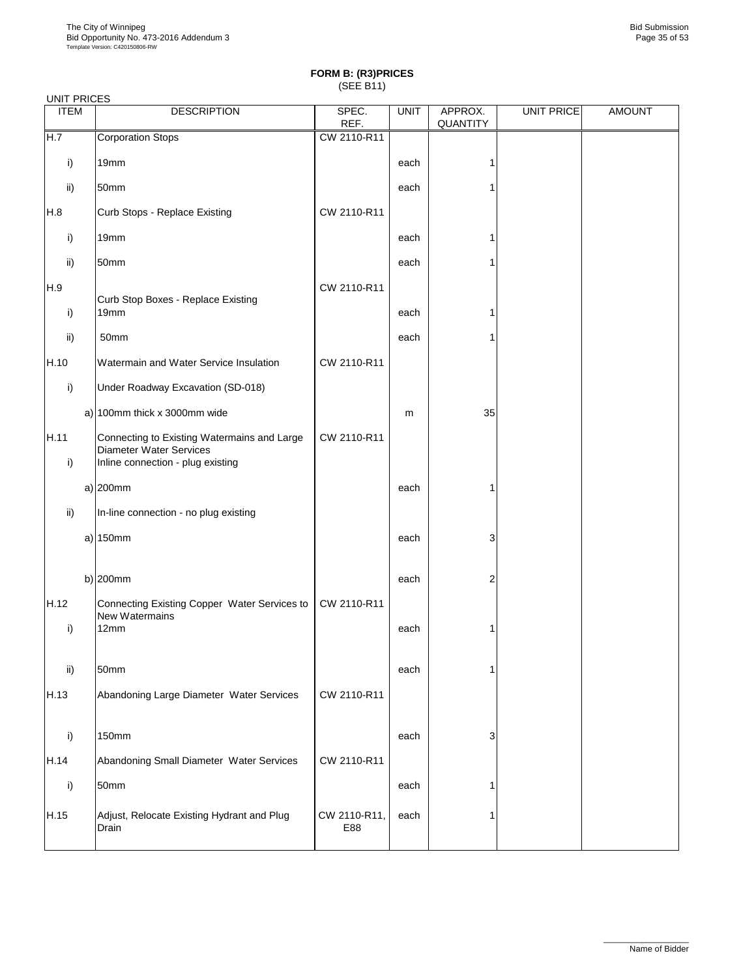| <b>UNIT PRICES</b> |                                                                                                                    |                     |             |                     |                   |               |  |  |  |
|--------------------|--------------------------------------------------------------------------------------------------------------------|---------------------|-------------|---------------------|-------------------|---------------|--|--|--|
| <b>ITEM</b>        | <b>DESCRIPTION</b>                                                                                                 | SPEC.<br>REF.       | <b>UNIT</b> | APPROX.<br>QUANTITY | <b>UNIT PRICE</b> | <b>AMOUNT</b> |  |  |  |
| H.7                | <b>Corporation Stops</b>                                                                                           | CW 2110-R11         |             |                     |                   |               |  |  |  |
| i)                 | 19mm                                                                                                               |                     | each        | 1                   |                   |               |  |  |  |
| ii)                | 50mm                                                                                                               |                     | each        | 1                   |                   |               |  |  |  |
| H.8                | Curb Stops - Replace Existing                                                                                      | CW 2110-R11         |             |                     |                   |               |  |  |  |
| i)                 | 19mm                                                                                                               |                     | each        | 1                   |                   |               |  |  |  |
| ii)                | 50mm                                                                                                               |                     | each        | 1                   |                   |               |  |  |  |
| H.9                | Curb Stop Boxes - Replace Existing                                                                                 | CW 2110-R11         |             |                     |                   |               |  |  |  |
| i)                 | 19mm                                                                                                               |                     | each        | 1                   |                   |               |  |  |  |
| ii)                | 50mm                                                                                                               |                     | each        | 1                   |                   |               |  |  |  |
| H.10               | Watermain and Water Service Insulation                                                                             | CW 2110-R11         |             |                     |                   |               |  |  |  |
| i)                 | Under Roadway Excavation (SD-018)                                                                                  |                     |             |                     |                   |               |  |  |  |
|                    | a) $100$ mm thick x 3000mm wide                                                                                    |                     | m           | 35                  |                   |               |  |  |  |
| H.11<br>i)         | Connecting to Existing Watermains and Large<br><b>Diameter Water Services</b><br>Inline connection - plug existing | CW 2110-R11         |             |                     |                   |               |  |  |  |
|                    | $a)$ 200mm                                                                                                         |                     | each        | 1                   |                   |               |  |  |  |
| ii)                | In-line connection - no plug existing                                                                              |                     |             |                     |                   |               |  |  |  |
|                    | $a)$ 150mm                                                                                                         |                     | each        | 3                   |                   |               |  |  |  |
| H.12               | b) $200$ mm<br>Connecting Existing Copper Water Services to                                                        | CW 2110-R11         | each        | 2                   |                   |               |  |  |  |
| i)                 | New Watermains<br>12mm                                                                                             |                     | each        | 1                   |                   |               |  |  |  |
| ii)                | 50mm                                                                                                               |                     | each        | 1                   |                   |               |  |  |  |
| H.13               | Abandoning Large Diameter Water Services                                                                           | CW 2110-R11         |             |                     |                   |               |  |  |  |
| i)                 | 150mm                                                                                                              |                     | each        | 3                   |                   |               |  |  |  |
| H.14               | Abandoning Small Diameter Water Services                                                                           | CW 2110-R11         |             |                     |                   |               |  |  |  |
| i)                 | 50mm                                                                                                               |                     | each        | 1                   |                   |               |  |  |  |
| H.15               | Adjust, Relocate Existing Hydrant and Plug<br>Drain                                                                | CW 2110-R11,<br>E88 | each        | 1                   |                   |               |  |  |  |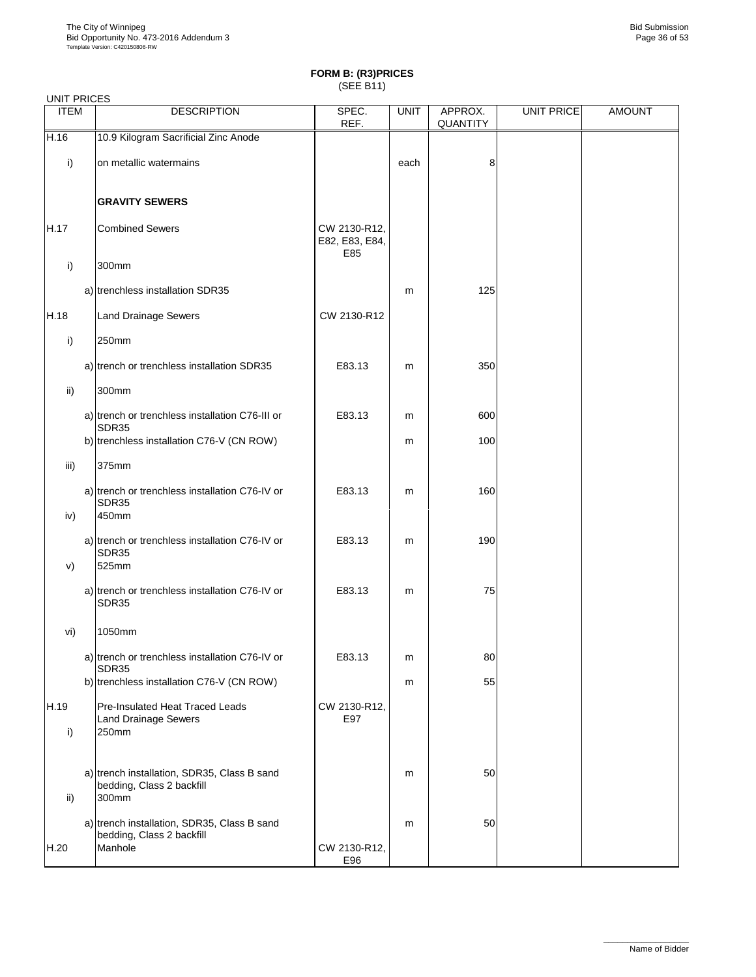| <b>UNIT PRICES</b> |                                                                                     |                                       |             |                     |                   |               |
|--------------------|-------------------------------------------------------------------------------------|---------------------------------------|-------------|---------------------|-------------------|---------------|
| <b>ITEM</b>        | <b>DESCRIPTION</b>                                                                  | SPEC.<br>REF.                         | <b>UNIT</b> | APPROX.<br>QUANTITY | <b>UNIT PRICE</b> | <b>AMOUNT</b> |
| H.16               | 10.9 Kilogram Sacrificial Zinc Anode                                                |                                       |             |                     |                   |               |
| i)                 | on metallic watermains                                                              |                                       | each        | 8                   |                   |               |
|                    | <b>GRAVITY SEWERS</b>                                                               |                                       |             |                     |                   |               |
| H.17               | <b>Combined Sewers</b>                                                              | CW 2130-R12,<br>E82, E83, E84,<br>E85 |             |                     |                   |               |
| i)                 | 300mm                                                                               |                                       |             |                     |                   |               |
|                    | a) trenchless installation SDR35                                                    |                                       | m           | 125                 |                   |               |
| H.18               | <b>Land Drainage Sewers</b>                                                         | CW 2130-R12                           |             |                     |                   |               |
| i)                 | 250mm                                                                               |                                       |             |                     |                   |               |
|                    | a) trench or trenchless installation SDR35                                          | E83.13                                | m           | 350                 |                   |               |
| ii)                | 300mm                                                                               |                                       |             |                     |                   |               |
|                    | a) trench or trenchless installation C76-III or<br>SDR35                            | E83.13                                | m           | 600                 |                   |               |
|                    | b) trenchless installation C76-V (CN ROW)                                           |                                       | m           | 100                 |                   |               |
| iii)               | 375mm                                                                               |                                       |             |                     |                   |               |
| iv)                | a) trench or trenchless installation C76-IV or<br>SDR35<br>450mm                    | E83.13                                | m           | 160                 |                   |               |
| V)                 | a) trench or trenchless installation C76-IV or<br>SDR35<br>525mm                    | E83.13                                | m           | 190                 |                   |               |
|                    | a) trench or trenchless installation C76-IV or<br>SDR35                             | E83.13                                | m           | 75                  |                   |               |
| vi)                | 1050mm                                                                              |                                       |             |                     |                   |               |
|                    | a) trench or trenchless installation C76-IV or<br>SDR35                             | E83.13                                | m           | 80                  |                   |               |
|                    | b) trenchless installation C76-V (CN ROW)                                           |                                       | m           | 55                  |                   |               |
| H.19<br>i)         | Pre-Insulated Heat Traced Leads<br><b>Land Drainage Sewers</b><br>250mm             | CW 2130-R12,<br>E97                   |             |                     |                   |               |
| ii)                | a) trench installation, SDR35, Class B sand<br>bedding, Class 2 backfill<br>300mm   |                                       | m           | 50                  |                   |               |
| H.20               | a) trench installation, SDR35, Class B sand<br>bedding, Class 2 backfill<br>Manhole | CW 2130-R12,<br>E96                   | m           | 50                  |                   |               |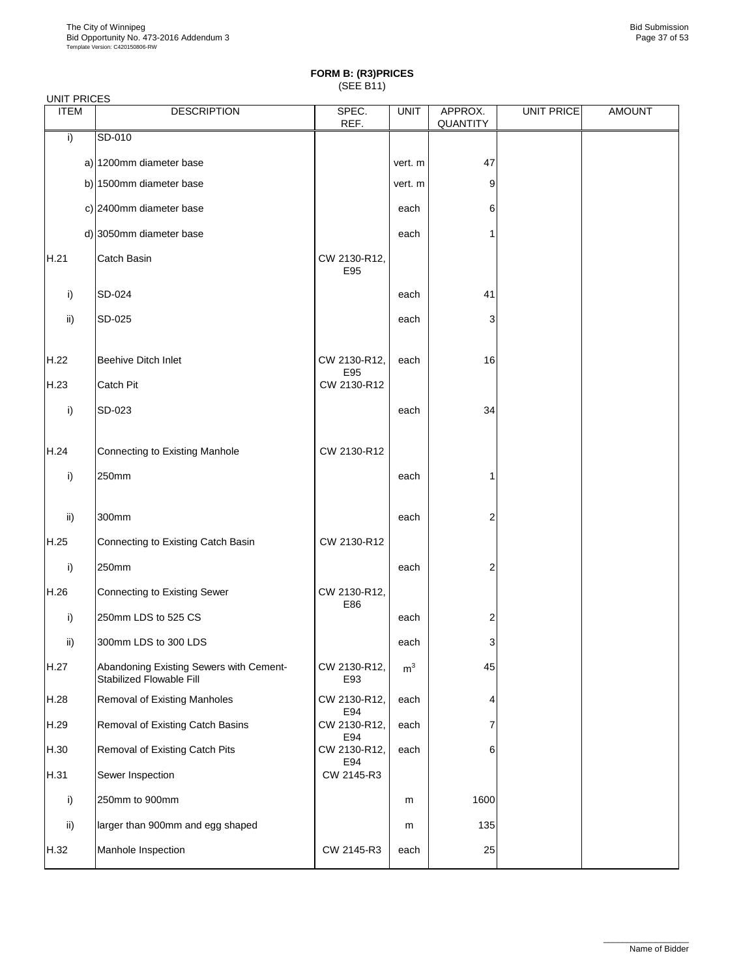| <b>UNIT PRICES</b> |                                                                     |                     |             |                     |                   |               |
|--------------------|---------------------------------------------------------------------|---------------------|-------------|---------------------|-------------------|---------------|
| <b>ITEM</b>        | <b>DESCRIPTION</b>                                                  | SPEC.<br>REF.       | <b>UNIT</b> | APPROX.<br>QUANTITY | <b>UNIT PRICE</b> | <b>AMOUNT</b> |
| i)                 | SD-010                                                              |                     |             |                     |                   |               |
|                    | a) 1200mm diameter base                                             |                     | vert. m     | 47                  |                   |               |
|                    | b) 1500mm diameter base                                             |                     | vert. m     | 9                   |                   |               |
|                    | c) 2400mm diameter base                                             |                     | each        | 6                   |                   |               |
|                    | d) 3050mm diameter base                                             |                     | each        | 1                   |                   |               |
| H.21               | Catch Basin                                                         | CW 2130-R12,<br>E95 |             |                     |                   |               |
| i)                 | SD-024                                                              |                     | each        | 41                  |                   |               |
| ii)                | SD-025                                                              |                     | each        | 3                   |                   |               |
| H.22               | Beehive Ditch Inlet                                                 | CW 2130-R12,<br>E95 | each        | 16                  |                   |               |
| H.23               | Catch Pit                                                           | CW 2130-R12         |             |                     |                   |               |
| i)                 | SD-023                                                              |                     | each        | 34                  |                   |               |
| H.24               | Connecting to Existing Manhole                                      | CW 2130-R12         |             |                     |                   |               |
| i)                 | 250mm                                                               |                     | each        | 1                   |                   |               |
| ii)                | 300mm                                                               |                     | each        | 2                   |                   |               |
| H.25               | Connecting to Existing Catch Basin                                  | CW 2130-R12         |             |                     |                   |               |
| i)                 | 250mm                                                               |                     | each        | 2                   |                   |               |
| H.26               | <b>Connecting to Existing Sewer</b>                                 | CW 2130-R12,<br>E86 |             |                     |                   |               |
| i)                 | 250mm LDS to 525 CS                                                 |                     | each        | 2                   |                   |               |
| ii)                | 300mm LDS to 300 LDS                                                |                     | each        | 3                   |                   |               |
| H.27               | Abandoning Existing Sewers with Cement-<br>Stabilized Flowable Fill | CW 2130-R12,<br>E93 | ${\rm m}^3$ | 45                  |                   |               |
| H.28               | Removal of Existing Manholes                                        | CW 2130-R12,<br>E94 | each        | 4                   |                   |               |
| H.29               | Removal of Existing Catch Basins                                    | CW 2130-R12,<br>E94 | each        | 7                   |                   |               |
| H.30               | Removal of Existing Catch Pits                                      | CW 2130-R12,<br>E94 | each        | 6                   |                   |               |
| H.31               | Sewer Inspection                                                    | CW 2145-R3          |             |                     |                   |               |
| i)                 | 250mm to 900mm                                                      |                     | m           | 1600                |                   |               |
| ii)                | larger than 900mm and egg shaped                                    |                     | m           | 135                 |                   |               |
| H.32               | Manhole Inspection                                                  | CW 2145-R3          | each        | 25                  |                   |               |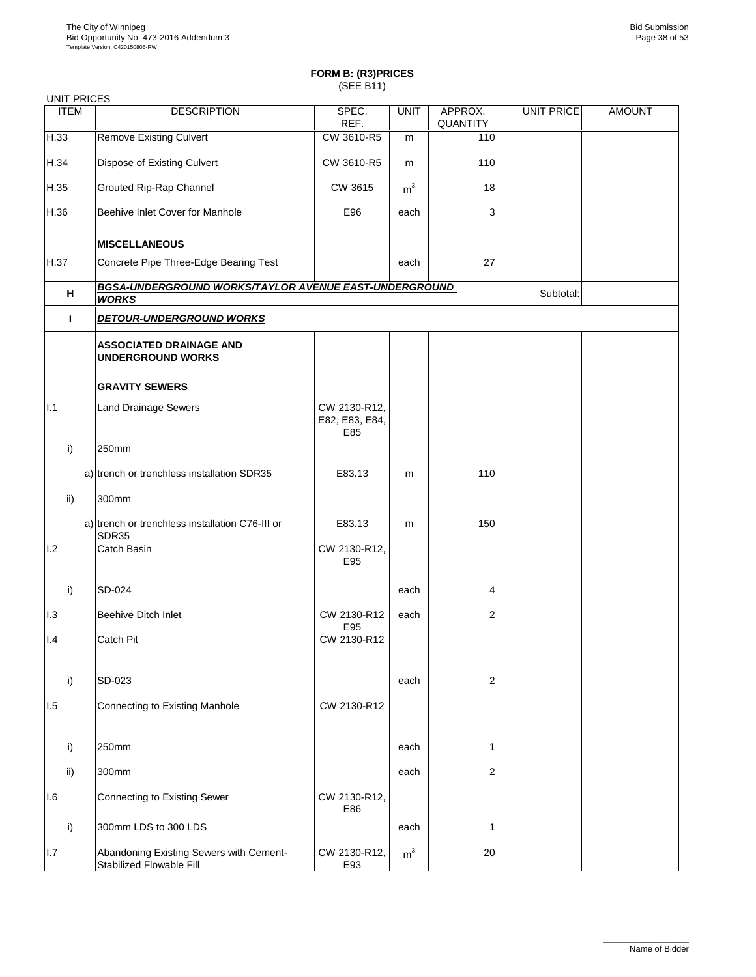| <b>UNIT PRICES</b> |                                                                       |                                       |                |                     |            |               |
|--------------------|-----------------------------------------------------------------------|---------------------------------------|----------------|---------------------|------------|---------------|
| <b>ITEM</b>        | <b>DESCRIPTION</b>                                                    | SPEC.<br>REF.                         | <b>UNIT</b>    | APPROX.<br>QUANTITY | UNIT PRICE | <b>AMOUNT</b> |
| H.33               | <b>Remove Existing Culvert</b>                                        | CW 3610-R5                            | m              | 110                 |            |               |
| H.34               | Dispose of Existing Culvert                                           | CW 3610-R5                            | m              | 110                 |            |               |
| H.35               | Grouted Rip-Rap Channel                                               | CW 3615                               | m <sup>3</sup> | 18                  |            |               |
| H.36               | Beehive Inlet Cover for Manhole                                       | E96                                   | each           | 3                   |            |               |
|                    | <b>MISCELLANEOUS</b>                                                  |                                       |                |                     |            |               |
| H.37               | Concrete Pipe Three-Edge Bearing Test                                 |                                       | each           | 27                  |            |               |
| н                  | BGSA-UNDERGROUND WORKS/TAYLOR AVENUE EAST-UNDERGROUND<br><b>WORKS</b> |                                       |                |                     | Subtotal:  |               |
| т                  | <b>DETOUR-UNDERGROUND WORKS</b>                                       |                                       |                |                     |            |               |
|                    | <b>ASSOCIATED DRAINAGE AND</b><br><b>UNDERGROUND WORKS</b>            |                                       |                |                     |            |               |
|                    | <b>GRAVITY SEWERS</b>                                                 |                                       |                |                     |            |               |
| 1.1                | <b>Land Drainage Sewers</b>                                           | CW 2130-R12,<br>E82, E83, E84,<br>E85 |                |                     |            |               |
| i)                 | 250mm                                                                 |                                       |                |                     |            |               |
|                    | a) trench or trenchless installation SDR35                            | E83.13                                | m              | 110                 |            |               |
| ii)                | 300mm                                                                 |                                       |                |                     |            |               |
|                    | a) trench or trenchless installation C76-III or<br>SDR35              | E83.13                                | m              | 150                 |            |               |
| 1.2                | Catch Basin                                                           | CW 2130-R12,<br>E95                   |                |                     |            |               |
| i)                 | SD-024                                                                |                                       | each           | 4                   |            |               |
| 1.3                | Beehive Ditch Inlet                                                   | CW 2130-R12<br>E95                    | each           | 2                   |            |               |
| 1.4                | Catch Pit                                                             | CW 2130-R12                           |                |                     |            |               |
|                    |                                                                       |                                       |                |                     |            |               |
| i)                 | SD-023                                                                |                                       | each           | 2                   |            |               |
| 1.5                | Connecting to Existing Manhole                                        | CW 2130-R12                           |                |                     |            |               |
| i)                 | 250mm                                                                 |                                       | each           | 1                   |            |               |
| $\mathsf{ii}$      | 300mm                                                                 |                                       | each           | 2                   |            |               |
| 1.6                | <b>Connecting to Existing Sewer</b>                                   | CW 2130-R12,<br>E86                   |                |                     |            |               |
| i)                 | 300mm LDS to 300 LDS                                                  |                                       | each           | 1                   |            |               |
| 1.7                | Abandoning Existing Sewers with Cement-<br>Stabilized Flowable Fill   | CW 2130-R12,<br>E93                   | m <sup>3</sup> | 20                  |            |               |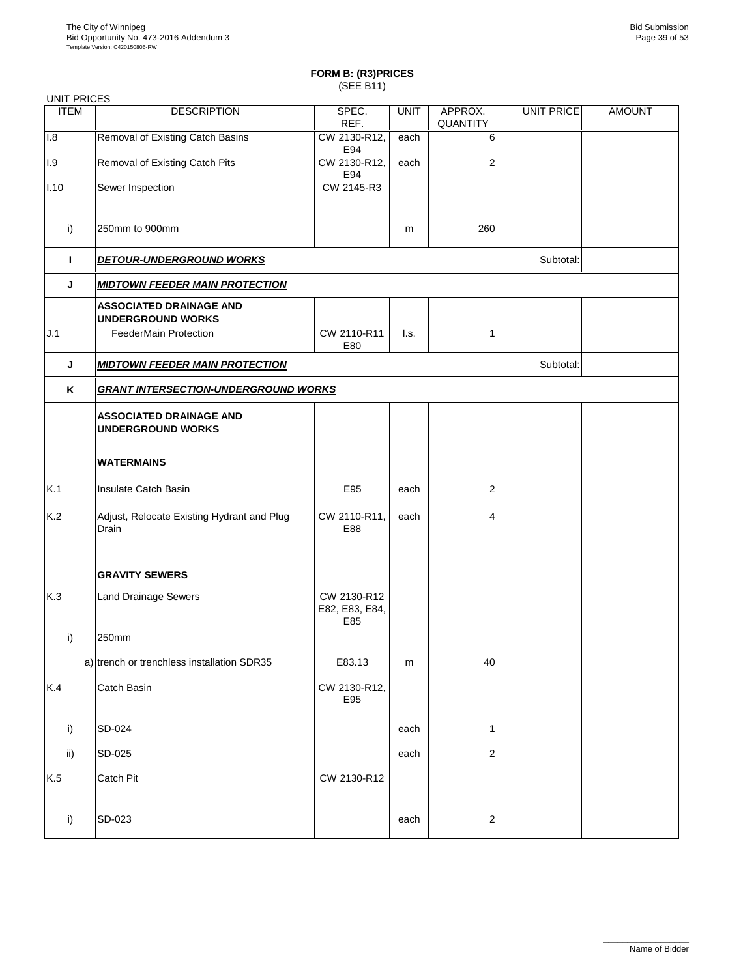| <b>UNIT PRICES</b>      |                                                                                            |                                      |             |                     |                   |               |
|-------------------------|--------------------------------------------------------------------------------------------|--------------------------------------|-------------|---------------------|-------------------|---------------|
| <b>ITEM</b>             | <b>DESCRIPTION</b>                                                                         | SPEC.<br>REF.                        | <b>UNIT</b> | APPROX.<br>QUANTITY | <b>UNIT PRICE</b> | <b>AMOUNT</b> |
| 1.8                     | Removal of Existing Catch Basins                                                           | CW 2130-R12,<br>E94                  | each        | 6                   |                   |               |
| $\mathsf{I}.\mathsf{9}$ | Removal of Existing Catch Pits                                                             | CW 2130-R12,<br>E94                  | each        | 2                   |                   |               |
| 1.10                    | Sewer Inspection                                                                           | CW 2145-R3                           |             |                     |                   |               |
| i)                      | 250mm to 900mm                                                                             |                                      | m           | 260                 |                   |               |
| Т.                      | <b>DETOUR-UNDERGROUND WORKS</b>                                                            |                                      |             |                     | Subtotal:         |               |
| J                       | <b>MIDTOWN FEEDER MAIN PROTECTION</b>                                                      |                                      |             |                     |                   |               |
| J.1                     | <b>ASSOCIATED DRAINAGE AND</b><br><b>UNDERGROUND WORKS</b><br><b>FeederMain Protection</b> | CW 2110-R11<br>E80                   | l.s.        | 1                   |                   |               |
| J                       | <b>MIDTOWN FEEDER MAIN PROTECTION</b>                                                      | Subtotal:                            |             |                     |                   |               |
| K                       | <b>GRANT INTERSECTION-UNDERGROUND WORKS</b>                                                |                                      |             |                     |                   |               |
|                         | <b>ASSOCIATED DRAINAGE AND</b><br><b>UNDERGROUND WORKS</b>                                 |                                      |             |                     |                   |               |
|                         | <b>WATERMAINS</b>                                                                          |                                      |             |                     |                   |               |
| K.1                     | Insulate Catch Basin                                                                       | E95                                  | each        | 2                   |                   |               |
| K.2                     | Adjust, Relocate Existing Hydrant and Plug<br>Drain                                        | CW 2110-R11,<br>E88                  | each        | 4                   |                   |               |
|                         | <b>GRAVITY SEWERS</b>                                                                      |                                      |             |                     |                   |               |
| K.3                     | <b>Land Drainage Sewers</b>                                                                | CW 2130-R12<br>E82, E83, E84,<br>E85 |             |                     |                   |               |
| i)                      | 250mm                                                                                      |                                      |             |                     |                   |               |
|                         | a) trench or trenchless installation SDR35                                                 | E83.13                               | m           | 40                  |                   |               |
| K.4                     | Catch Basin                                                                                | CW 2130-R12,<br>E95                  |             |                     |                   |               |
| i)                      | SD-024                                                                                     |                                      | each        | 1                   |                   |               |
| ii)                     | SD-025                                                                                     |                                      | each        | 2                   |                   |               |
| K.5                     | Catch Pit                                                                                  | CW 2130-R12                          |             |                     |                   |               |
| i)                      | SD-023                                                                                     |                                      | each        | 2                   |                   |               |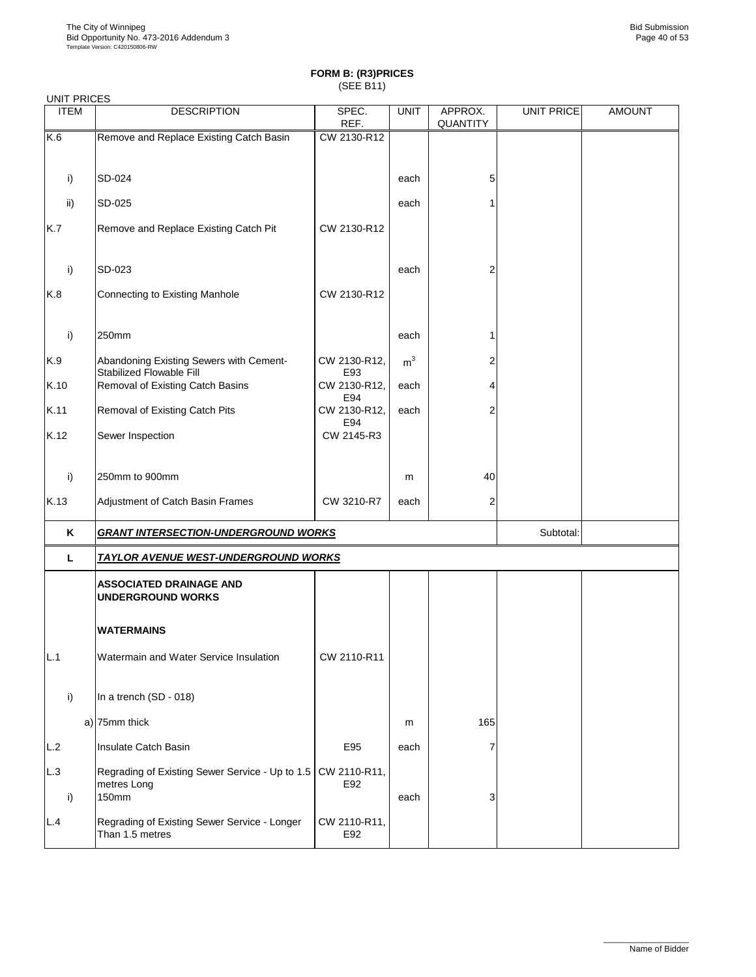| <b>UNIT PRICES</b> |                                                                         |                     |                |                     |                   |               |
|--------------------|-------------------------------------------------------------------------|---------------------|----------------|---------------------|-------------------|---------------|
| <b>ITEM</b>        | <b>DESCRIPTION</b>                                                      | SPEC.<br>REF.       | <b>UNIT</b>    | APPROX.<br>QUANTITY | <b>UNIT PRICE</b> | <b>AMOUNT</b> |
| K.6                | Remove and Replace Existing Catch Basin                                 | CW 2130-R12         |                |                     |                   |               |
|                    |                                                                         |                     |                |                     |                   |               |
| i)                 | SD-024                                                                  |                     | each           | 5                   |                   |               |
| ii)                | SD-025                                                                  |                     | each           | 1                   |                   |               |
| K.7                | Remove and Replace Existing Catch Pit                                   | CW 2130-R12         |                |                     |                   |               |
| i)                 | SD-023                                                                  |                     | each           | $\overline{c}$      |                   |               |
| K.8                | Connecting to Existing Manhole                                          | CW 2130-R12         |                |                     |                   |               |
| i)                 | 250mm                                                                   |                     | each           | 1                   |                   |               |
| K.9                | Abandoning Existing Sewers with Cement-<br>Stabilized Flowable Fill     | CW 2130-R12,<br>E93 | m <sup>3</sup> | 2                   |                   |               |
| K.10               | Removal of Existing Catch Basins                                        | CW 2130-R12,<br>E94 | each           | 4                   |                   |               |
| K.11               | Removal of Existing Catch Pits                                          | CW 2130-R12,<br>E94 | each           | 2                   |                   |               |
| K.12               | Sewer Inspection                                                        | CW 2145-R3          |                |                     |                   |               |
| i)                 | 250mm to 900mm                                                          |                     | m              | 40                  |                   |               |
| K.13               | Adjustment of Catch Basin Frames                                        | CW 3210-R7          | each           | 2                   |                   |               |
| Κ                  | <b>GRANT INTERSECTION-UNDERGROUND WORKS</b>                             |                     |                |                     | Subtotal:         |               |
| L.                 | <b>TAYLOR AVENUE WEST-UNDERGROUND WORKS</b>                             |                     |                |                     |                   |               |
|                    | <b>ASSOCIATED DRAINAGE AND</b><br><b>UNDERGROUND WORKS</b>              |                     |                |                     |                   |               |
|                    | WATERMAINS                                                              |                     |                |                     |                   |               |
| L.1                | Watermain and Water Service Insulation                                  | CW 2110-R11         |                |                     |                   |               |
| i)                 | In a trench (SD - 018)                                                  |                     |                |                     |                   |               |
|                    | a) 75mm thick                                                           |                     | m              | 165                 |                   |               |
| L.2                | Insulate Catch Basin                                                    | E95                 | each           | 7                   |                   |               |
| L.3<br>i)          | Regrading of Existing Sewer Service - Up to 1.5<br>metres Long<br>150mm | CW 2110-R11,<br>E92 | each           | 3                   |                   |               |
| L.4                | Regrading of Existing Sewer Service - Longer<br>Than 1.5 metres         | CW 2110-R11,<br>E92 |                |                     |                   |               |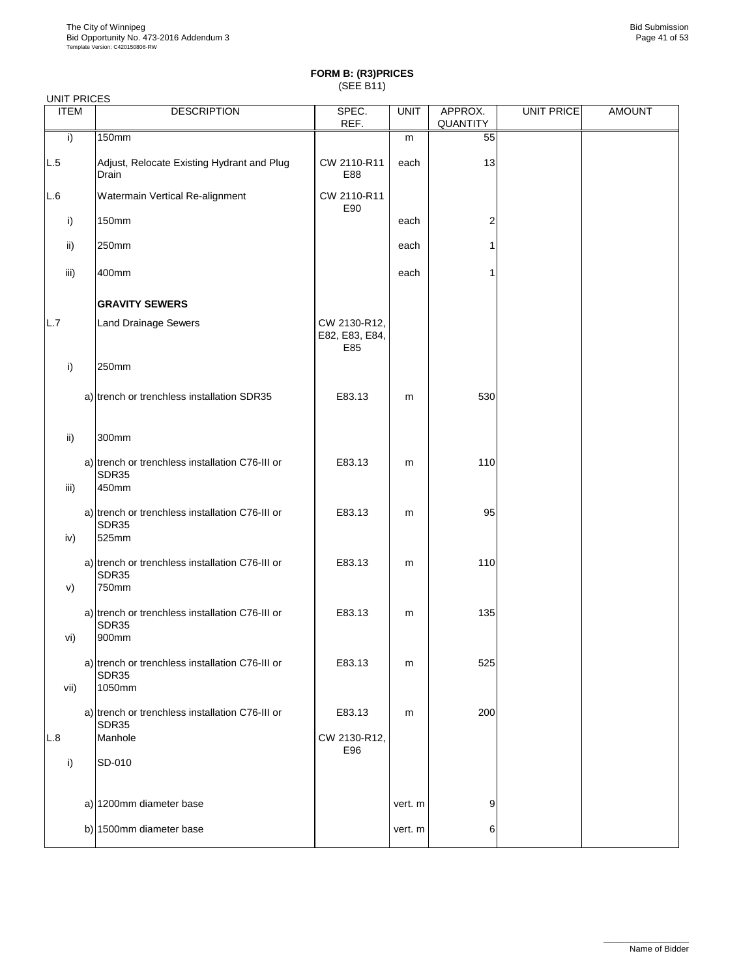| <b>UNIT PRICES</b> |                                                                    |                                       |             |                     |            |               |
|--------------------|--------------------------------------------------------------------|---------------------------------------|-------------|---------------------|------------|---------------|
| <b>ITEM</b>        | <b>DESCRIPTION</b>                                                 | SPEC.<br>REF.                         | <b>UNIT</b> | APPROX.<br>QUANTITY | UNIT PRICE | <b>AMOUNT</b> |
| i)                 | 150mm                                                              |                                       | m           | 55                  |            |               |
| L.5                | Adjust, Relocate Existing Hydrant and Plug<br>Drain                | CW 2110-R11<br>E88                    | each        | 13                  |            |               |
| L.6                | Watermain Vertical Re-alignment                                    | CW 2110-R11<br>E90                    |             |                     |            |               |
| i)                 | 150mm                                                              |                                       | each        | 2                   |            |               |
| ii)                | 250mm                                                              |                                       | each        | 1                   |            |               |
| iii)               | 400mm                                                              |                                       | each        | 1                   |            |               |
|                    | <b>GRAVITY SEWERS</b>                                              |                                       |             |                     |            |               |
| L.7                | <b>Land Drainage Sewers</b>                                        | CW 2130-R12,<br>E82, E83, E84,<br>E85 |             |                     |            |               |
| i)                 | 250mm                                                              |                                       |             |                     |            |               |
|                    | a) trench or trenchless installation SDR35                         | E83.13                                | m           | 530                 |            |               |
| ii)                | 300mm                                                              |                                       |             |                     |            |               |
| iii)               | a) trench or trenchless installation C76-III or<br>SDR35<br>450mm  | E83.13                                | m           | 110                 |            |               |
| iv)                | a) trench or trenchless installation C76-III or<br>SDR35<br>525mm  | E83.13                                | m           | 95                  |            |               |
| V)                 | a) trench or trenchless installation C76-III or<br>SDR35<br>750mm  | E83.13                                | m           | 110                 |            |               |
| vi)                | a) trench or trenchless installation C76-III or<br>SDR35<br>900mm  | E83.13                                | m           | 135                 |            |               |
| vii)               | a) trench or trenchless installation C76-III or<br>SDR35<br>1050mm | E83.13                                | m           | 525                 |            |               |
|                    | a) trench or trenchless installation C76-III or<br><b>SDR35</b>    | E83.13                                | m           | 200                 |            |               |
| L.8                | Manhole                                                            | CW 2130-R12,                          |             |                     |            |               |
| i)                 | SD-010                                                             | E96                                   |             |                     |            |               |
|                    | a) 1200mm diameter base                                            |                                       | vert. m     | 9                   |            |               |
|                    | b) 1500mm diameter base                                            |                                       | vert. m     | 6                   |            |               |
|                    |                                                                    |                                       |             |                     |            |               |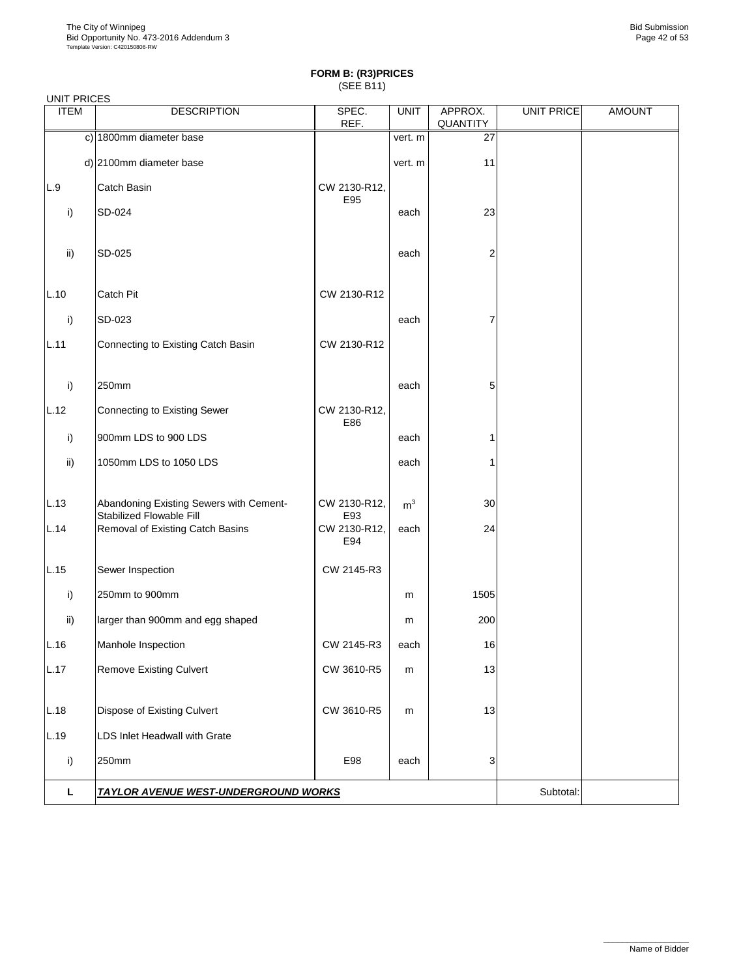|             | <b>UNIT PRICES</b>                                                  |                     |                |                     |                   |               |  |  |  |  |
|-------------|---------------------------------------------------------------------|---------------------|----------------|---------------------|-------------------|---------------|--|--|--|--|
| <b>ITEM</b> | <b>DESCRIPTION</b>                                                  | SPEC.<br>REF.       | <b>UNIT</b>    | APPROX.<br>QUANTITY | <b>UNIT PRICE</b> | <b>AMOUNT</b> |  |  |  |  |
|             | c) 1800mm diameter base                                             |                     | vert. m        | 27                  |                   |               |  |  |  |  |
|             | d) 2100mm diameter base                                             |                     | vert. m        | 11                  |                   |               |  |  |  |  |
| L.9         | Catch Basin                                                         | CW 2130-R12,<br>E95 |                |                     |                   |               |  |  |  |  |
| i)          | SD-024                                                              |                     | each           | 23                  |                   |               |  |  |  |  |
| ii)         | SD-025                                                              |                     | each           | 2                   |                   |               |  |  |  |  |
| L.10        | Catch Pit                                                           | CW 2130-R12         |                |                     |                   |               |  |  |  |  |
| i)          | SD-023                                                              |                     | each           | 7                   |                   |               |  |  |  |  |
| L.11        | Connecting to Existing Catch Basin                                  | CW 2130-R12         |                |                     |                   |               |  |  |  |  |
| i)          | 250mm                                                               |                     | each           | 5                   |                   |               |  |  |  |  |
| L.12        | Connecting to Existing Sewer                                        | CW 2130-R12,<br>E86 |                |                     |                   |               |  |  |  |  |
| i)          | 900mm LDS to 900 LDS                                                |                     | each           | 1                   |                   |               |  |  |  |  |
| ii)         | 1050mm LDS to 1050 LDS                                              |                     | each           | 1                   |                   |               |  |  |  |  |
| L.13        | Abandoning Existing Sewers with Cement-<br>Stabilized Flowable Fill | CW 2130-R12,<br>E93 | m <sup>3</sup> | 30                  |                   |               |  |  |  |  |
| L.14        | Removal of Existing Catch Basins                                    | CW 2130-R12,<br>E94 | each           | 24                  |                   |               |  |  |  |  |
| L.15        | Sewer Inspection                                                    | CW 2145-R3          |                |                     |                   |               |  |  |  |  |
| i)          | 250mm to 900mm                                                      |                     | m              | 1505                |                   |               |  |  |  |  |
| ii)         | larger than 900mm and egg shaped                                    |                     | m              | 200                 |                   |               |  |  |  |  |
| L.16        | Manhole Inspection                                                  | CW 2145-R3          | each           | $16\,$              |                   |               |  |  |  |  |
| L.17        | <b>Remove Existing Culvert</b>                                      | CW 3610-R5          | m              | 13                  |                   |               |  |  |  |  |
| L.18        | Dispose of Existing Culvert                                         | CW 3610-R5          | m              | 13                  |                   |               |  |  |  |  |
| L.19        | LDS Inlet Headwall with Grate                                       |                     |                |                     |                   |               |  |  |  |  |
| i)          | 250mm                                                               | E98                 | each           | 3                   |                   |               |  |  |  |  |
| L           | <b>TAYLOR AVENUE WEST-UNDERGROUND WORKS</b>                         | Subtotal:           |                |                     |                   |               |  |  |  |  |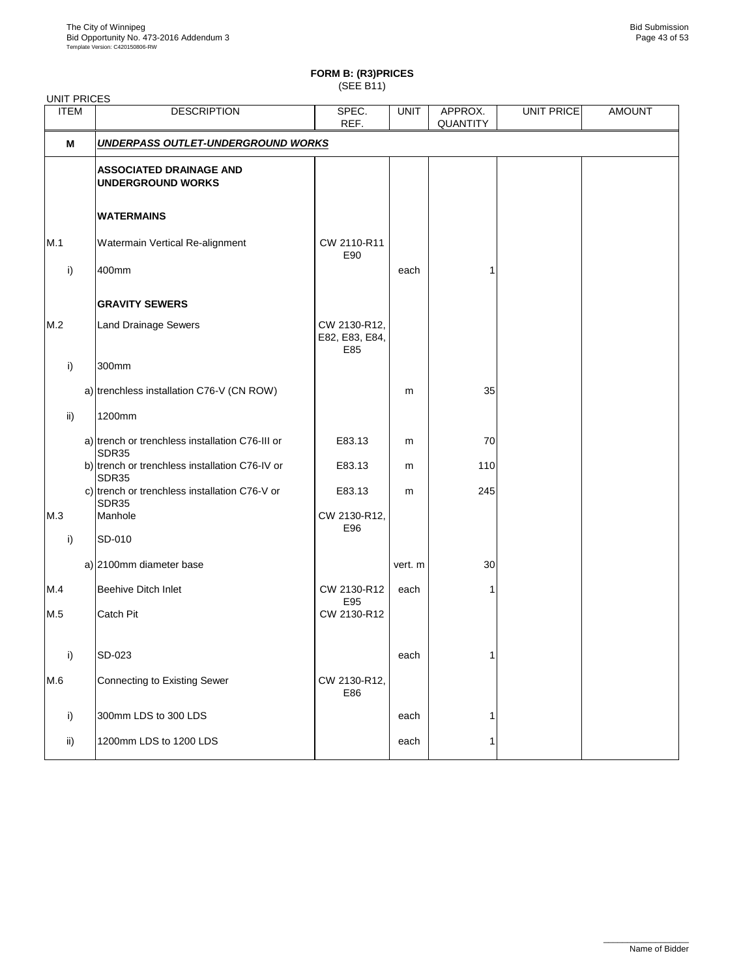UNIT PRICES

## **FORM B: (R3)PRICES**

(SEE B11)

| <b>ITEM</b>   | <b>DESCRIPTION</b>                                             | SPEC.<br>REF.                         | <b>UNIT</b> | APPROX.<br><b>QUANTITY</b> | <b>UNIT PRICE</b> | <b>AMOUNT</b> |
|---------------|----------------------------------------------------------------|---------------------------------------|-------------|----------------------------|-------------------|---------------|
| м             | <b>UNDERPASS OUTLET-UNDERGROUND WORKS</b>                      |                                       |             |                            |                   |               |
|               | <b>ASSOCIATED DRAINAGE AND</b><br><b>UNDERGROUND WORKS</b>     |                                       |             |                            |                   |               |
|               | <b>WATERMAINS</b>                                              |                                       |             |                            |                   |               |
| M.1           | Watermain Vertical Re-alignment                                | CW 2110-R11<br>E90                    |             |                            |                   |               |
| i)            | 400mm                                                          |                                       | each        | 1                          |                   |               |
|               | <b>GRAVITY SEWERS</b>                                          |                                       |             |                            |                   |               |
| M.2           | <b>Land Drainage Sewers</b>                                    | CW 2130-R12,<br>E82, E83, E84,<br>E85 |             |                            |                   |               |
| i)            | 300mm                                                          |                                       |             |                            |                   |               |
|               | a) trenchless installation C76-V (CN ROW)                      |                                       | m           | 35                         |                   |               |
| $\mathsf{ii}$ | 1200mm                                                         |                                       |             |                            |                   |               |
|               | a) trench or trenchless installation C76-III or<br>SDR35       | E83.13                                | m           | 70                         |                   |               |
|               | b) trench or trenchless installation C76-IV or<br><b>SDR35</b> | E83.13                                | m           | 110                        |                   |               |
|               | c) trench or trenchless installation C76-V or<br>SDR35         | E83.13                                | m           | 245                        |                   |               |
| M.3           | Manhole                                                        | CW 2130-R12,<br>E96                   |             |                            |                   |               |
| i)            | SD-010                                                         |                                       |             |                            |                   |               |
|               | a) 2100mm diameter base                                        |                                       | vert. m     | 30                         |                   |               |
| M.4           | Beehive Ditch Inlet                                            | CW 2130-R12<br>E95                    | each        | 1                          |                   |               |
| M.5           | Catch Pit                                                      | CW 2130-R12                           |             |                            |                   |               |
| i)            | SD-023                                                         |                                       | each        | 1                          |                   |               |
| M.6           | <b>Connecting to Existing Sewer</b>                            | CW 2130-R12,<br>E86                   |             |                            |                   |               |
| i)            | 300mm LDS to 300 LDS                                           |                                       | each        | 1                          |                   |               |
| ii)           | 1200mm LDS to 1200 LDS                                         |                                       | each        | 1                          |                   |               |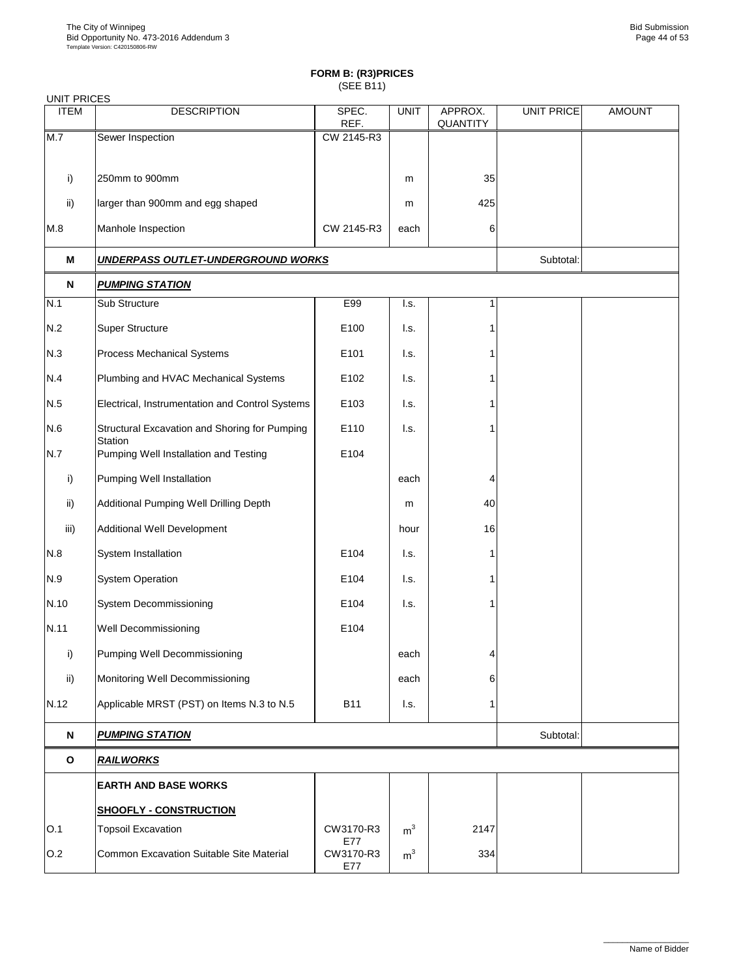| <b>UNIT PRICES</b> |                                                          |                  |                |                     |                   |               |
|--------------------|----------------------------------------------------------|------------------|----------------|---------------------|-------------------|---------------|
| <b>ITEM</b>        | <b>DESCRIPTION</b>                                       | SPEC.<br>REF.    | <b>UNIT</b>    | APPROX.<br>QUANTITY | <b>UNIT PRICE</b> | <b>AMOUNT</b> |
| M.7                | Sewer Inspection                                         | CW 2145-R3       |                |                     |                   |               |
|                    |                                                          |                  |                |                     |                   |               |
| i)                 | 250mm to 900mm                                           |                  | m              | 35                  |                   |               |
| ii)                | larger than 900mm and egg shaped                         |                  | m              | 425                 |                   |               |
| M.8                | Manhole Inspection                                       | CW 2145-R3       | each           | 6                   |                   |               |
| М                  | <b>UNDERPASS OUTLET-UNDERGROUND WORKS</b>                |                  |                |                     | Subtotal:         |               |
| N                  | <b>PUMPING STATION</b>                                   |                  |                |                     |                   |               |
| N.1                | Sub Structure                                            | E99              | I.s.           | $\overline{1}$      |                   |               |
| N.2                | Super Structure                                          | E100             | l.s.           |                     |                   |               |
| N.3                | Process Mechanical Systems                               | E101             | I.s.           |                     |                   |               |
| N.4                | Plumbing and HVAC Mechanical Systems                     | E102             | l.s.           |                     |                   |               |
| N.5                | Electrical, Instrumentation and Control Systems          | E103             | l.s.           |                     |                   |               |
| N.6                | Structural Excavation and Shoring for Pumping<br>Station | E110             | l.s.           |                     |                   |               |
| N.7                | Pumping Well Installation and Testing                    | E104             |                |                     |                   |               |
| i)                 | Pumping Well Installation                                |                  | each           | 4                   |                   |               |
| ii)                | Additional Pumping Well Drilling Depth                   |                  | m              | 40                  |                   |               |
| iii)               | <b>Additional Well Development</b>                       |                  | hour           | 16                  |                   |               |
| N.8                | System Installation                                      | E104             | I.s.           | 1                   |                   |               |
| N.9                | <b>System Operation</b>                                  | E104             | I.s.           | 1                   |                   |               |
| N.10               | System Decommissioning                                   | E104             | I.s.           | 1                   |                   |               |
| N.11               | Well Decommissioning                                     | E104             |                |                     |                   |               |
| i)                 | Pumping Well Decommissioning                             |                  | each           | 4                   |                   |               |
| ii)                | Monitoring Well Decommissioning                          |                  | each           | 6                   |                   |               |
| N.12               | Applicable MRST (PST) on Items N.3 to N.5                | <b>B11</b>       | l.s.           | 1                   |                   |               |
| N                  | <b>PUMPING STATION</b>                                   |                  |                |                     | Subtotal:         |               |
| $\mathbf{o}$       | <b>RAILWORKS</b>                                         |                  |                |                     |                   |               |
|                    | <b>EARTH AND BASE WORKS</b>                              |                  |                |                     |                   |               |
|                    | <b>SHOOFLY - CONSTRUCTION</b>                            |                  |                |                     |                   |               |
| O.1                | <b>Topsoil Excavation</b>                                | CW3170-R3<br>E77 | m <sup>3</sup> | 2147                |                   |               |
| O.2                | <b>Common Excavation Suitable Site Material</b>          | CW3170-R3<br>E77 | m <sup>3</sup> | 334                 |                   |               |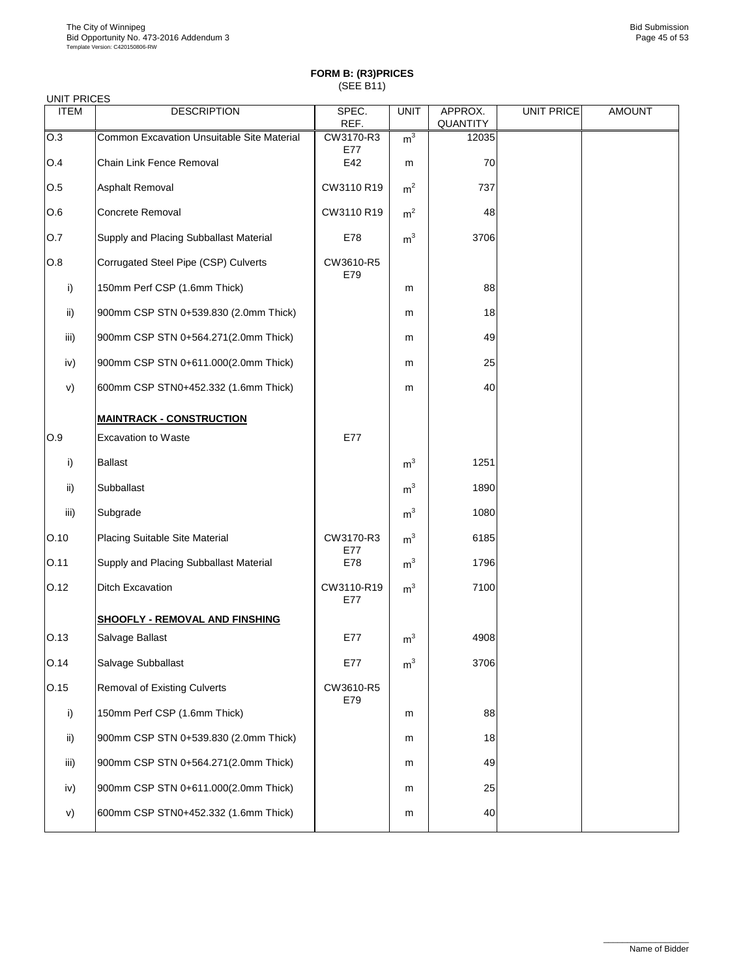| <b>UNIT PRICES</b> |                                            |                   |                |                            |                   |               |
|--------------------|--------------------------------------------|-------------------|----------------|----------------------------|-------------------|---------------|
| <b>ITEM</b>        | <b>DESCRIPTION</b>                         | SPEC.<br>REF.     | <b>UNIT</b>    | APPROX.<br><b>QUANTITY</b> | <b>UNIT PRICE</b> | <b>AMOUNT</b> |
| O.3                | Common Excavation Unsuitable Site Material | CW3170-R3         | m <sup>3</sup> | 12035                      |                   |               |
| O.4                | Chain Link Fence Removal                   | E77<br>E42        | m              | 70                         |                   |               |
| O.5                | Asphalt Removal                            | CW3110 R19        | m <sup>2</sup> | 737                        |                   |               |
| O.6                | Concrete Removal                           | CW3110 R19        | m <sup>2</sup> | 48                         |                   |               |
| O.7                | Supply and Placing Subballast Material     | E78               | m <sup>3</sup> | 3706                       |                   |               |
| O.8                | Corrugated Steel Pipe (CSP) Culverts       | CW3610-R5<br>E79  |                |                            |                   |               |
| i)                 | 150mm Perf CSP (1.6mm Thick)               |                   | m              | 88                         |                   |               |
| ii)                | 900mm CSP STN 0+539.830 (2.0mm Thick)      |                   | m              | 18                         |                   |               |
| iii)               | 900mm CSP STN 0+564.271(2.0mm Thick)       |                   | m              | 49                         |                   |               |
| iv)                | 900mm CSP STN 0+611.000(2.0mm Thick)       |                   | m              | 25                         |                   |               |
| V)                 | 600mm CSP STN0+452.332 (1.6mm Thick)       |                   | m              | 40                         |                   |               |
|                    | <b>MAINTRACK - CONSTRUCTION</b>            |                   |                |                            |                   |               |
| O.9                | <b>Excavation to Waste</b>                 | E77               |                |                            |                   |               |
| i)                 | <b>Ballast</b>                             |                   | m <sup>3</sup> | 1251                       |                   |               |
| ii)                | Subballast                                 |                   | m <sup>3</sup> | 1890                       |                   |               |
| iii)               | Subgrade                                   |                   | m <sup>3</sup> | 1080                       |                   |               |
| O.10               | Placing Suitable Site Material             | CW3170-R3<br>E77  | m <sup>3</sup> | 6185                       |                   |               |
| O.11               | Supply and Placing Subballast Material     | E78               | m <sup>3</sup> | 1796                       |                   |               |
| O.12               | <b>Ditch Excavation</b>                    | CW3110-R19<br>E77 | m <sup>3</sup> | 7100                       |                   |               |
|                    | <b>SHOOFLY - REMOVAL AND FINSHING</b>      |                   |                |                            |                   |               |
| O.13               | Salvage Ballast                            | E77               | m <sup>3</sup> | 4908                       |                   |               |
| O.14               | Salvage Subballast                         | E77               | m <sup>3</sup> | 3706                       |                   |               |
| 0.15               | <b>Removal of Existing Culverts</b>        | CW3610-R5<br>E79  |                |                            |                   |               |
| i)                 | 150mm Perf CSP (1.6mm Thick)               |                   | m              | 88                         |                   |               |
| ii)                | 900mm CSP STN 0+539.830 (2.0mm Thick)      |                   | m              | 18                         |                   |               |
| iii)               | 900mm CSP STN 0+564.271(2.0mm Thick)       |                   | m              | 49                         |                   |               |
| iv)                | 900mm CSP STN 0+611.000(2.0mm Thick)       |                   | m              | 25                         |                   |               |
| V)                 | 600mm CSP STN0+452.332 (1.6mm Thick)       |                   | m              | 40                         |                   |               |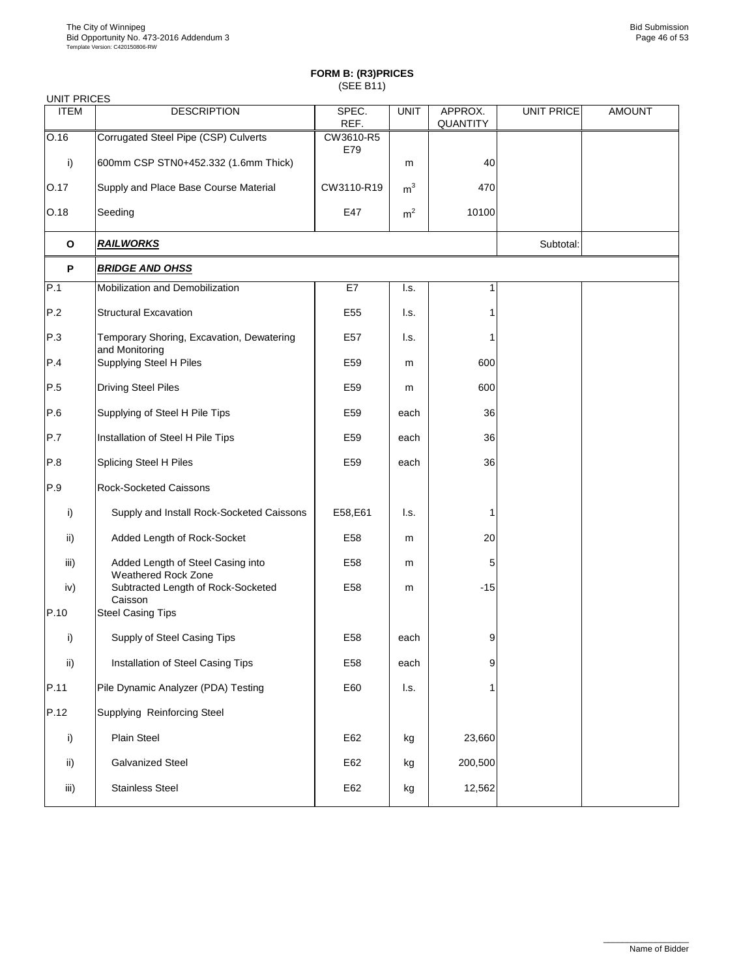| <b>UNIT PRICES</b> |                                                             |                 |                |                     |                   |               |
|--------------------|-------------------------------------------------------------|-----------------|----------------|---------------------|-------------------|---------------|
| <b>ITEM</b>        | <b>DESCRIPTION</b>                                          | SPEC.<br>REF.   | <b>UNIT</b>    | APPROX.<br>QUANTITY | <b>UNIT PRICE</b> | <b>AMOUNT</b> |
| 0.16               | Corrugated Steel Pipe (CSP) Culverts                        | CW3610-R5       |                |                     |                   |               |
| i)                 | 600mm CSP STN0+452.332 (1.6mm Thick)                        | E79             | m              | 40                  |                   |               |
| O.17               | Supply and Place Base Course Material                       | CW3110-R19      | m <sup>3</sup> | 470                 |                   |               |
| O.18               | Seeding                                                     | E47             | m <sup>2</sup> | 10100               |                   |               |
| $\mathbf{o}$       | <u>RAILWORKS</u>                                            |                 |                |                     | Subtotal:         |               |
| P                  | <b>BRIDGE AND OHSS</b>                                      |                 |                |                     |                   |               |
| P.1                | Mobilization and Demobilization                             | E7              | l.s.           | 1                   |                   |               |
| P.2                | <b>Structural Excavation</b>                                | E <sub>55</sub> | l.s.           | 1                   |                   |               |
| P.3                | Temporary Shoring, Excavation, Dewatering<br>and Monitoring | E57             | l.s.           |                     |                   |               |
| P.4                | Supplying Steel H Piles                                     | E59             | m              | 600                 |                   |               |
| P.5                | <b>Driving Steel Piles</b>                                  | E59             | m              | 600                 |                   |               |
| P.6                | Supplying of Steel H Pile Tips                              | E59             | each           | 36                  |                   |               |
| P.7                | Installation of Steel H Pile Tips                           | E59             | each           | 36                  |                   |               |
| P.8                | Splicing Steel H Piles                                      | E59             | each           | 36                  |                   |               |
| P.9                | <b>Rock-Socketed Caissons</b>                               |                 |                |                     |                   |               |
| i)                 | Supply and Install Rock-Socketed Caissons                   | E58,E61         | l.s.           | 1                   |                   |               |
| ii)                | Added Length of Rock-Socket                                 | E58             | m              | 20                  |                   |               |
| iii)               | Added Length of Steel Casing into<br>Weathered Rock Zone    | E58             | m              | 5                   |                   |               |
| iv)                | Subtracted Length of Rock-Socketed<br>Caisson               | E58             | m              | $-15$               |                   |               |
| P.10               | <b>Steel Casing Tips</b>                                    |                 |                |                     |                   |               |
| i)                 | Supply of Steel Casing Tips                                 | E58             | each           | 9                   |                   |               |
| ii)                | Installation of Steel Casing Tips                           | E58             | each           | 9                   |                   |               |
| P.11               | Pile Dynamic Analyzer (PDA) Testing                         | E60             | I.s.           |                     |                   |               |
| P.12               | Supplying Reinforcing Steel                                 |                 |                |                     |                   |               |
| i)                 | Plain Steel                                                 | E62             | kg             | 23,660              |                   |               |
| ii)                | <b>Galvanized Steel</b>                                     | E62             | kg             | 200,500             |                   |               |
| iii)               | <b>Stainless Steel</b>                                      | E62             | kg             | 12,562              |                   |               |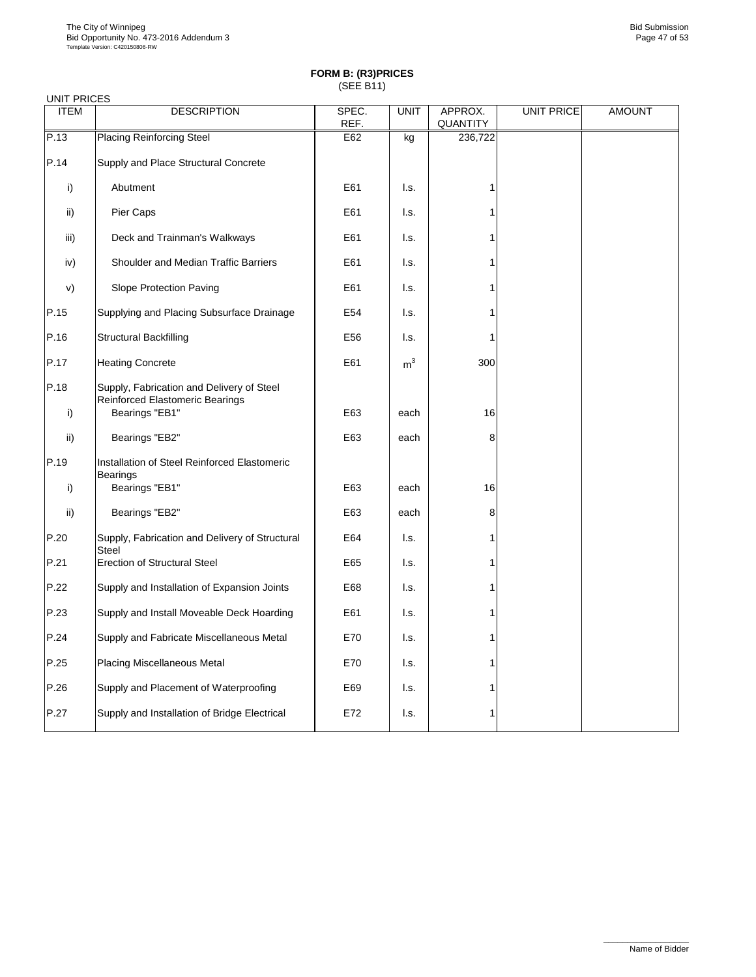|             | <b>UNIT PRICES</b>                                                                             |       |                |                 |                   |               |  |  |  |
|-------------|------------------------------------------------------------------------------------------------|-------|----------------|-----------------|-------------------|---------------|--|--|--|
| <b>ITEM</b> | <b>DESCRIPTION</b>                                                                             | SPEC. | <b>UNIT</b>    | APPROX.         | <b>UNIT PRICE</b> | <b>AMOUNT</b> |  |  |  |
|             |                                                                                                | REF.  |                | <b>QUANTITY</b> |                   |               |  |  |  |
| P.13        | <b>Placing Reinforcing Steel</b>                                                               | E62   | kg             | 236,722         |                   |               |  |  |  |
| P.14        | Supply and Place Structural Concrete                                                           |       |                |                 |                   |               |  |  |  |
| i)          | Abutment                                                                                       | E61   | I.s.           | 1               |                   |               |  |  |  |
| ii)         | Pier Caps                                                                                      | E61   | l.s.           |                 |                   |               |  |  |  |
| iii)        | Deck and Trainman's Walkways                                                                   | E61   | l.s.           | 1               |                   |               |  |  |  |
| iv)         | Shoulder and Median Traffic Barriers                                                           | E61   | l.s.           | 1               |                   |               |  |  |  |
| v)          | Slope Protection Paving                                                                        | E61   | l.s.           | 1               |                   |               |  |  |  |
| P.15        | Supplying and Placing Subsurface Drainage                                                      | E54   | l.s.           | 1               |                   |               |  |  |  |
| P.16        | <b>Structural Backfilling</b>                                                                  | E56   | l.s.           | 1               |                   |               |  |  |  |
| P.17        | <b>Heating Concrete</b>                                                                        | E61   | m <sup>3</sup> | 300             |                   |               |  |  |  |
| P.18<br>i)  | Supply, Fabrication and Delivery of Steel<br>Reinforced Elastomeric Bearings<br>Bearings "EB1" | E63   | each           | 16              |                   |               |  |  |  |
| ii)         | Bearings "EB2"                                                                                 | E63   | each           | 8               |                   |               |  |  |  |
| P.19        | Installation of Steel Reinforced Elastomeric<br><b>Bearings</b>                                |       |                |                 |                   |               |  |  |  |
| i)          | Bearings "EB1"                                                                                 | E63   | each           | 16              |                   |               |  |  |  |
| ii)         | Bearings "EB2"                                                                                 | E63   | each           | 8               |                   |               |  |  |  |
| P.20        | Supply, Fabrication and Delivery of Structural<br><b>Steel</b>                                 | E64   | l.s.           | 1               |                   |               |  |  |  |
| P.21        | <b>Erection of Structural Steel</b>                                                            | E65   | l.s.           | 1               |                   |               |  |  |  |
| P.22        | Supply and Installation of Expansion Joints                                                    | E68   | l.s.           |                 |                   |               |  |  |  |
| P.23        | Supply and Install Moveable Deck Hoarding                                                      | E61   | I.s.           | 1               |                   |               |  |  |  |
| P.24        | Supply and Fabricate Miscellaneous Metal                                                       | E70   | l.s.           | 1               |                   |               |  |  |  |
| P.25        | <b>Placing Miscellaneous Metal</b>                                                             | E70   | l.s.           | 1               |                   |               |  |  |  |
| P.26        | Supply and Placement of Waterproofing                                                          | E69   | l.s.           | 1               |                   |               |  |  |  |
| P.27        | Supply and Installation of Bridge Electrical                                                   | E72   | l.s.           | 1               |                   |               |  |  |  |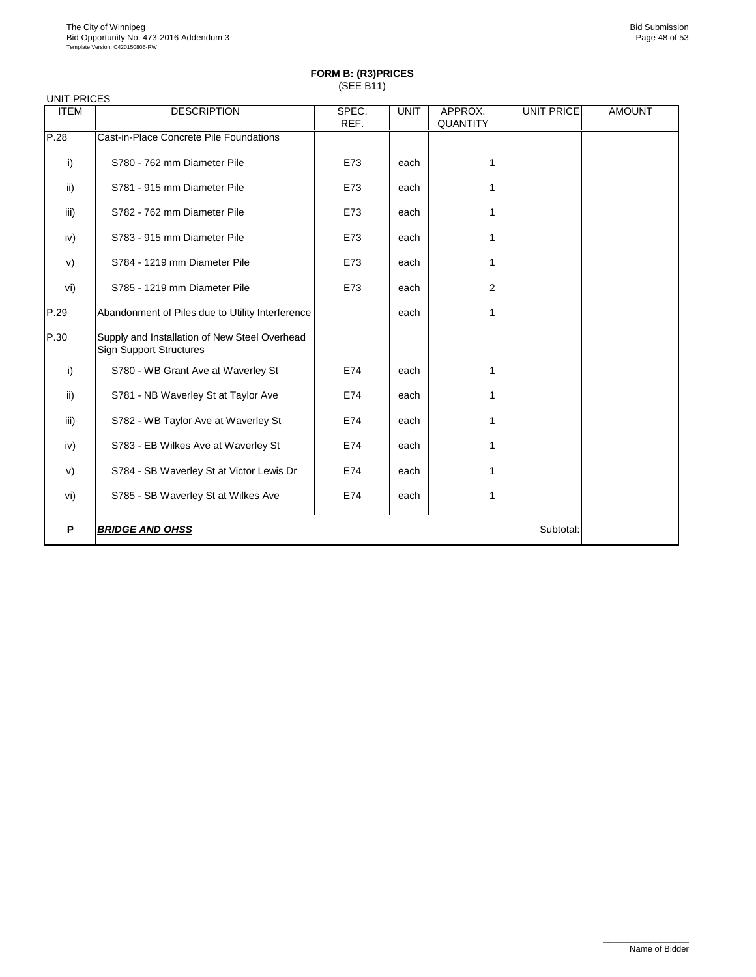| <b>UNIT PRICES</b> |                                                                                 |       |             |                 |                   |               |
|--------------------|---------------------------------------------------------------------------------|-------|-------------|-----------------|-------------------|---------------|
| <b>ITEM</b>        | <b>DESCRIPTION</b>                                                              | SPEC. | <b>UNIT</b> | APPROX.         | <b>UNIT PRICE</b> | <b>AMOUNT</b> |
|                    |                                                                                 | REF.  |             | <b>QUANTITY</b> |                   |               |
| P.28               | Cast-in-Place Concrete Pile Foundations                                         |       |             |                 |                   |               |
| i)                 | S780 - 762 mm Diameter Pile                                                     | E73   | each        |                 |                   |               |
| ii)                | S781 - 915 mm Diameter Pile                                                     | E73   | each        |                 |                   |               |
| iii)               | S782 - 762 mm Diameter Pile                                                     | E73   | each        |                 |                   |               |
| iv)                | S783 - 915 mm Diameter Pile                                                     | E73   | each        |                 |                   |               |
| V)                 | S784 - 1219 mm Diameter Pile                                                    | E73   | each        |                 |                   |               |
| vi)                | S785 - 1219 mm Diameter Pile                                                    | E73   | each        | 2               |                   |               |
| P.29               | Abandonment of Piles due to Utility Interference                                |       | each        |                 |                   |               |
| P.30               | Supply and Installation of New Steel Overhead<br><b>Sign Support Structures</b> |       |             |                 |                   |               |
| i)                 | S780 - WB Grant Ave at Waverley St                                              | E74   | each        |                 |                   |               |
| ii)                | S781 - NB Waverley St at Taylor Ave                                             | E74   | each        |                 |                   |               |
| iii)               | S782 - WB Taylor Ave at Waverley St                                             | E74   | each        |                 |                   |               |
| iv)                | S783 - EB Wilkes Ave at Waverley St                                             | E74   | each        |                 |                   |               |
| V)                 | S784 - SB Waverley St at Victor Lewis Dr                                        | E74   | each        |                 |                   |               |
| vi)                | S785 - SB Waverley St at Wilkes Ave                                             | E74   | each        |                 |                   |               |
| P                  | <b>BRIDGE AND OHSS</b>                                                          |       |             |                 | Subtotal:         |               |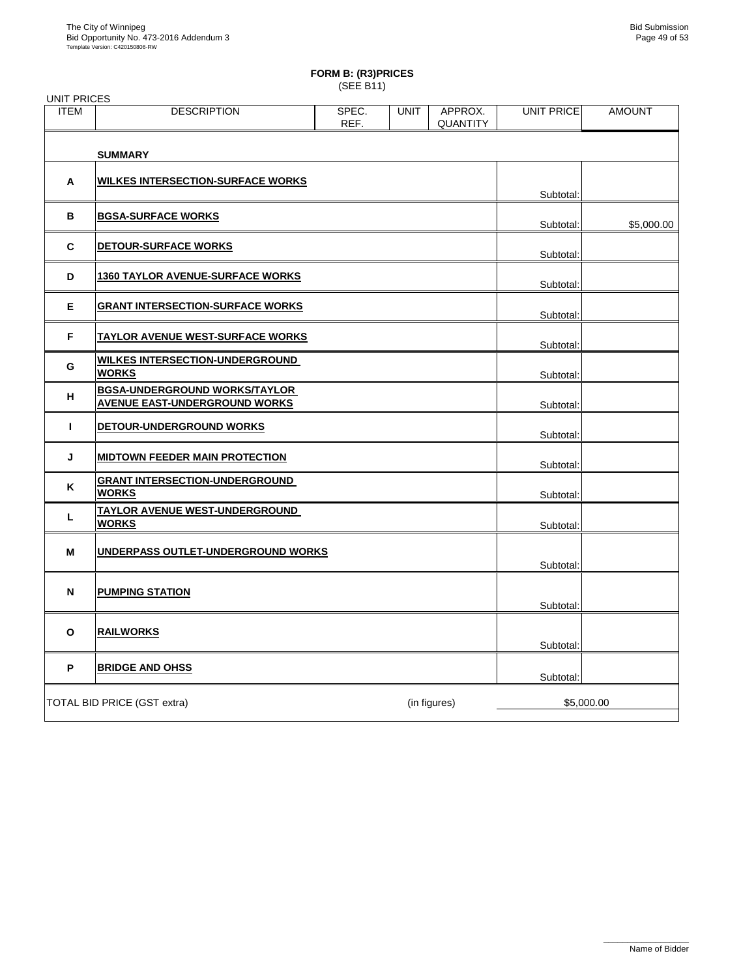### **FORM B: (R3)PRICES**

(SEE B11)

| <b>UNIT PRICES</b> |                                                                              |               |             |                            |                   |               |
|--------------------|------------------------------------------------------------------------------|---------------|-------------|----------------------------|-------------------|---------------|
| <b>ITEM</b>        | <b>DESCRIPTION</b>                                                           | SPEC.<br>REF. | <b>UNIT</b> | APPROX.<br><b>QUANTITY</b> | <b>UNIT PRICE</b> | <b>AMOUNT</b> |
|                    | <b>SUMMARY</b>                                                               |               |             |                            |                   |               |
| A                  | <b>WILKES INTERSECTION-SURFACE WORKS</b>                                     |               |             |                            | Subtotal:         |               |
| в                  | <b>BGSA-SURFACE WORKS</b>                                                    |               |             |                            | Subtotal:         | \$5,000.00    |
| C                  | <b>DETOUR-SURFACE WORKS</b>                                                  |               |             |                            | Subtotal:         |               |
| D                  | <b>1360 TAYLOR AVENUE-SURFACE WORKS</b>                                      |               |             |                            | Subtotal:         |               |
| Е                  | <b>GRANT INTERSECTION-SURFACE WORKS</b>                                      |               |             |                            | Subtotal:         |               |
| F                  | <u>TAYLOR AVENUE WEST-SURFACE WORKS</u>                                      |               |             |                            | Subtotal:         |               |
| G                  | <b>WILKES INTERSECTION-UNDERGROUND</b><br><b>WORKS</b>                       |               |             |                            | Subtotal:         |               |
| н                  | <b>BGSA-UNDERGROUND WORKS/TAYLOR</b><br><b>AVENUE EAST-UNDERGROUND WORKS</b> |               |             |                            | Subtotal:         |               |
| т                  | DETOUR-UNDERGROUND WORKS                                                     |               |             |                            | Subtotal:         |               |
| J                  | <b>MIDTOWN FEEDER MAIN PROTECTION</b>                                        |               |             |                            | Subtotal:         |               |
| K                  | <b>GRANT INTERSECTION-UNDERGROUND</b><br><b>WORKS</b>                        |               |             |                            | Subtotal:         |               |
| L                  | TAYLOR AVENUE WEST-UNDERGROUND<br><b>WORKS</b>                               |               |             |                            | Subtotal:         |               |
| м                  | UNDERPASS OUTLET-UNDERGROUND WORKS                                           |               |             |                            | Subtotal:         |               |
| N                  | <b>PUMPING STATION</b>                                                       |               |             |                            | Subtotal:         |               |
| O                  | <b>RAILWORKS</b>                                                             |               |             |                            | Subtotal:         |               |
| P                  | <b>BRIDGE AND OHSS</b>                                                       |               |             |                            | Subtotal:         |               |
|                    | TOTAL BID PRICE (GST extra)                                                  |               |             | (in figures)               | \$5,000.00        |               |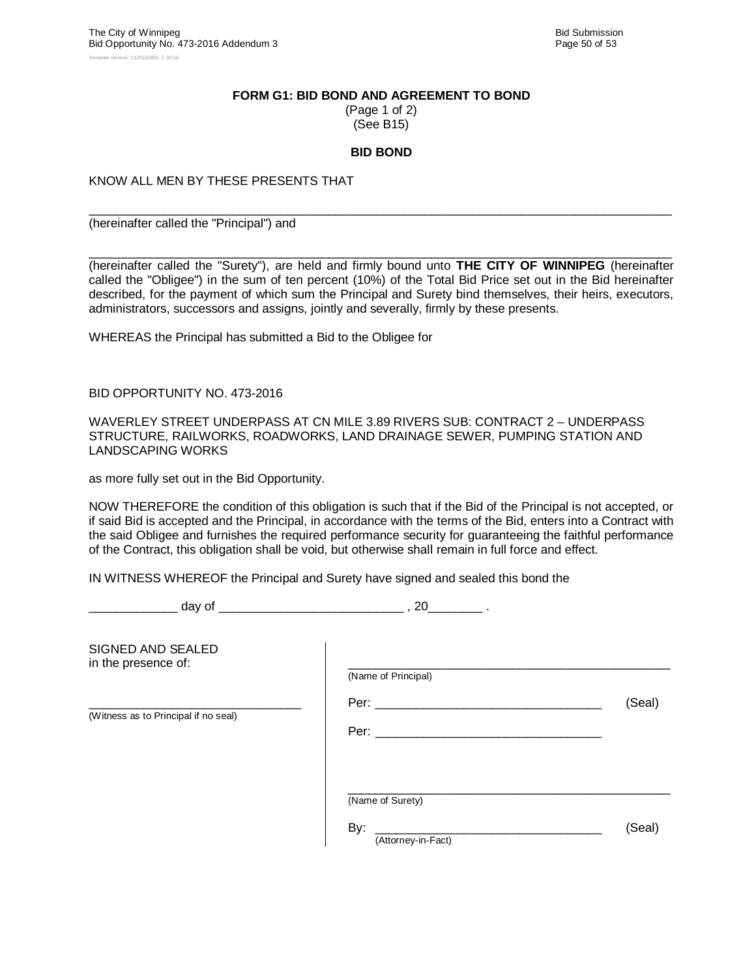#### **FORM G1: BID BOND AND AGREEMENT TO BOND**

(Page 1 of 2) (See B15)

#### **BID BOND**

 $\_$  ,  $\_$  ,  $\_$  ,  $\_$  ,  $\_$  ,  $\_$  ,  $\_$  ,  $\_$  ,  $\_$  ,  $\_$  ,  $\_$  ,  $\_$  ,  $\_$  ,  $\_$  ,  $\_$  ,  $\_$  ,  $\_$  ,  $\_$  ,  $\_$  ,  $\_$  ,  $\_$  ,  $\_$  ,  $\_$  ,  $\_$  ,  $\_$  ,  $\_$  ,  $\_$  ,  $\_$  ,  $\_$  ,  $\_$  ,  $\_$  ,  $\_$  ,  $\_$  ,  $\_$  ,  $\_$  ,  $\_$  ,  $\_$  ,

 $\_$  ,  $\_$  ,  $\_$  ,  $\_$  ,  $\_$  ,  $\_$  ,  $\_$  ,  $\_$  ,  $\_$  ,  $\_$  ,  $\_$  ,  $\_$  ,  $\_$  ,  $\_$  ,  $\_$  ,  $\_$  ,  $\_$  ,  $\_$  ,  $\_$  ,  $\_$  ,  $\_$  ,  $\_$  ,  $\_$  ,  $\_$  ,  $\_$  ,  $\_$  ,  $\_$  ,  $\_$  ,  $\_$  ,  $\_$  ,  $\_$  ,  $\_$  ,  $\_$  ,  $\_$  ,  $\_$  ,  $\_$  ,  $\_$  ,

#### KNOW ALL MEN BY THESE PRESENTS THAT

(hereinafter called the "Principal") and

(hereinafter called the "Surety"), are held and firmly bound unto **THE CITY OF WINNIPEG** (hereinafter called the "Obligee") in the sum of ten percent (10%) of the Total Bid Price set out in the Bid hereinafter described, for the payment of which sum the Principal and Surety bind themselves, their heirs, executors, administrators, successors and assigns, jointly and severally, firmly by these presents.

WHEREAS the Principal has submitted a Bid to the Obligee for

BID OPPORTUNITY NO. 473-2016

WAVERLEY STREET UNDERPASS AT CN MILE 3.89 RIVERS SUB: CONTRACT 2 – UNDERPASS STRUCTURE, RAILWORKS, ROADWORKS, LAND DRAINAGE SEWER, PUMPING STATION AND LANDSCAPING WORKS

as more fully set out in the Bid Opportunity.

NOW THEREFORE the condition of this obligation is such that if the Bid of the Principal is not accepted, or if said Bid is accepted and the Principal, in accordance with the terms of the Bid, enters into a Contract with the said Obligee and furnishes the required performance security for guaranteeing the faithful performance of the Contract, this obligation shall be void, but otherwise shall remain in full force and effect.

IN WITNESS WHEREOF the Principal and Surety have signed and sealed this bond the

\_\_\_\_\_\_\_\_\_\_\_\_\_ day of \_\_\_\_\_\_\_\_\_\_\_\_\_\_\_\_\_\_\_\_\_\_\_\_\_\_\_ , 20\_\_\_\_\_\_\_\_ .

| SIGNED AND SEALED<br>in the presence of: | (Name of Principal)                                                                                                                                                                                                                          |        |
|------------------------------------------|----------------------------------------------------------------------------------------------------------------------------------------------------------------------------------------------------------------------------------------------|--------|
| (Witness as to Principal if no seal)     | Per: $\_\_$<br>Per: when the contract of the contract of the contract of the contract of the contract of the contract of the contract of the contract of the contract of the contract of the contract of the contract of the contract of the | (Seal) |
|                                          | (Name of Surety)<br>By:<br>(Attorney-in-Fact)                                                                                                                                                                                                | (Seal) |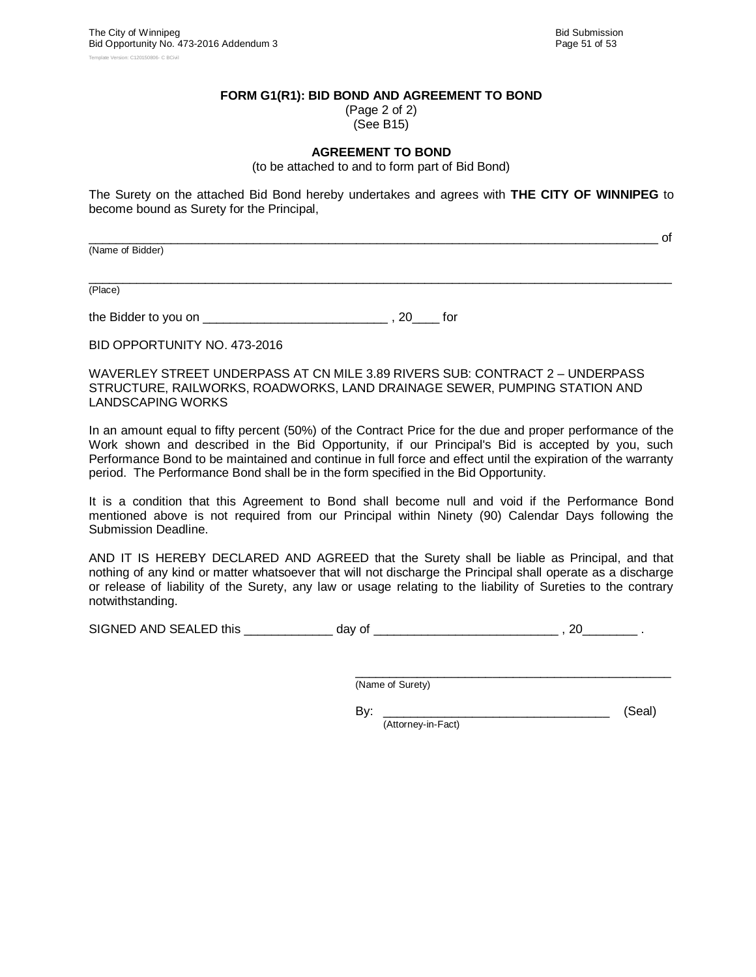#### **FORM G1(R1): BID BOND AND AGREEMENT TO BOND**

(Page 2 of 2) (See B15)

#### **AGREEMENT TO BOND**

(to be attached to and to form part of Bid Bond)

The Surety on the attached Bid Bond hereby undertakes and agrees with **THE CITY OF WINNIPEG** to become bound as Surety for the Principal,

\_\_\_\_\_\_\_\_\_\_\_\_\_\_\_\_\_\_\_\_\_\_\_\_\_\_\_\_\_\_\_\_\_\_\_\_\_\_\_\_\_\_\_\_\_\_\_\_\_\_\_\_\_\_\_\_\_\_\_\_\_\_\_\_\_\_\_\_\_\_\_\_\_\_\_\_\_\_\_\_\_\_\_ of

(Name of Bidder)

 $\_$  ,  $\_$  ,  $\_$  ,  $\_$  ,  $\_$  ,  $\_$  ,  $\_$  ,  $\_$  ,  $\_$  ,  $\_$  ,  $\_$  ,  $\_$  ,  $\_$  ,  $\_$  ,  $\_$  ,  $\_$  ,  $\_$  ,  $\_$  ,  $\_$  ,  $\_$  ,  $\_$  ,  $\_$  ,  $\_$  ,  $\_$  ,  $\_$  ,  $\_$  ,  $\_$  ,  $\_$  ,  $\_$  ,  $\_$  ,  $\_$  ,  $\_$  ,  $\_$  ,  $\_$  ,  $\_$  ,  $\_$  ,  $\_$  , (Place)

the Bidder to you on \_\_\_\_\_\_\_\_\_\_\_\_\_\_\_\_\_\_\_\_\_\_\_\_\_\_\_ , 20\_\_\_\_ for

BID OPPORTUNITY NO. 473-2016

WAVERLEY STREET UNDERPASS AT CN MILE 3.89 RIVERS SUB: CONTRACT 2 – UNDERPASS STRUCTURE, RAILWORKS, ROADWORKS, LAND DRAINAGE SEWER, PUMPING STATION AND LANDSCAPING WORKS

In an amount equal to fifty percent (50%) of the Contract Price for the due and proper performance of the Work shown and described in the Bid Opportunity, if our Principal's Bid is accepted by you, such Performance Bond to be maintained and continue in full force and effect until the expiration of the warranty period. The Performance Bond shall be in the form specified in the Bid Opportunity.

It is a condition that this Agreement to Bond shall become null and void if the Performance Bond mentioned above is not required from our Principal within Ninety (90) Calendar Days following the Submission Deadline.

AND IT IS HEREBY DECLARED AND AGREED that the Surety shall be liable as Principal, and that nothing of any kind or matter whatsoever that will not discharge the Principal shall operate as a discharge or release of liability of the Surety, any law or usage relating to the liability of Sureties to the contrary notwithstanding.

SIGNED AND SEALED this \_\_\_\_\_\_\_\_\_\_\_\_\_ day of \_\_\_\_\_\_\_\_\_\_\_\_\_\_\_\_\_\_\_\_\_\_\_\_\_\_\_ , 20\_\_\_\_\_\_\_\_ .

\_\_\_\_\_\_\_\_\_\_\_\_\_\_\_\_\_\_\_\_\_\_\_\_\_\_\_\_\_\_\_\_\_\_\_\_\_\_\_\_\_\_\_\_\_\_ (Name of Surety)

By: \_\_\_\_\_\_\_\_\_\_\_\_\_\_\_\_\_\_\_\_\_\_\_\_\_\_\_\_\_\_\_\_\_ (Seal)

(Attorney-in-Fact)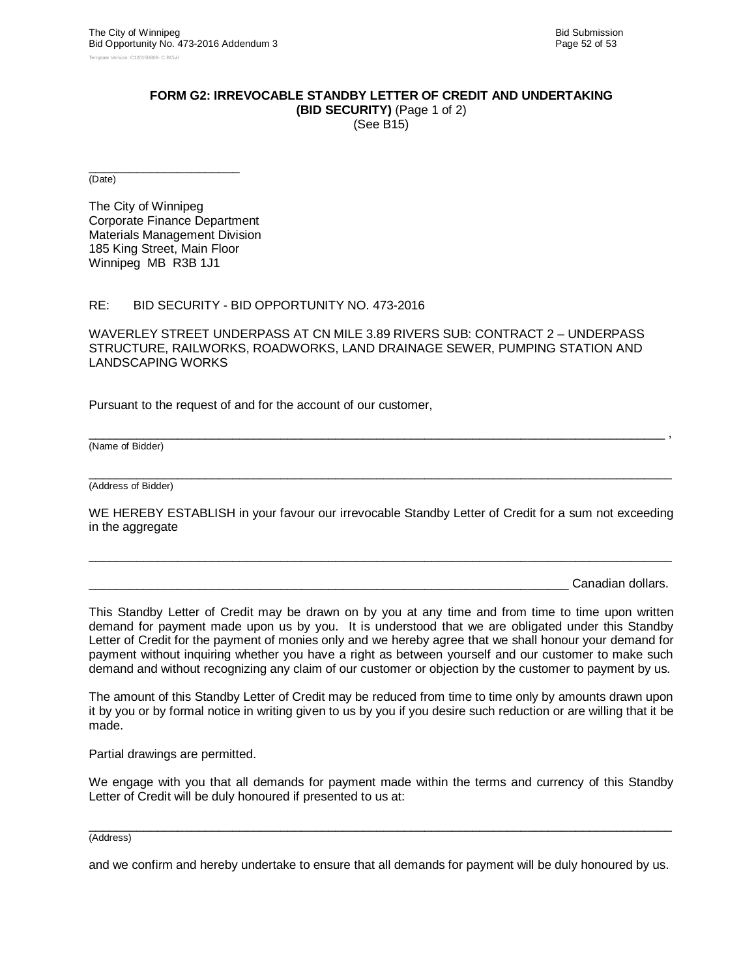#### **FORM G2: IRREVOCABLE STANDBY LETTER OF CREDIT AND UNDERTAKING (BID SECURITY)** (Page 1 of 2)

(See B15)

\_\_\_\_\_\_\_\_\_\_\_\_\_\_\_\_\_\_\_\_\_\_ (Date)

The City of Winnipeg Corporate Finance Department Materials Management Division 185 King Street, Main Floor Winnipeg MB R3B 1J1

#### RE: BID SECURITY - BID OPPORTUNITY NO. 473-2016

WAVERLEY STREET UNDERPASS AT CN MILE 3.89 RIVERS SUB: CONTRACT 2 – UNDERPASS STRUCTURE, RAILWORKS, ROADWORKS, LAND DRAINAGE SEWER, PUMPING STATION AND LANDSCAPING WORKS

Pursuant to the request of and for the account of our customer,

(Name of Bidder)

 $\_$  ,  $\_$  ,  $\_$  ,  $\_$  ,  $\_$  ,  $\_$  ,  $\_$  ,  $\_$  ,  $\_$  ,  $\_$  ,  $\_$  ,  $\_$  ,  $\_$  ,  $\_$  ,  $\_$  ,  $\_$  ,  $\_$  ,  $\_$  ,  $\_$  ,  $\_$  ,  $\_$  ,  $\_$  ,  $\_$  ,  $\_$  ,  $\_$  ,  $\_$  ,  $\_$  ,  $\_$  ,  $\_$  ,  $\_$  ,  $\_$  ,  $\_$  ,  $\_$  ,  $\_$  ,  $\_$  ,  $\_$  ,  $\_$  , (Address of Bidder)

WE HEREBY ESTABLISH in your favour our irrevocable Standby Letter of Credit for a sum not exceeding in the aggregate

 $\_$  ,  $\_$  ,  $\_$  ,  $\_$  ,  $\_$  ,  $\_$  ,  $\_$  ,  $\_$  ,  $\_$  ,  $\_$  ,  $\_$  ,  $\_$  ,  $\_$  ,  $\_$  ,  $\_$  ,  $\_$  ,  $\_$  ,  $\_$  ,  $\_$  ,  $\_$  ,  $\_$  ,  $\_$  ,  $\_$  ,  $\_$  ,  $\_$  ,  $\_$  ,  $\_$  ,  $\_$  ,  $\_$  ,  $\_$  ,  $\_$  ,  $\_$  ,  $\_$  ,  $\_$  ,  $\_$  ,  $\_$  ,  $\_$  ,

\_\_\_\_\_\_\_\_\_\_\_\_\_\_\_\_\_\_\_\_\_\_\_\_\_\_\_\_\_\_\_\_\_\_\_\_\_\_\_\_\_\_\_\_\_\_\_\_\_\_\_\_\_\_\_\_\_\_\_\_\_\_\_\_\_\_\_\_\_\_\_\_\_\_\_\_\_\_\_\_\_\_\_\_ ,

Canadian dollars.

This Standby Letter of Credit may be drawn on by you at any time and from time to time upon written demand for payment made upon us by you. It is understood that we are obligated under this Standby Letter of Credit for the payment of monies only and we hereby agree that we shall honour your demand for payment without inquiring whether you have a right as between yourself and our customer to make such demand and without recognizing any claim of our customer or objection by the customer to payment by us.

The amount of this Standby Letter of Credit may be reduced from time to time only by amounts drawn upon it by you or by formal notice in writing given to us by you if you desire such reduction or are willing that it be made.

Partial drawings are permitted.

We engage with you that all demands for payment made within the terms and currency of this Standby Letter of Credit will be duly honoured if presented to us at:

 $\_$  ,  $\_$  ,  $\_$  ,  $\_$  ,  $\_$  ,  $\_$  ,  $\_$  ,  $\_$  ,  $\_$  ,  $\_$  ,  $\_$  ,  $\_$  ,  $\_$  ,  $\_$  ,  $\_$  ,  $\_$  ,  $\_$  ,  $\_$  ,  $\_$  ,  $\_$  ,  $\_$  ,  $\_$  ,  $\_$  ,  $\_$  ,  $\_$  ,  $\_$  ,  $\_$  ,  $\_$  ,  $\_$  ,  $\_$  ,  $\_$  ,  $\_$  ,  $\_$  ,  $\_$  ,  $\_$  ,  $\_$  ,  $\_$  , (Address)

and we confirm and hereby undertake to ensure that all demands for payment will be duly honoured by us.